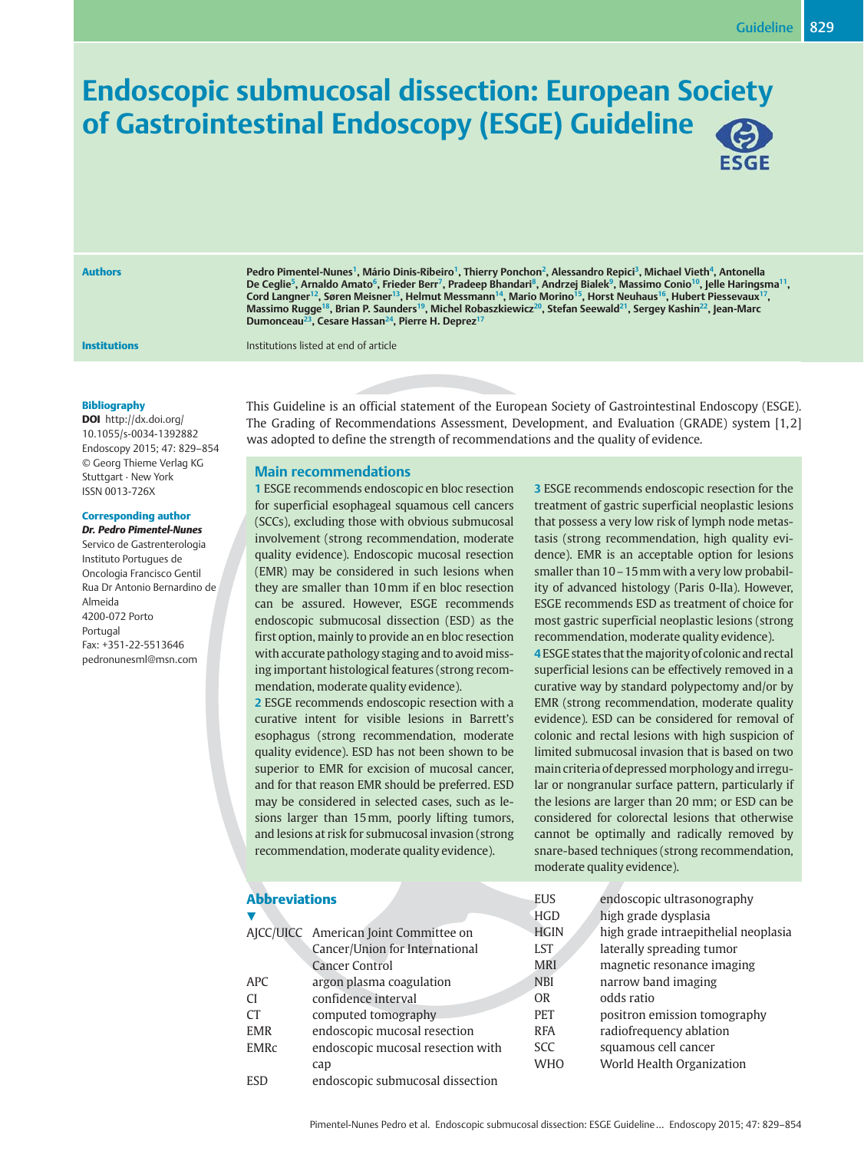# Endoscopic submucosal dissection: European Society of Gastrointestinal Endoscopy (ESGE) Guideline



Authors **Pedro Pimentel-Nunes<sup>1</sup>, Mário Dinis-Ribeiro<sup>1</sup>, Thierry Ponchon<sup>2</sup>, Alessandro Repici<sup>3</sup>, Michael Vieth<sup>4</sup>, Antonella** De Ceglie<sup>5</sup>, Arnaldo Amato<sup>6</sup>, Frieder Berr<sup>7</sup>, Pradeep Bhandari<sup>8</sup>, Andrzej Bialek<sup>9</sup>, Massimo Conio<sup>10</sup>, Jelle Haringsma<sup>11</sup>,  $\rm{Card}$  Langner $^{12}$ , Søren Meisner $^{13}$ , Helmut Messmann $^{14}$ , Mario Morino $^{15}$ , Horst Neuhaus $^{16}$ , Hubert Piessevaux $^{17}$ , Massimo Rugge<sup>18</sup>, Brian P. Saunders<sup>19</sup>, Michel Robaszkiewicz<sup>20</sup>, Stefan Seewald<sup>21</sup>, Sergey Kashin<sup>22</sup>, Jean-Marc Dumonceau<sup>23</sup>, Cesare Hassan<sup>24</sup>, Pierre H. Deprez<sup>1</sup>

**Institutions Institutions Institutions** listed at end of article

#### Bibliography

DOI http://dx.doi.org/ 10.1055/s-0034-1392882 Endoscopy 2015; 47: 829–854 © Georg Thieme Verlag KG Stuttgart · New York ISSN 0013-726X

## Corresponding author

Dr. Pedro Pimentel-Nunes

Servico de Gastrenterologia Instituto Portugues de Oncologia Francisco Gentil Rua Dr Antonio Bernardino de Almeida 4200-072 Porto Portugal Fax: +351-22-5513646 pedronunesml@msn.com

This Guideline is an official statement of the European Society of Gastrointestinal Endoscopy (ESGE). The Grading of Recommendations Assessment, Development, and Evaluation (GRADE) system [1, 2] was adopted to define the strength of recommendations and the quality of evidence.

## Main recommendations

1 ESGE recommends endoscopic en bloc resection for superficial esophageal squamous cell cancers (SCCs), excluding those with obvious submucosal involvement (strong recommendation, moderate quality evidence). Endoscopic mucosal resection (EMR) may be considered in such lesions when they are smaller than 10mm if en bloc resection can be assured. However, ESGE recommends endoscopic submucosal dissection (ESD) as the first option, mainly to provide an en bloc resection with accurate pathology staging and to avoid missing important histological features (strong recommendation, moderate quality evidence).

2 ESGE recommends endoscopic resection with a curative intent for visible lesions in Barrett's esophagus (strong recommendation, moderate quality evidence). ESD has not been shown to be superior to EMR for excision of mucosal cancer, and for that reason EMR should be preferred. ESD may be considered in selected cases, such as lesions larger than 15mm, poorly lifting tumors, and lesions at risk for submucosal invasion (strong recommendation, moderate quality evidence).

ESD endoscopic submucosal dissection

3 ESGE recommends endoscopic resection for the treatment of gastric superficial neoplastic lesions that possess a very low risk of lymph node metastasis (strong recommendation, high quality evidence). EMR is an acceptable option for lesions smaller than 10–15mm with a very low probability of advanced histology (Paris 0-IIa). However, ESGE recommends ESD as treatment of choice for most gastric superficial neoplastic lesions (strong recommendation, moderate quality evidence).

4 ESGE states that the majority of colonic and rectal superficial lesions can be effectively removed in a curative way by standard polypectomy and/or by EMR (strong recommendation, moderate quality evidence). ESD can be considered for removal of colonic and rectal lesions with high suspicion of limited submucosal invasion that is based on two main criteria of depressed morphology and irregular or nongranular surface pattern, particularly if the lesions are larger than 20 mm; or ESD can be considered for colorectal lesions that otherwise cannot be optimally and radically removed by snare-based techniques (strong recommendation, moderate quality evidence).

| <b>Abbreviations</b> |                                       | <b>EUS</b>  | endoscopic ultrasonography           |
|----------------------|---------------------------------------|-------------|--------------------------------------|
|                      |                                       | <b>HGD</b>  | high grade dysplasia                 |
|                      | AJCC/UICC American Joint Committee on | <b>HGIN</b> | high grade intraepithelial neoplasia |
|                      | Cancer/Union for International        | <b>LST</b>  | laterally spreading tumor            |
|                      | <b>Cancer Control</b>                 | <b>MRI</b>  | magnetic resonance imaging           |
| <b>APC</b>           | argon plasma coagulation              | <b>NBI</b>  | narrow band imaging                  |
| <b>CI</b>            | confidence interval                   | <b>OR</b>   | odds ratio                           |
| СT                   | computed tomography                   | <b>PET</b>  | positron emission tomography         |
| <b>EMR</b>           | endoscopic mucosal resection          | <b>RFA</b>  | radiofrequency ablation              |
| EMRc                 | endoscopic mucosal resection with     | SCC.        | squamous cell cancer                 |
|                      | cap                                   | <b>WHO</b>  | World Health Organization            |

Pimentel-Nunes Pedro et al. Endoscopic submucosal dissection: ESGE Guideline… Endoscopy 2015; 47: 829–854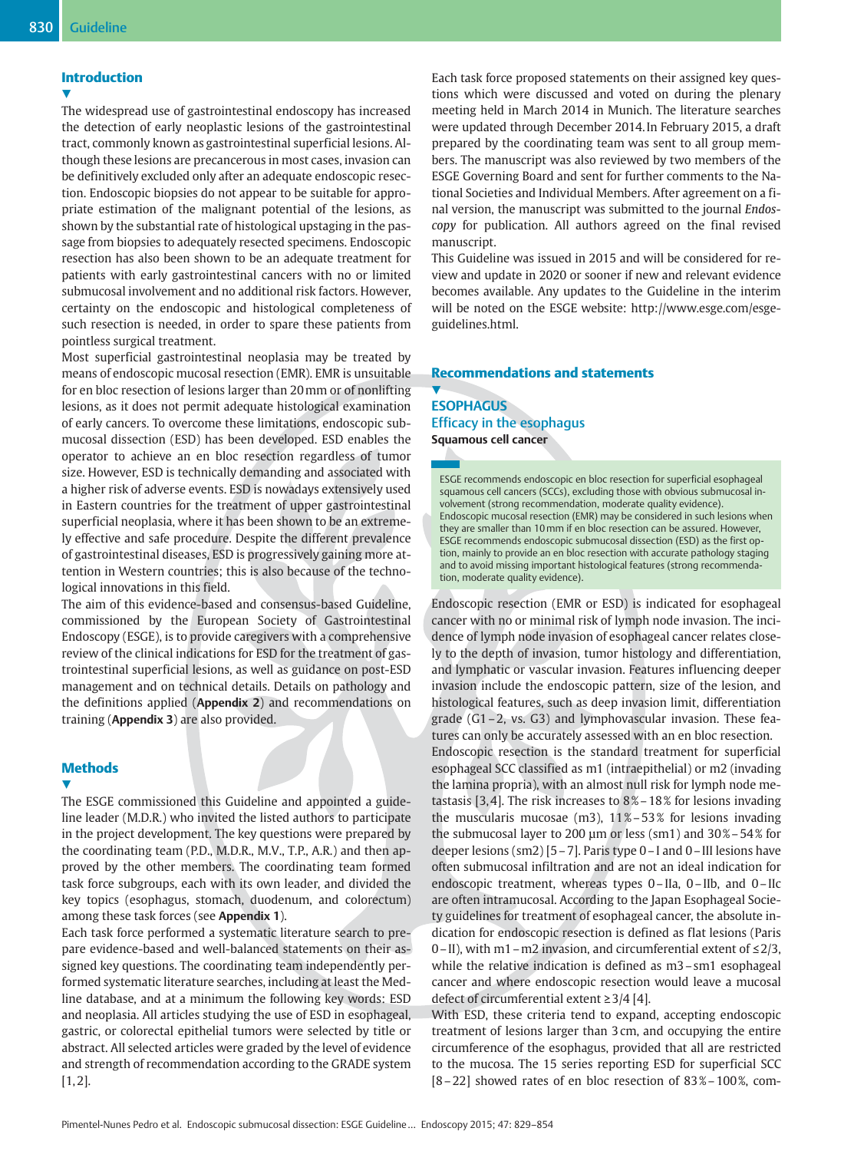## Introduction

The widespread use of gastrointestinal endoscopy has increased the detection of early neoplastic lesions of the gastrointestinal tract, commonly known as gastrointestinal superficial lesions. Although these lesions are precancerous in most cases, invasion can be definitively excluded only after an adequate endoscopic resection. Endoscopic biopsies do not appear to be suitable for appropriate estimation of the malignant potential of the lesions, as shown by the substantial rate of histological upstaging in the passage from biopsies to adequately resected specimens. Endoscopic resection has also been shown to be an adequate treatment for patients with early gastrointestinal cancers with no or limited submucosal involvement and no additional risk factors. However, certainty on the endoscopic and histological completeness of such resection is needed, in order to spare these patients from pointless surgical treatment.

Most superficial gastrointestinal neoplasia may be treated by means of endoscopic mucosal resection (EMR). EMR is unsuitable for en bloc resection of lesions larger than 20mm or of nonlifting lesions, as it does not permit adequate histological examination of early cancers. To overcome these limitations, endoscopic submucosal dissection (ESD) has been developed. ESD enables the operator to achieve an en bloc resection regardless of tumor size. However, ESD is technically demanding and associated with a higher risk of adverse events. ESD is nowadays extensively used in Eastern countries for the treatment of upper gastrointestinal superficial neoplasia, where it has been shown to be an extremely effective and safe procedure. Despite the different prevalence of gastrointestinal diseases, ESD is progressively gaining more attention in Western countries; this is also because of the technological innovations in this field.

The aim of this evidence-based and consensus-based Guideline, commissioned by the European Society of Gastrointestinal Endoscopy (ESGE), is to provide caregivers with a comprehensive review of the clinical indications for ESD for the treatment of gastrointestinal superficial lesions, as well as guidance on post-ESD management and on technical details. Details on pathology and the definitions applied (Appendix 2) and recommendations on training (Appendix 3) are also provided.

## **Methods**

#### v,

The ESGE commissioned this Guideline and appointed a guideline leader (M.D.R.) who invited the listed authors to participate in the project development. The key questions were prepared by the coordinating team (P.D., M.D.R., M.V., T.P., A.R.) and then approved by the other members. The coordinating team formed task force subgroups, each with its own leader, and divided the key topics (esophagus, stomach, duodenum, and colorectum) among these task forces (see Appendix 1).

Each task force performed a systematic literature search to prepare evidence-based and well-balanced statements on their assigned key questions. The coordinating team independently performed systematic literature searches, including at least the Medline database, and at a minimum the following key words: ESD and neoplasia. All articles studying the use of ESD in esophageal, gastric, or colorectal epithelial tumors were selected by title or abstract. All selected articles were graded by the level of evidence and strength of recommendation according to the GRADE system  $[1, 2]$ .

Each task force proposed statements on their assigned key questions which were discussed and voted on during the plenary meeting held in March 2014 in Munich. The literature searches were updated through December 2014. In February 2015, a draft prepared by the coordinating team was sent to all group members. The manuscript was also reviewed by two members of the ESGE Governing Board and sent for further comments to the National Societies and Individual Members. After agreement on a final version, the manuscript was submitted to the journal Endoscopy for publication. All authors agreed on the final revised manuscript.

This Guideline was issued in 2015 and will be considered for review and update in 2020 or sooner if new and relevant evidence becomes available. Any updates to the Guideline in the interim will be noted on the ESGE website: http://www.esge.com/esgeguidelines.html.

## Recommendations and statements

## $\blacktriangledown$ **ESOPHAGUS** Efficacy in the esophagus Squamous cell cancer

ESGE recommends endoscopic en bloc resection for superficial esophageal squamous cell cancers (SCCs), excluding those with obvious submucosal involvement (strong recommendation, moderate quality evidence). Endoscopic mucosal resection (EMR) may be considered in such lesions when they are smaller than 10mm if en bloc resection can be assured. However, ESGE recommends endoscopic submucosal dissection (ESD) as the first option, mainly to provide an en bloc resection with accurate pathology staging and to avoid missing important histological features (strong recommendation, moderate quality evidence).

Endoscopic resection (EMR or ESD) is indicated for esophageal cancer with no or minimal risk of lymph node invasion. The incidence of lymph node invasion of esophageal cancer relates closely to the depth of invasion, tumor histology and differentiation, and lymphatic or vascular invasion. Features influencing deeper invasion include the endoscopic pattern, size of the lesion, and histological features, such as deep invasion limit, differentiation grade (G1–2, vs. G3) and lymphovascular invasion. These features can only be accurately assessed with an en bloc resection. Endoscopic resection is the standard treatment for superficial esophageal SCC classified as m1 (intraepithelial) or m2 (invading the lamina propria), with an almost null risk for lymph node metastasis [3, 4]. The risk increases to 8 %–18 % for lesions invading the muscularis mucosae (m3),  $11\% - 53\%$  for lesions invading the submucosal layer to 200  $\mu$ m or less (sm1) and 30%–54% for deeper lesions (sm2) [5–7]. Paris type 0–I and 0–III lesions have often submucosal infiltration and are not an ideal indication for endoscopic treatment, whereas types 0–IIa, 0–IIb, and 0–IIc are often intramucosal. According to the Japan Esophageal Society guidelines for treatment of esophageal cancer, the absolute indication for endoscopic resection is defined as flat lesions (Paris 0–II), with m1–m2 invasion, and circumferential extent of ≤2/3, while the relative indication is defined as m3–sm1 esophageal cancer and where endoscopic resection would leave a mucosal defect of circumferential extent ≥3/4 [4].

With ESD, these criteria tend to expand, accepting endoscopic treatment of lesions larger than 3 cm, and occupying the entire circumference of the esophagus, provided that all are restricted to the mucosa. The 15 series reporting ESD for superficial SCC [8–22] showed rates of en bloc resection of 83 %–100 %, com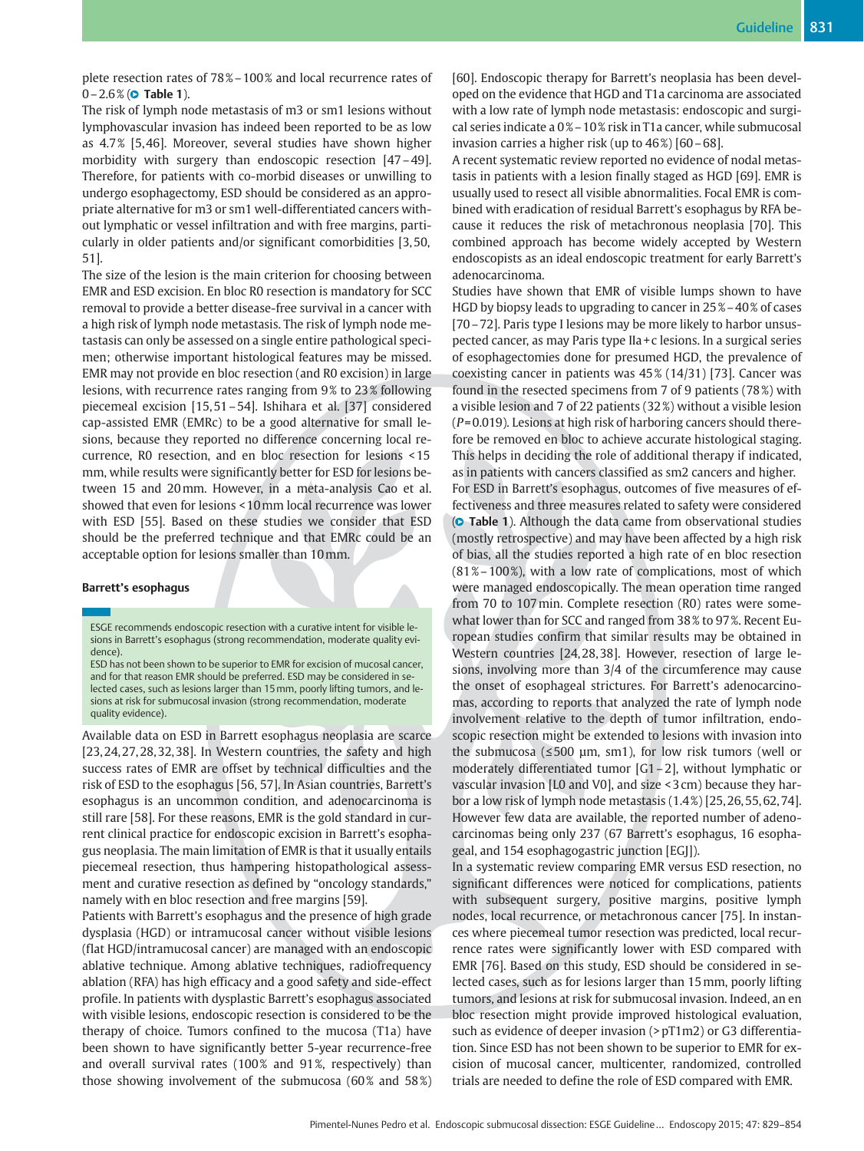plete resection rates of 78 %–100 % and local recurrence rates of 0–2.6% (**© Table 1**).

The risk of lymph node metastasis of m3 or sm1 lesions without lymphovascular invasion has indeed been reported to be as low as 4.7 % [5, 46]. Moreover, several studies have shown higher morbidity with surgery than endoscopic resection [47–49]. Therefore, for patients with co-morbid diseases or unwilling to undergo esophagectomy, ESD should be considered as an appropriate alternative for m3 or sm1 well-differentiated cancers without lymphatic or vessel infiltration and with free margins, particularly in older patients and/or significant comorbidities [3, 50, 51].

The size of the lesion is the main criterion for choosing between EMR and ESD excision. En bloc R0 resection is mandatory for SCC removal to provide a better disease-free survival in a cancer with a high risk of lymph node metastasis. The risk of lymph node metastasis can only be assessed on a single entire pathological specimen; otherwise important histological features may be missed. EMR may not provide en bloc resection (and R0 excision) in large lesions, with recurrence rates ranging from 9% to 23% following piecemeal excision [15, 51–54]. Ishihara et al. [37] considered cap-assisted EMR (EMRc) to be a good alternative for small lesions, because they reported no difference concerning local recurrence, R0 resection, and en bloc resection for lesions < 15 mm, while results were significantly better for ESD for lesions between 15 and 20mm. However, in a meta-analysis Cao et al. showed that even for lesions < 10mm local recurrence was lower with ESD [55]. Based on these studies we consider that ESD should be the preferred technique and that EMRc could be an acceptable option for lesions smaller than 10mm.

## Barrett's esophagus

ESD has not been shown to be superior to EMR for excision of mucosal cancer, and for that reason EMR should be preferred. ESD may be considered in selected cases, such as lesions larger than 15mm, poorly lifting tumors, and lesions at risk for submucosal invasion (strong recommendation, moderate quality evidence).

Available data on ESD in Barrett esophagus neoplasia are scarce [23, 24, 27, 28, 32, 38]. In Western countries, the safety and high success rates of EMR are offset by technical difficulties and the risk of ESD to the esophagus [56, 57]. In Asian countries, Barrett's esophagus is an uncommon condition, and adenocarcinoma is still rare [58]. For these reasons, EMR is the gold standard in current clinical practice for endoscopic excision in Barrett's esophagus neoplasia. The main limitation of EMR is that it usually entails piecemeal resection, thus hampering histopathological assessment and curative resection as defined by "oncology standards," namely with en bloc resection and free margins [59].

Patients with Barrett's esophagus and the presence of high grade dysplasia (HGD) or intramucosal cancer without visible lesions (flat HGD/intramucosal cancer) are managed with an endoscopic ablative technique. Among ablative techniques, radiofrequency ablation (RFA) has high efficacy and a good safety and side-effect profile. In patients with dysplastic Barrett's esophagus associated with visible lesions, endoscopic resection is considered to be the therapy of choice. Tumors confined to the mucosa (T1a) have been shown to have significantly better 5-year recurrence-free and overall survival rates (100% and 91%, respectively) than those showing involvement of the submucosa  $(60\%$  and  $58\%)$  [60]. Endoscopic therapy for Barrett's neoplasia has been developed on the evidence that HGD and T1a carcinoma are associated with a low rate of lymph node metastasis: endoscopic and surgical series indicate a 0 %–10 % risk in T1a cancer, while submucosal invasion carries a higher risk (up to  $46\%$ ) [60 – 68].

A recent systematic review reported no evidence of nodal metastasis in patients with a lesion finally staged as HGD [69]. EMR is usually used to resect all visible abnormalities. Focal EMR is combined with eradication of residual Barrett's esophagus by RFA because it reduces the risk of metachronous neoplasia [70]. This combined approach has become widely accepted by Western endoscopists as an ideal endoscopic treatment for early Barrett's adenocarcinoma.

Studies have shown that EMR of visible lumps shown to have HGD by biopsy leads to upgrading to cancer in 25 %–40 % of cases [70–72]. Paris type I lesions may be more likely to harbor unsuspected cancer, as may Paris type IIa + c lesions. In a surgical series of esophagectomies done for presumed HGD, the prevalence of coexisting cancer in patients was 45 % (14/31) [73]. Cancer was found in the resected specimens from 7 of 9 patients (78 %) with a visible lesion and 7 of 22 patients (32 %) without a visible lesion  $(P= 0.019)$ . Lesions at high risk of harboring cancers should therefore be removed en bloc to achieve accurate histological staging. This helps in deciding the role of additional therapy if indicated, as in patients with cancers classified as sm2 cancers and higher. For ESD in Barrett's esophagus, outcomes of five measures of ef-

fectiveness and three measures related to safety were considered **(C Table 1**). Although the data came from observational studies (mostly retrospective) and may have been affected by a high risk of bias, all the studies reported a high rate of en bloc resection  $(81\% - 100\%)$ , with a low rate of complications, most of which were managed endoscopically. The mean operation time ranged from 70 to 107min. Complete resection (R0) rates were somewhat lower than for SCC and ranged from 38 % to 97 %. Recent European studies confirm that similar results may be obtained in Western countries [24, 28, 38]. However, resection of large lesions, involving more than 3/4 of the circumference may cause the onset of esophageal strictures. For Barrett's adenocarcinomas, according to reports that analyzed the rate of lymph node involvement relative to the depth of tumor infiltration, endoscopic resection might be extended to lesions with invasion into the submucosa ( $\leq$ 500 µm, sm1), for low risk tumors (well or moderately differentiated tumor [G1–2], without lymphatic or vascular invasion [L0 and V0], and size < 3 cm) because they harbor a low risk of lymph node metastasis (1.4 %) [25, 26, 55, 62, 74]. However few data are available, the reported number of adenocarcinomas being only 237 (67 Barrett's esophagus, 16 esophageal, and 154 esophagogastric junction [EGJ]).

In a systematic review comparing EMR versus ESD resection, no significant differences were noticed for complications, patients with subsequent surgery, positive margins, positive lymph nodes, local recurrence, or metachronous cancer [75]. In instances where piecemeal tumor resection was predicted, local recurrence rates were significantly lower with ESD compared with EMR [76]. Based on this study, ESD should be considered in selected cases, such as for lesions larger than 15mm, poorly lifting tumors, and lesions at risk for submucosal invasion. Indeed, an en bloc resection might provide improved histological evaluation, such as evidence of deeper invasion (>  $pT1m2$ ) or G3 differentiation. Since ESD has not been shown to be superior to EMR for excision of mucosal cancer, multicenter, randomized, controlled trials are needed to define the role of ESD compared with EMR.

ESGE recommends endoscopic resection with a curative intent for visible lesions in Barrett's esophagus (strong recommendation, moderate quality evidence).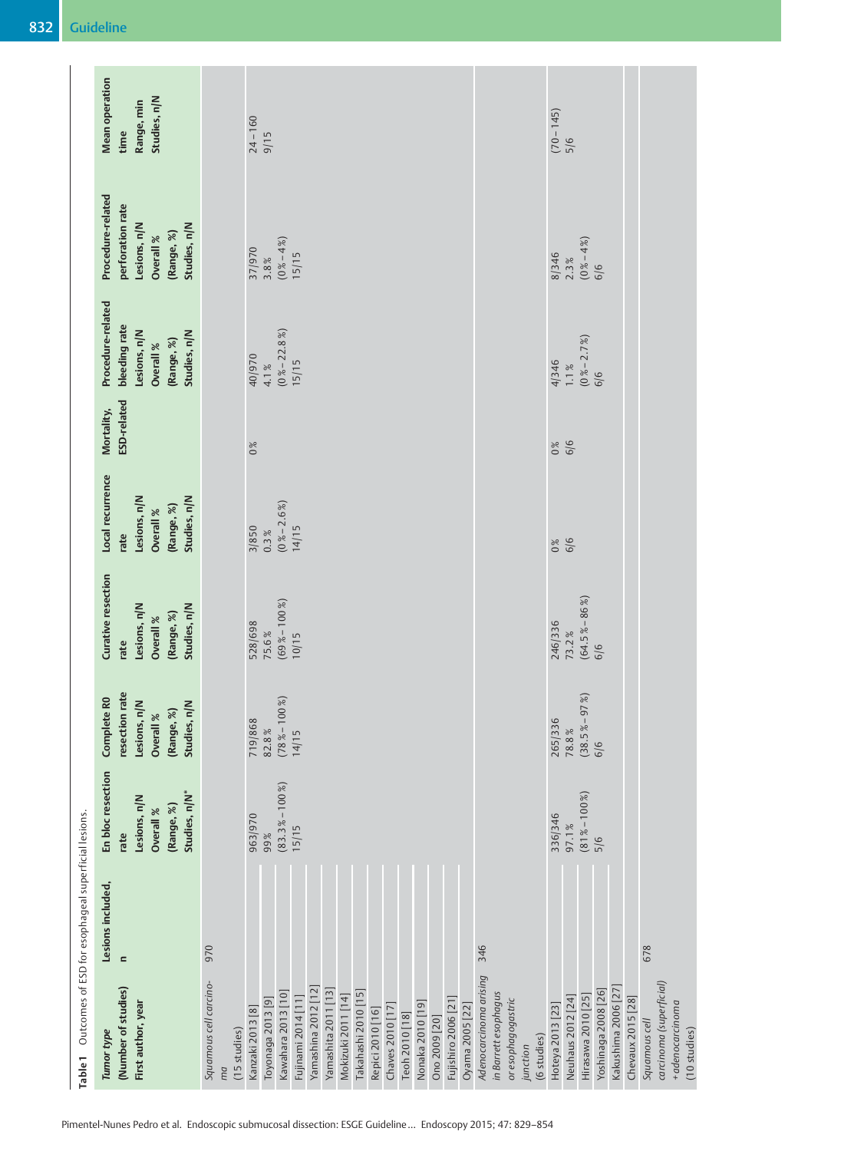| Table 1 Outcomes of ESD for esophageal superficial lesions. | (Number of studies)<br>First author, year<br>Tumor type                                              | Adenocarcinoma arising<br>Squamous cell carcino-<br>Yamashina 2012 [12]<br>Yamashita 2011 [13]<br>Kawahara 2013 [10]<br>Takahashi 2010 [15]<br>Mokizuki 2011 [14]<br>Fujinami 2014 [11]<br>Toyonaga 2013 [9]<br>Fujishiro 2006 [21]<br>Nonaka 2010 [19]<br>Chaves 2010 [17]<br>Oyama 2005 [22]<br>Kanzaki 2013 [8]<br>Repici 2010 [16]<br>Teoh 2010 [18]<br>Ono 2009 [20]<br>(15 studies)<br>ma | carcinoma (superficial)<br>Kakushima 2006 [27]<br>Yoshinaga 2008 [26]<br>in Barrett esophagus<br>Hirasawa 2010 [25]<br>Neuhaus 2012 [24]<br>Chevaux 2015 [28]<br>or esophagogastric<br>+ adenocarcinoma<br>Hoteya 2013 [23]<br>Squamous cell<br>(6 studies)<br>junction |
|-------------------------------------------------------------|------------------------------------------------------------------------------------------------------|-------------------------------------------------------------------------------------------------------------------------------------------------------------------------------------------------------------------------------------------------------------------------------------------------------------------------------------------------------------------------------------------------|-------------------------------------------------------------------------------------------------------------------------------------------------------------------------------------------------------------------------------------------------------------------------|
|                                                             | Lesions included,<br>$\equiv$                                                                        | 970<br>346                                                                                                                                                                                                                                                                                                                                                                                      | 678                                                                                                                                                                                                                                                                     |
|                                                             | En bloc resection<br>Studies, n/N*<br>Lesions, n/N<br>(Range, %)<br>Overall %<br>rate                | $(83.3\% - 100\%)$<br>963/970<br>15/15<br>99%                                                                                                                                                                                                                                                                                                                                                   | $(81\% - 100\%)$<br>336/346<br>97.1%<br>5/6                                                                                                                                                                                                                             |
|                                                             | resection rate<br>Complete R <sub>0</sub><br>Lesions, n/N<br>Overall %<br>(Range, %)<br>Studies, n/N | $(78\% - 100\%)$<br>719/868<br>82.8%<br>14/15                                                                                                                                                                                                                                                                                                                                                   | (819)<br>265/336<br>$(38.5% -$<br>$78.8\,\%$<br>6/6                                                                                                                                                                                                                     |
|                                                             | Curative resection<br>Studies, n/N<br>Lesions, n/N<br>(Range, %)<br>Overall %<br>rate                | $(69\% - 100\%)$<br>528/698<br>75.6%<br>10/15                                                                                                                                                                                                                                                                                                                                                   | $(64.5\% - 86\%)$<br>246/336<br>73.2%<br>6/6                                                                                                                                                                                                                            |
|                                                             | Local recurrence<br>Studies, n/N<br>Lesions, n/N<br>(Range, %)<br>Overall %<br>rate                  | $(0 % -2.6 % )$<br>3/850<br>14/15<br>0.3%                                                                                                                                                                                                                                                                                                                                                       | 6/6<br>0%                                                                                                                                                                                                                                                               |
|                                                             | ESD-related<br>Mortality,                                                                            | 0%                                                                                                                                                                                                                                                                                                                                                                                              | 6/6<br>0%                                                                                                                                                                                                                                                               |
|                                                             | Procedure-related<br>bleeding rate<br>Studies, n/N<br>Lesions, n/N<br>(Range, %)<br>Overall %        | $(0\% - 22.8\%)$<br>40/970<br>15/15<br>4.1%                                                                                                                                                                                                                                                                                                                                                     | $(0\% - 2.7\%)$<br>4/346<br>$1.1\%$<br>6/6                                                                                                                                                                                                                              |
|                                                             | Procedure-related<br>perforation rate<br>Studies, n/N<br>Lesions, n/N<br>(Range, %)<br>Overall %     | $(0 % -4 % )$<br>37/970<br>15/15<br>3.8%                                                                                                                                                                                                                                                                                                                                                        | $(0% - 4% )$<br>8/346<br>2.3%<br>6/6                                                                                                                                                                                                                                    |
|                                                             | <b>Mean operation</b><br>Studies, n/N<br>Range, min<br>time                                          | $24 - 160$<br>9/15                                                                                                                                                                                                                                                                                                                                                                              | $(70 - 145)$<br>5/6                                                                                                                                                                                                                                                     |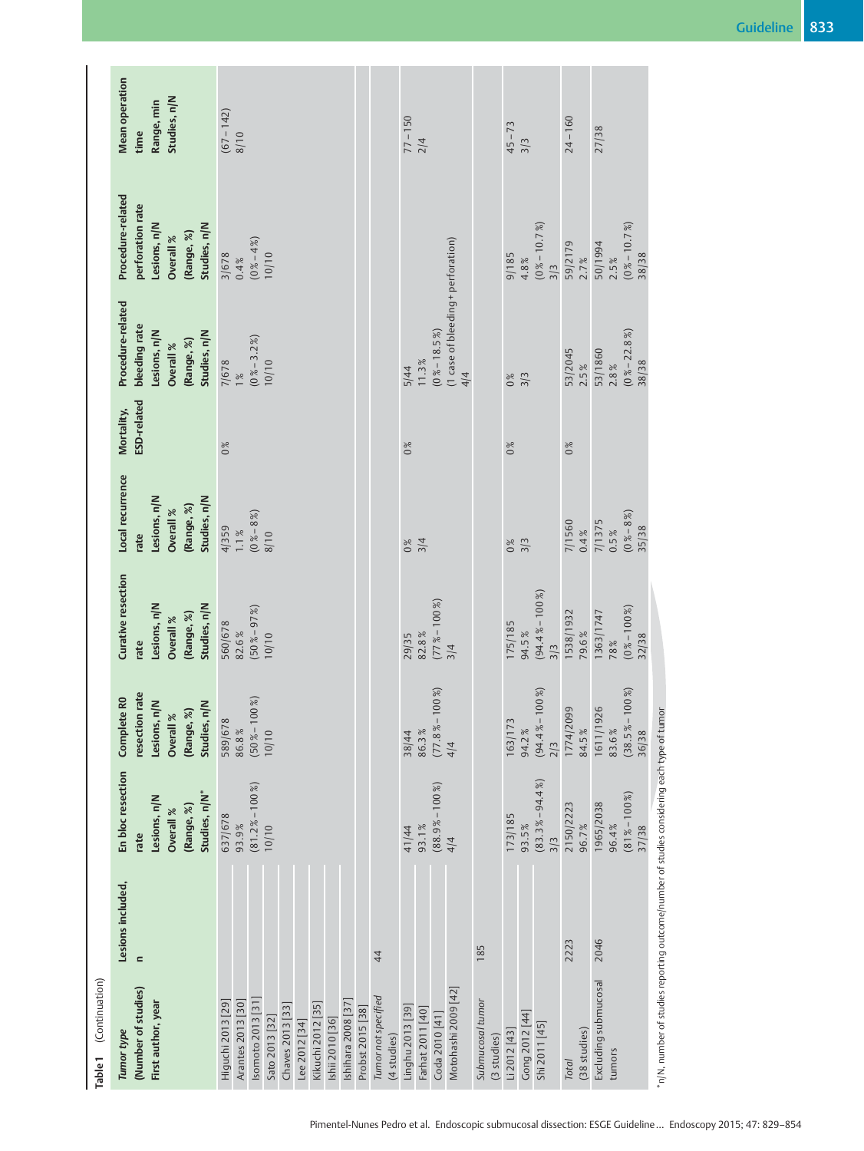| Table 1 (Continuation)                                                                                                                                                                                                                     |                               |                                                                                       |                                                                                                                  |                                                                                              |                                                                                     |                           |                                                                                               |                                                                                                  |                                                             |
|--------------------------------------------------------------------------------------------------------------------------------------------------------------------------------------------------------------------------------------------|-------------------------------|---------------------------------------------------------------------------------------|------------------------------------------------------------------------------------------------------------------|----------------------------------------------------------------------------------------------|-------------------------------------------------------------------------------------|---------------------------|-----------------------------------------------------------------------------------------------|--------------------------------------------------------------------------------------------------|-------------------------------------------------------------|
| (Number of studies)<br>First author, year<br>Tumor type                                                                                                                                                                                    | Lesions included,<br>$\equiv$ | En bloc resection<br>Studies, n/N*<br>Lesions, n/N<br>(Range, %)<br>Overall %<br>rate | <b>I</b> rate<br>Complete R <sub>0</sub><br>Lesions, n/N<br>(Range, %)<br>Studies, n/N<br>Overall %<br>resection | <b>Curative resection</b><br>Lesions, n/N<br>Studies, n/N<br>(Range, %)<br>Overall %<br>rate | Local recurrence<br>Lesions, n/N<br>Studies, n/N<br>(Range, %)<br>Overall %<br>rate | ESD-related<br>Mortality, | Procedure-related<br>bleeding rate<br>Lesions, n/N<br>(Range, %)<br>Studies, n/N<br>Overall % | Procedure-related<br>perforation rate<br>Lesions, n/N<br>Studies, n/N<br>(Range, %)<br>Overall % | <b>Mean operation</b><br>Studies, n/N<br>Range, min<br>time |
| Tumor not specified<br>Isomoto 2013 [31]<br>Higuchi 2013 [29]<br>Arantes 2013 [30]<br>Ishihara 2008 [37]<br>Kikuchi 2012 [35]<br>Chaves 2013 [33]<br>Probst 2015 [38]<br>Sato 2013 [32]<br>Ishii 2010 [36]<br>Lee 2012 [34]<br>(4 studies) | 44                            | $(81.2\% - 100\%)$<br>637/678<br>93.9%<br>10/10                                       | $(50\% - 100\%)$<br>589/678<br>86.8%<br>10/10                                                                    | $(50\% - 97\%)$<br>560/678<br>82.6%<br>10/10                                                 | $(0\,8 - 8\%)$<br>4/359<br>1.1%<br>8/10                                             | 0%                        | $0\% - 3.2\%$<br>10/10<br>7/678                                                               | $(0\% - 4\%)$<br>10/10<br>3/678<br>0.4%                                                          | $(67 - 142)$<br>8/10                                        |
| Motohashi 2009 [42]<br>Submucosal tumor<br>Linghu 2013 [39]<br>Farhat 2011 [40]<br>Coda 2010 [41]                                                                                                                                          | 185                           | $(88.9\% - 100\%)$<br>93.1%<br>41/44<br>4/4                                           | 100%<br>$(77.8\% -$<br>86.3%<br>38/44<br>4/4                                                                     | $(77\% - 100\%)$<br>82.8%<br>29/35<br>3/4                                                    | 3/4<br>0%                                                                           | 0%                        | (1 case of bleeding + perforation)<br>$(0\% - 18.5\%)$<br>11.3%<br>5/44<br>4/4                |                                                                                                  | $77 - 150$<br>2/4                                           |
| Gong 2012 [44]<br>Shi 2011 [45]<br>Li 2012 [43]<br>(3 studies)                                                                                                                                                                             |                               | $(83.3\% - 94.4\%)$<br>173/185<br>93.5%<br>3/3                                        | 100%)<br>$(94.4% -$<br>163/173<br>94.2%<br>2/3                                                                   | $(94.4\% - 100\%)$<br>175/185<br>94.5%<br>3/3                                                | 3/3<br>0%                                                                           | 0%                        | 3/3<br>0%                                                                                     | $(0 % - 10.7%)$<br>3/3<br>9/185<br>4.8%                                                          | $45 - 73$<br>3/3                                            |
| (38 studies)<br><b>Total</b>                                                                                                                                                                                                               | 2223                          | 2150/2223<br>96.7%                                                                    | 1774/2099<br>84.5%                                                                                               | 1538/1932<br>79.6%                                                                           | 7/1560<br>0.4%                                                                      | 0%                        | 53/2045<br>2.5%                                                                               | 59/2179<br>2.7%                                                                                  | $24 - 160$                                                  |
| Excluding submucosal<br>tumors                                                                                                                                                                                                             | 2046                          | $(81\% - 100\%)$<br>1965/2038<br>96.4%<br>37/38                                       | 100%<br>1611/1926<br>(38.5%<br>83.6%<br>36/38                                                                    | 1363/1747<br>32/38<br>78%                                                                    | $(0 % - 8 % )$<br>7/1375<br>35/38<br>0.5%                                           |                           | $(0\% - 22.8\%)$<br>53/1860<br>38/38<br>2.8%                                                  | $(0 8 - 10.7 8)$<br>50/1994<br>38/38<br>2.5%                                                     | 27/38                                                       |
| "n/N, number of studies reporting outcome/number of studies considering each type of tumor                                                                                                                                                 |                               |                                                                                       |                                                                                                                  |                                                                                              |                                                                                     |                           |                                                                                               |                                                                                                  |                                                             |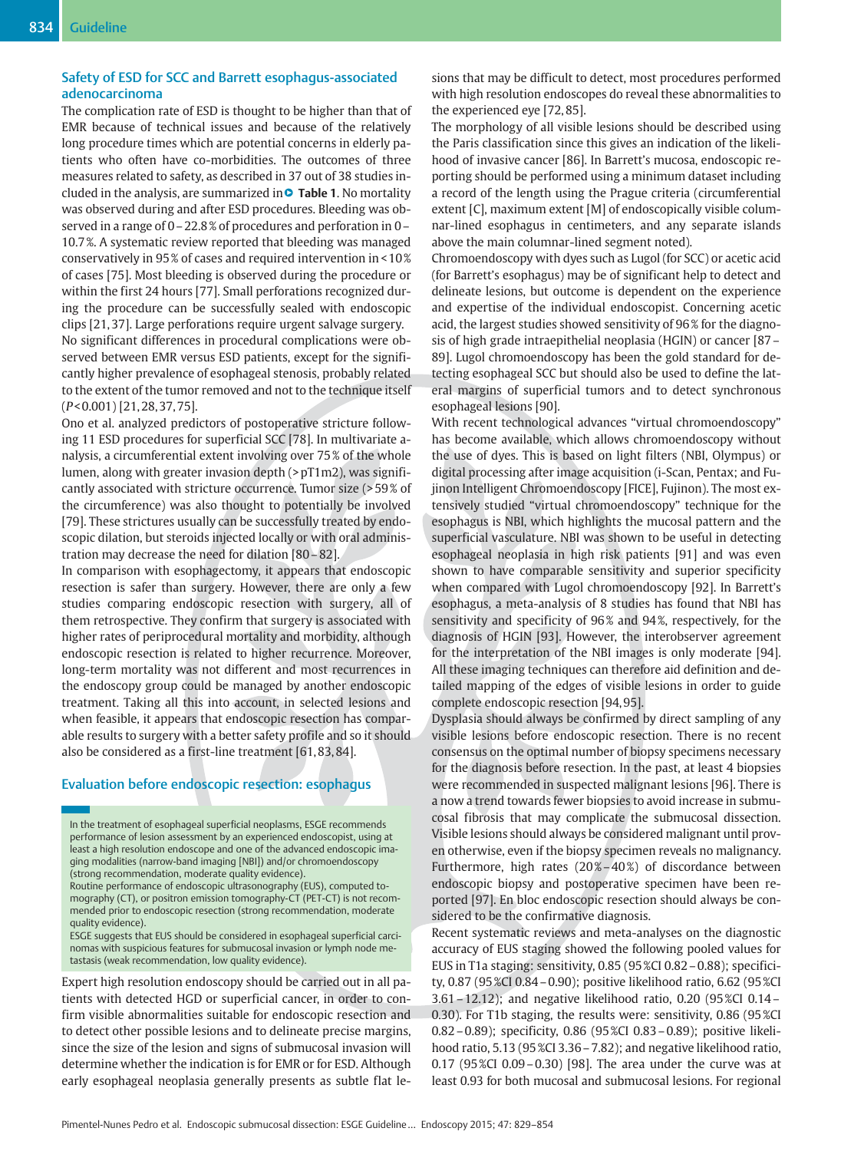## Safety of ESD for SCC and Barrett esophagus-associated adenocarcinoma

The complication rate of ESD is thought to be higher than that of EMR because of technical issues and because of the relatively long procedure times which are potential concerns in elderly patients who often have co-morbidities. The outcomes of three measures related to safety, as described in 37 out of 38 studies included in the analysis, are summarized in��� <mark>Table 1.</mark> No mortality was observed during and after ESD procedures. Bleeding was observed in a range of 0–22.8 % of procedures and perforation in 0– 10.7 %. A systematic review reported that bleeding was managed conservatively in 95 % of cases and required intervention in < 10 % of cases [75]. Most bleeding is observed during the procedure or within the first 24 hours [77]. Small perforations recognized during the procedure can be successfully sealed with endoscopic clips [21, 37]. Large perforations require urgent salvage surgery.

No significant differences in procedural complications were observed between EMR versus ESD patients, except for the significantly higher prevalence of esophageal stenosis, probably related to the extent of the tumor removed and not to the technique itself (P< 0.001) [21, 28, 37, 75].

Ono et al. analyzed predictors of postoperative stricture following 11 ESD procedures for superficial SCC [78]. In multivariate analysis, a circumferential extent involving over 75 % of the whole lumen, along with greater invasion depth (> pT1m2), was significantly associated with stricture occurrence. Tumor size (> 59 % of the circumference) was also thought to potentially be involved [79]. These strictures usually can be successfully treated by endoscopic dilation, but steroids injected locally or with oral administration may decrease the need for dilation [80–82].

In comparison with esophagectomy, it appears that endoscopic resection is safer than surgery. However, there are only a few studies comparing endoscopic resection with surgery, all of them retrospective. They confirm that surgery is associated with higher rates of periprocedural mortality and morbidity, although endoscopic resection is related to higher recurrence. Moreover, long-term mortality was not different and most recurrences in the endoscopy group could be managed by another endoscopic treatment. Taking all this into account, in selected lesions and when feasible, it appears that endoscopic resection has comparable results to surgery with a better safety profile and so it should also be considered as a first-line treatment [61, 83, 84].

## Evaluation before endoscopic resection: esophagus

In the treatment of esophageal superficial neoplasms, ESGE recommends performance of lesion assessment by an experienced endoscopist, using at least a high resolution endoscope and one of the advanced endoscopic imaging modalities (narrow-band imaging [NBI]) and/or chromoendoscopy (strong recommendation, moderate quality evidence).

Routine performance of endoscopic ultrasonography (EUS), computed tomography (CT), or positron emission tomography-CT (PET-CT) is not recommended prior to endoscopic resection (strong recommendation, moderate quality evidence).

ESGE suggests that EUS should be considered in esophageal superficial carcinomas with suspicious features for submucosal invasion or lymph node metastasis (weak recommendation, low quality evidence).

Expert high resolution endoscopy should be carried out in all patients with detected HGD or superficial cancer, in order to confirm visible abnormalities suitable for endoscopic resection and to detect other possible lesions and to delineate precise margins, since the size of the lesion and signs of submucosal invasion will determine whether the indication is for EMR or for ESD. Although early esophageal neoplasia generally presents as subtle flat lesions that may be difficult to detect, most procedures performed with high resolution endoscopes do reveal these abnormalities to the experienced eye [72, 85].

The morphology of all visible lesions should be described using the Paris classification since this gives an indication of the likelihood of invasive cancer [86]. In Barrett's mucosa, endoscopic reporting should be performed using a minimum dataset including a record of the length using the Prague criteria (circumferential extent [C], maximum extent [M] of endoscopically visible columnar-lined esophagus in centimeters, and any separate islands above the main columnar-lined segment noted).

Chromoendoscopy with dyes such as Lugol (for SCC) or acetic acid (for Barrett's esophagus) may be of significant help to detect and delineate lesions, but outcome is dependent on the experience and expertise of the individual endoscopist. Concerning acetic acid, the largest studies showed sensitivity of 96 % for the diagnosis of high grade intraepithelial neoplasia (HGIN) or cancer [87– 89]. Lugol chromoendoscopy has been the gold standard for detecting esophageal SCC but should also be used to define the lateral margins of superficial tumors and to detect synchronous esophageal lesions [90].

With recent technological advances "virtual chromoendoscopy" has become available, which allows chromoendoscopy without the use of dyes. This is based on light filters (NBI, Olympus) or digital processing after image acquisition (i-Scan, Pentax; and Fujinon Intelligent Chromoendoscopy [FICE], Fujinon). The most extensively studied "virtual chromoendoscopy" technique for the esophagus is NBI, which highlights the mucosal pattern and the superficial vasculature. NBI was shown to be useful in detecting esophageal neoplasia in high risk patients [91] and was even shown to have comparable sensitivity and superior specificity when compared with Lugol chromoendoscopy [92]. In Barrett's esophagus, a meta-analysis of 8 studies has found that NBI has sensitivity and specificity of 96% and 94%, respectively, for the diagnosis of HGIN [93]. However, the interobserver agreement for the interpretation of the NBI images is only moderate [94]. All these imaging techniques can therefore aid definition and detailed mapping of the edges of visible lesions in order to guide complete endoscopic resection [94, 95].

Dysplasia should always be confirmed by direct sampling of any visible lesions before endoscopic resection. There is no recent consensus on the optimal number of biopsy specimens necessary for the diagnosis before resection. In the past, at least 4 biopsies were recommended in suspected malignant lesions [96]. There is a now a trend towards fewer biopsies to avoid increase in submucosal fibrosis that may complicate the submucosal dissection. Visible lesions should always be considered malignant until proven otherwise, even if the biopsy specimen reveals no malignancy. Furthermore, high rates  $(20\% - 40\%)$  of discordance between endoscopic biopsy and postoperative specimen have been reported [97]. En bloc endoscopic resection should always be considered to be the confirmative diagnosis.

Recent systematic reviews and meta-analyses on the diagnostic accuracy of EUS staging showed the following pooled values for EUS in T1a staging: sensitivity, 0.85 (95 %CI 0.82–0.88); specificity, 0.87 (95 %CI 0.84–0.90); positive likelihood ratio, 6.62 (95 %CI 3.61–12.12); and negative likelihood ratio, 0.20 (95 %CI 0.14– 0.30). For T1b staging, the results were: sensitivity, 0.86 (95 %CI 0.82–0.89); specificity, 0.86 (95 %CI 0.83–0.89); positive likelihood ratio, 5.13 (95 %CI 3.36 – 7.82); and negative likelihood ratio, 0.17 (95 %CI 0.09–0.30) [98]. The area under the curve was at least 0.93 for both mucosal and submucosal lesions. For regional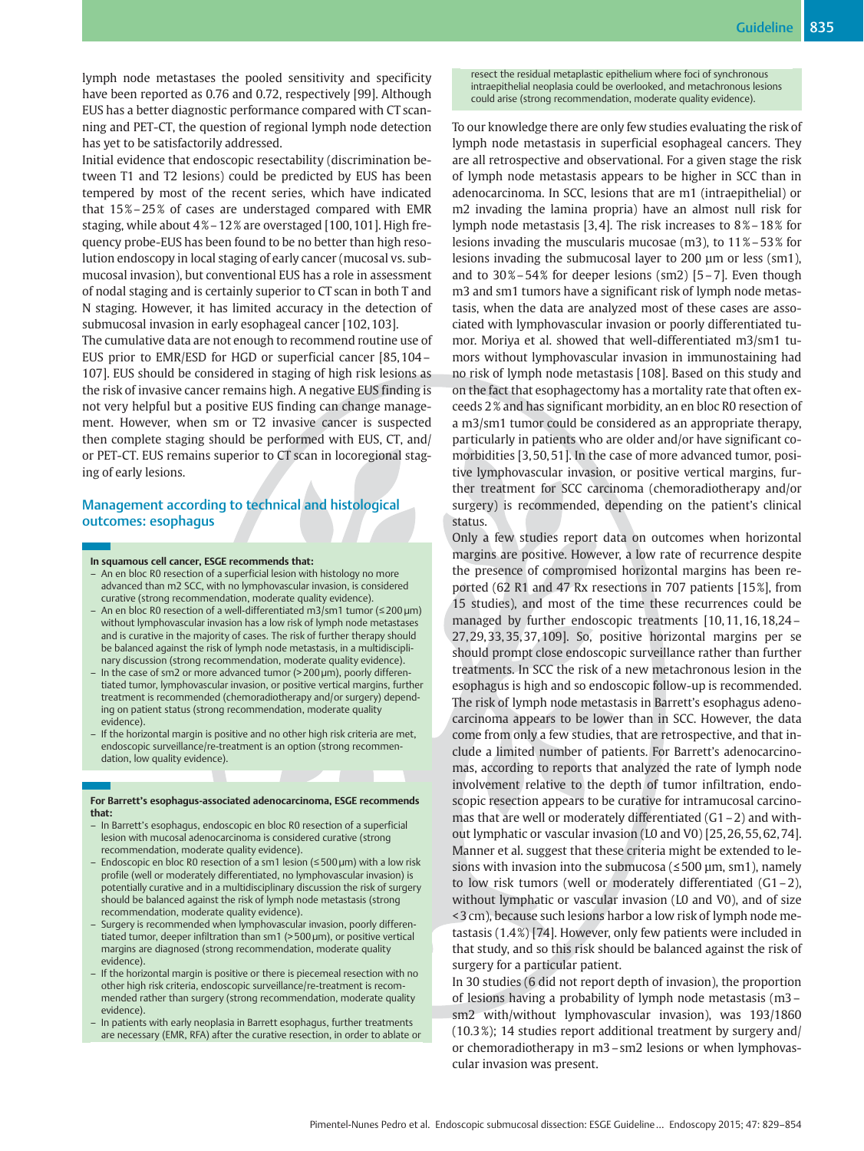lymph node metastases the pooled sensitivity and specificity have been reported as 0.76 and 0.72, respectively [99]. Although EUS has a better diagnostic performance compared with CT scanning and PET-CT, the question of regional lymph node detection has yet to be satisfactorily addressed.

Initial evidence that endoscopic resectability (discrimination between T1 and T2 lesions) could be predicted by EUS has been tempered by most of the recent series, which have indicated that 15 %–25 % of cases are understaged compared with EMR staging, while about 4% – 12% are overstaged [100, 101]. High frequency probe-EUS has been found to be no better than high resolution endoscopy in local staging of early cancer (mucosal vs. submucosal invasion), but conventional EUS has a role in assessment of nodal staging and is certainly superior to CT scan in both T and N staging. However, it has limited accuracy in the detection of submucosal invasion in early esophageal cancer [102, 103].

The cumulative data are not enough to recommend routine use of EUS prior to EMR/ESD for HGD or superficial cancer [85, 104– 107]. EUS should be considered in staging of high risk lesions as the risk of invasive cancer remains high. A negative EUS finding is not very helpful but a positive EUS finding can change management. However, when sm or T2 invasive cancer is suspected then complete staging should be performed with EUS, CT, and/ or PET-CT. EUS remains superior to CT scan in locoregional staging of early lesions.

## Management according to technical and histological outcomes: esophagus

- In squamous cell cancer, ESGE recommends that: – An en bloc R0 resection of a superficial lesion with histology no more advanced than m2 SCC, with no lymphovascular invasion, is considered curative (strong recommendation, moderate quality evidence).
- An en bloc R0 resection of a well-differentiated m3/sm1 tumor (≤200 µm) without lymphovascular invasion has a low risk of lymph node metastases and is curative in the majority of cases. The risk of further therapy should be balanced against the risk of lymph node metastasis, in a multidisciplinary discussion (strong recommendation, moderate quality evidence).
- In the case of sm2 or more advanced tumor (> 200 µm), poorly differentiated tumor, lymphovascular invasion, or positive vertical margins, further treatment is recommended (chemoradiotherapy and/or surgery) depending on patient status (strong recommendation, moderate quality evidence).
- If the horizontal margin is positive and no other high risk criteria are met, endoscopic surveillance/re-treatment is an option (strong recommendation, low quality evidence).

#### For Barrett's esophagus-associated adenocarcinoma, ESGE recommends that:

- In Barrett's esophagus, endoscopic en bloc R0 resection of a superficial lesion with mucosal adenocarcinoma is considered curative (strong recommendation, moderate quality evidence).
- Endoscopic en bloc R0 resection of a sm1 lesion (≤500 µm) with a low risk profile (well or moderately differentiated, no lymphovascular invasion) is potentially curative and in a multidisciplinary discussion the risk of surgery should be balanced against the risk of lymph node metastasis (strong recommendation, moderate quality evidence).
- Surgery is recommended when lymphovascular invasion, poorly differentiated tumor, deeper infiltration than sm1 (> 500 µm), or positive vertical margins are diagnosed (strong recommendation, moderate quality evidence).
- If the horizontal margin is positive or there is piecemeal resection with no other high risk criteria, endoscopic surveillance/re-treatment is recommended rather than surgery (strong recommendation, moderate quality evidence).
- In patients with early neoplasia in Barrett esophagus, further treatments are necessary (EMR, RFA) after the curative resection, in order to ablate or

resect the residual metaplastic epithelium where foci of synchronous intraepithelial neoplasia could be overlooked, and metachronous lesions could arise (strong recommendation, moderate quality evidence).

To our knowledge there are only few studies evaluating the risk of lymph node metastasis in superficial esophageal cancers. They are all retrospective and observational. For a given stage the risk of lymph node metastasis appears to be higher in SCC than in adenocarcinoma. In SCC, lesions that are m1 (intraepithelial) or m2 invading the lamina propria) have an almost null risk for lymph node metastasis [3,4]. The risk increases to 8% – 18% for lesions invading the muscularis mucosae (m3), to 11 %–53 % for lesions invading the submucosal layer to 200 μm or less (sm1), and to  $30\% - 54\%$  for deeper lesions (sm2) [5 – 7]. Even though m3 and sm1 tumors have a significant risk of lymph node metastasis, when the data are analyzed most of these cases are associated with lymphovascular invasion or poorly differentiated tumor. Moriya et al. showed that well-differentiated m3/sm1 tumors without lymphovascular invasion in immunostaining had no risk of lymph node metastasis [108]. Based on this study and on the fact that esophagectomy has a mortality rate that often exceeds 2 % and has significant morbidity, an en bloc R0 resection of a m3/sm1 tumor could be considered as an appropriate therapy, particularly in patients who are older and/or have significant comorbidities [3, 50, 51]. In the case of more advanced tumor, positive lymphovascular invasion, or positive vertical margins, further treatment for SCC carcinoma (chemoradiotherapy and/or surgery) is recommended, depending on the patient's clinical status.

Only a few studies report data on outcomes when horizontal margins are positive. However, a low rate of recurrence despite the presence of compromised horizontal margins has been reported (62 R1 and 47 Rx resections in 707 patients [15 %], from 15 studies), and most of the time these recurrences could be managed by further endoscopic treatments [10, 11, 16, 18,24– 27, 29, 33, 35, 37, 109]. So, positive horizontal margins per se should prompt close endoscopic surveillance rather than further treatments. In SCC the risk of a new metachronous lesion in the esophagus is high and so endoscopic follow-up is recommended. The risk of lymph node metastasis in Barrett's esophagus adenocarcinoma appears to be lower than in SCC. However, the data come from only a few studies, that are retrospective, and that include a limited number of patients. For Barrett's adenocarcinomas, according to reports that analyzed the rate of lymph node involvement relative to the depth of tumor infiltration, endoscopic resection appears to be curative for intramucosal carcinomas that are well or moderately differentiated (G1–2) and without lymphatic or vascular invasion (L0 and V0) [25, 26, 55, 62, 74]. Manner et al. suggest that these criteria might be extended to lesions with invasion into the submucosa ( $\leq$ 500 µm, sm1), namely to low risk tumors (well or moderately differentiated (G1–2), without lymphatic or vascular invasion (L0 and V0), and of size < 3 cm), because such lesions harbor a low risk of lymph node metastasis (1.4 %) [74]. However, only few patients were included in that study, and so this risk should be balanced against the risk of surgery for a particular patient.

In 30 studies (6 did not report depth of invasion), the proportion of lesions having a probability of lymph node metastasis (m3– sm2 with/without lymphovascular invasion), was 193/1860 (10.3 %); 14 studies report additional treatment by surgery and/ or chemoradiotherapy in m3–sm2 lesions or when lymphovascular invasion was present.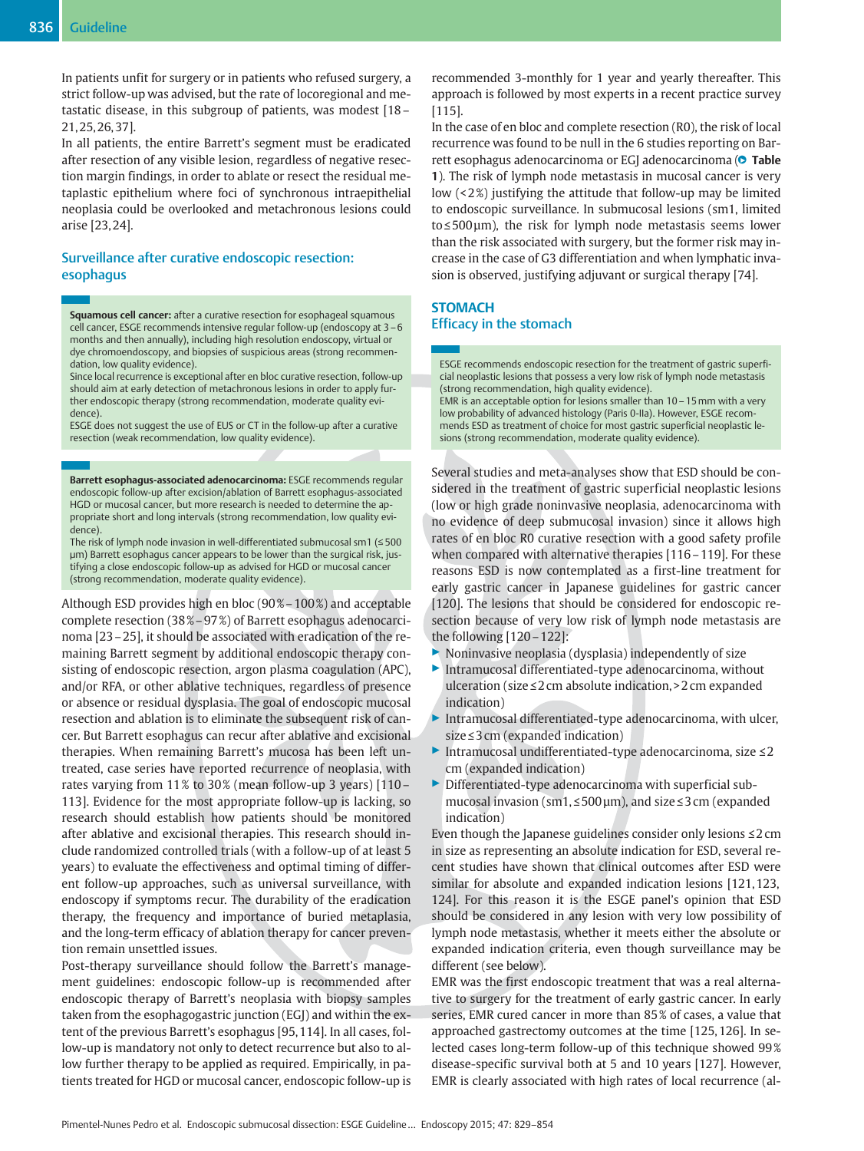In patients unfit for surgery or in patients who refused surgery, a strict follow-up was advised, but the rate of locoregional and metastatic disease, in this subgroup of patients, was modest [18– 21, 25, 26, 37].

In all patients, the entire Barrett's segment must be eradicated after resection of any visible lesion, regardless of negative resection margin findings, in order to ablate or resect the residual metaplastic epithelium where foci of synchronous intraepithelial neoplasia could be overlooked and metachronous lesions could arise [23, 24].

## Surveillance after curative endoscopic resection: esophagus

Squamous cell cancer: after a curative resection for esophageal squamous cell cancer, ESGE recommends intensive regular follow-up (endoscopy at 3–6 months and then annually), including high resolution endoscopy, virtual or dye chromoendoscopy, and biopsies of suspicious areas (strong recommendation, low quality evidence).

Since local recurrence is exceptional after en bloc curative resection, follow-up should aim at early detection of metachronous lesions in order to apply further endoscopic therapy (strong recommendation, moderate quality evidence).

ESGE does not suggest the use of EUS or CT in the follow-up after a curative resection (weak recommendation, low quality evidence).

Barrett esophagus-associated adenocarcinoma: ESGE recommends regular endoscopic follow-up after excision/ablation of Barrett esophagus-associated HGD or mucosal cancer, but more research is needed to determine the appropriate short and long intervals (strong recommendation, low quality evidence).

The risk of lymph node invasion in well-differentiated submucosal sm1 (≤500 µm) Barrett esophagus cancer appears to be lower than the surgical risk, justifying a close endoscopic follow-up as advised for HGD or mucosal cancer (strong recommendation, moderate quality evidence).

Although ESD provides high en bloc (90 %–100 %) and acceptable complete resection (38 %–97 %) of Barrett esophagus adenocarcinoma [23–25], it should be associated with eradication of the remaining Barrett segment by additional endoscopic therapy consisting of endoscopic resection, argon plasma coagulation (APC), and/or RFA, or other ablative techniques, regardless of presence or absence or residual dysplasia. The goal of endoscopic mucosal resection and ablation is to eliminate the subsequent risk of cancer. But Barrett esophagus can recur after ablative and excisional therapies. When remaining Barrett's mucosa has been left untreated, case series have reported recurrence of neoplasia, with rates varying from 11% to 30% (mean follow-up 3 years) [110 -113]. Evidence for the most appropriate follow-up is lacking, so research should establish how patients should be monitored after ablative and excisional therapies. This research should include randomized controlled trials (with a follow-up of at least 5 years) to evaluate the effectiveness and optimal timing of different follow-up approaches, such as universal surveillance, with endoscopy if symptoms recur. The durability of the eradication therapy, the frequency and importance of buried metaplasia, and the long-term efficacy of ablation therapy for cancer prevention remain unsettled issues.

Post-therapy surveillance should follow the Barrett's management guidelines: endoscopic follow-up is recommended after endoscopic therapy of Barrett's neoplasia with biopsy samples taken from the esophagogastric junction (EGJ) and within the extent of the previous Barrett's esophagus [95, 114]. In all cases, follow-up is mandatory not only to detect recurrence but also to allow further therapy to be applied as required. Empirically, in patients treated for HGD or mucosal cancer, endoscopic follow-up is

recommended 3-monthly for 1 year and yearly thereafter. This approach is followed by most experts in a recent practice survey [115].

In the case of en bloc and complete resection (R0), the risk of local recurrence was found to be null in the 6 studies reporting on Barrett esophagus adenocarcinoma or EGJ adenocarcinoma (**O) Table** 1). The risk of lymph node metastasis in mucosal cancer is very low (<2%) justifying the attitude that follow-up may be limited to endoscopic surveillance. In submucosal lesions (sm1, limited to≤500 µm), the risk for lymph node metastasis seems lower than the risk associated with surgery, but the former risk may increase in the case of G3 differentiation and when lymphatic invasion is observed, justifying adjuvant or surgical therapy [74].

## **STOMACH** Efficacy in the stomach

ESGE recommends endoscopic resection for the treatment of gastric superficial neoplastic lesions that possess a very low risk of lymph node metastasis (strong recommendation, high quality evidence).

EMR is an acceptable option for lesions smaller than 10–15mm with a very low probability of advanced histology (Paris 0-IIa). However, ESGE recommends ESD as treatment of choice for most gastric superficial neoplastic lesions (strong recommendation, moderate quality evidence).

Several studies and meta-analyses show that ESD should be considered in the treatment of gastric superficial neoplastic lesions (low or high grade noninvasive neoplasia, adenocarcinoma with no evidence of deep submucosal invasion) since it allows high rates of en bloc R0 curative resection with a good safety profile when compared with alternative therapies [116–119]. For these reasons ESD is now contemplated as a first-line treatment for early gastric cancer in Japanese guidelines for gastric cancer [120]. The lesions that should be considered for endoscopic resection because of very low risk of lymph node metastasis are the following [120–122]:

- ▶ Noninvasive neoplasia (dysplasia) independently of size
- ▶ Intramucosal differentiated-type adenocarcinoma, without ulceration (size≤2 cm absolute indication, > 2 cm expanded indication)
- Intramucosal differentiated-type adenocarcinoma, with ulcer, size≤3 cm (expanded indication)
- ▶ Intramucosal undifferentiated-type adenocarcinoma, size ≤2 cm (expanded indication)
- ▶ Differentiated-type adenocarcinoma with superficial submucosal invasion (sm1,≤500 µm), and size≤3 cm (expanded indication)

Even though the Japanese guidelines consider only lesions  $\leq 2$  cm in size as representing an absolute indication for ESD, several recent studies have shown that clinical outcomes after ESD were similar for absolute and expanded indication lesions [121, 123, 124]. For this reason it is the ESGE panel's opinion that ESD should be considered in any lesion with very low possibility of lymph node metastasis, whether it meets either the absolute or expanded indication criteria, even though surveillance may be different (see below).

EMR was the first endoscopic treatment that was a real alternative to surgery for the treatment of early gastric cancer. In early series, EMR cured cancer in more than 85 % of cases, a value that approached gastrectomy outcomes at the time [125, 126]. In selected cases long-term follow-up of this technique showed 99 % disease-specific survival both at 5 and 10 years [127]. However, EMR is clearly associated with high rates of local recurrence (al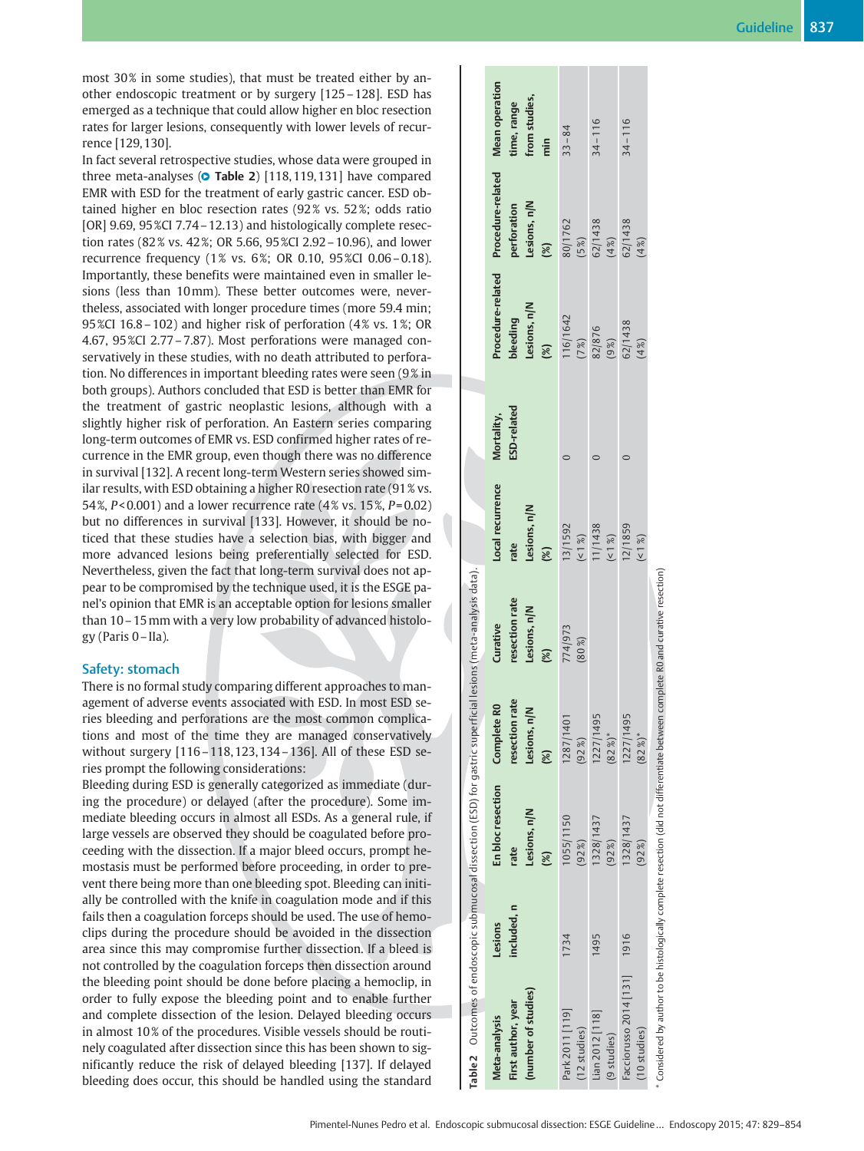most 30% in some studies), that must be treated either by another endoscopic treatment or by surgery [125–128]. ESD has emerged as a technique that could allow higher en bloc resection rates for larger lesions, consequently with lower levels of recurrence [129, 130].

In fact several retrospective studies, whose data were grouped in three meta-analyses (**O Table 2**) [118,119,131] have compared EMR with ESD for the treatment of early gastric cancer. ESD obtained higher en bloc resection rates (92% vs. 52%; odds ratio [OR] 9.69, 95 %CI 7.74 – 12.13) and histologically complete resection rates (82% vs. 42%; OR 5.66, 95%CI 2.92 - 10.96), and lower recurrence frequency (1% vs. 6%; OR 0.10, 95%CI 0.06-0.18). Importantly, these benefits were maintained even in smaller lesions (less than 10mm). These better outcomes were, nevertheless, associated with longer procedure times (more 59.4 min; 95 %CI 16.8 – 102) and higher risk of perforation (4% vs. 1%; OR 4.67, 95 %CI 2.77–7.87). Most perforations were managed conservatively in these studies, with no death attributed to perforation. No differences in important bleeding rates were seen (9% in both groups). Authors concluded that ESD is better than EMR for the treatment of gastric neoplastic lesions, although with a slightly higher risk of perforation. An Eastern series comparing long-term outcomes of EMR vs. ESD confirmed higher rates of recurrence in the EMR group, even though there was no difference in survival [132]. A recent long-term Western series showed similar results, with ESD obtaining a higher R0 resection rate (91 % vs. 54 %,  $P < 0.001$ ) and a lower recurrence rate (4% vs. 15%,  $P = 0.02$ ) but no differences in survival [133]. However, it should be noticed that these studies have a selection bias, with bigger and more advanced lesions being preferentially selected for ESD. Nevertheless, given the fact that long-term survival does not appear to be compromised by the technique used, it is the ESGE panel's opinion that EMR is an acceptable option for lesions smaller than 10–15mm with a very low probability of advanced histology (Paris 0–IIa).

## Safety: stomach

There is no formal study comparing different approaches to management of adverse events associated with ESD. In most ESD series bleeding and perforations are the most common complications and most of the time they are managed conservatively without surgery [116–118, 123, 134–136]. All of these ESD series prompt the following considerations:

Bleeding during ESD is generally categorized as immediate (during the procedure) or delayed (after the procedure). Some immediate bleeding occurs in almost all ESDs. As a general rule, if large vessels are observed they should be coagulated before proceeding with the dissection. If a major bleed occurs, prompt hemostasis must be performed before proceeding, in order to prevent there being more than one bleeding spot. Bleeding can initially be controlled with the knife in coagulation mode and if this fails then a coagulation forceps should be used. The use of hemoclips during the procedure should be avoided in the dissection area since this may compromise further dissection. If a bleed is not controlled by the coagulation forceps then dissection around the bleeding point should be done before placing a hemoclip, in order to fully expose the bleeding point and to enable further and complete dissection of the lesion. Delayed bleeding occurs in almost 10% of the procedures. Visible vessels should be routinely coagulated after dissection since this has been shown to significantly reduce the risk of delayed bleeding [137]. If delayed bleeding does occur, this should be handled using the standard

| Table2 Outcomes of endoscopic submucosal dissection (ESD) for gastric superficial lesions (meta-analysis data).                   |                       |                                                                      |                                                                                |                                                               |                                                 |                           |                                                           |                                                            |                                                                        |
|-----------------------------------------------------------------------------------------------------------------------------------|-----------------------|----------------------------------------------------------------------|--------------------------------------------------------------------------------|---------------------------------------------------------------|-------------------------------------------------|---------------------------|-----------------------------------------------------------|------------------------------------------------------------|------------------------------------------------------------------------|
| (number of studies)<br>First author, year<br>Meta-analysis                                                                        | included.n<br>Lesions | En bloc resection<br>Lesions, n/N<br>rate<br>$\widehat{\mathcal{S}}$ | rate<br>R <sub>0</sub><br>$\leq$<br>Complete<br>resection<br>Lesions, r<br>(%) | resection rate<br>Lesions, n/N<br>Curative<br>$\mathscr{C}_2$ | Local recurrence<br>Lesions, n/N<br>rate<br>(%) | ESD-related<br>Mortality, | Procedure-related<br>Lesions, n/N<br>bleeding<br>$\infty$ | Procedure-related<br>perforation<br>Lesions, n/N<br>$(\%)$ | <b>Mean operation</b><br>from studies,<br>cime, range<br>$\frac{1}{2}$ |
| Park 2011 [119]<br>$(12$ studies)                                                                                                 | 1734                  | 1055/1150<br>(92%                                                    | 1287/1401<br>(92%)                                                             | 774/973<br>$(80\%)$                                           |                                                 |                           | $116/1642$<br>(7%)                                        | 80/1762<br>(5%)                                            | $33 - 84$                                                              |
| Lian 2012 [118]<br>(9 studies)                                                                                                    | 1495                  | 1328/1437<br>(92%)                                                   | 1227/149<br>$(82\%)$ *                                                         |                                                               | 13/1592<br>(<1%)<br>11/1438<br>(<1%)<br>(<1%)   |                           | 82/876<br>(9%)                                            | 62/1438<br>$(4\%)$                                         | $34 - 116$                                                             |
| Facciorusso 2014 [131] 1916<br>$(10$ studies)                                                                                     |                       | 1328/1437<br>(92%)                                                   | 1227/149<br>$(82\%)$ *                                                         |                                                               | $($ < 1 %)                                      |                           | 62/1438<br>(%7)                                           | 62/1438<br>4%)                                             | $34 - 116$                                                             |
| * Considered by author to be histologically complete resection (did not differentiate between complete R0 and curative resection) |                       |                                                                      |                                                                                |                                                               |                                                 |                           |                                                           |                                                            |                                                                        |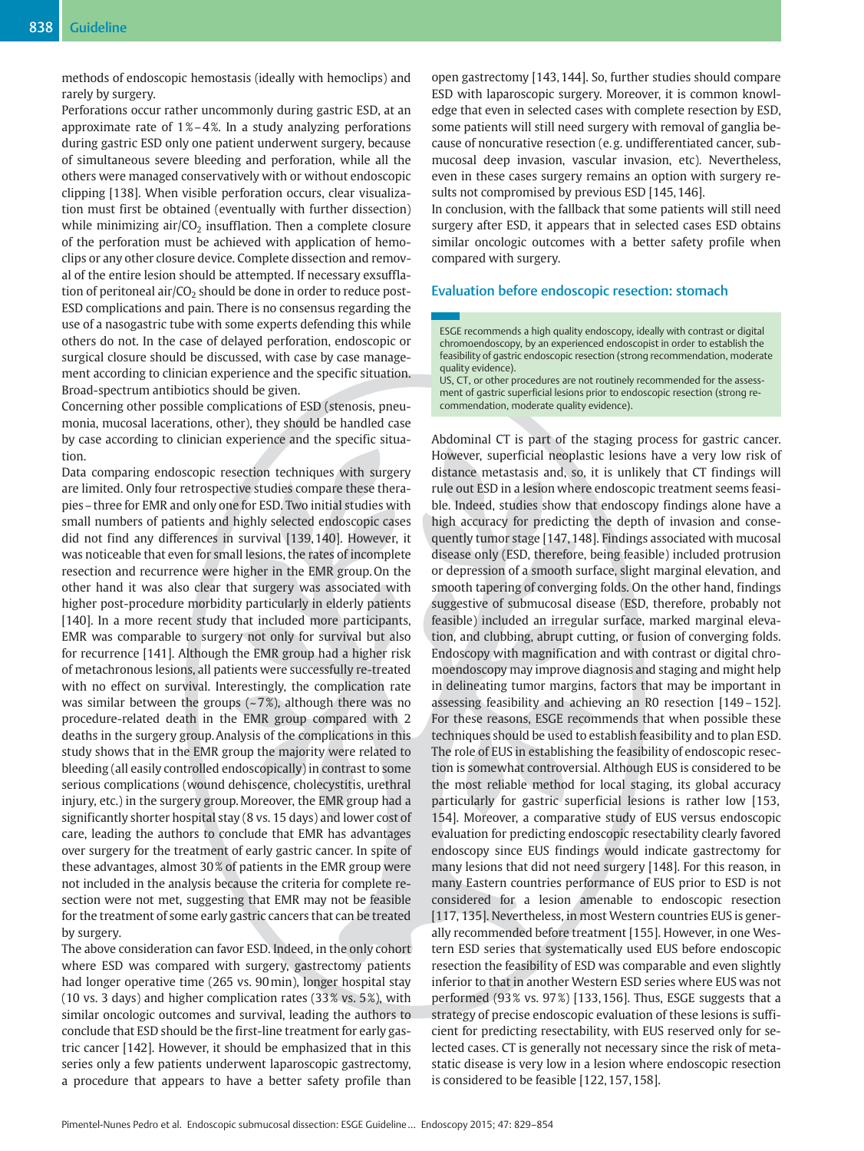methods of endoscopic hemostasis (ideally with hemoclips) and rarely by surgery.

Perforations occur rather uncommonly during gastric ESD, at an approximate rate of  $1\% - 4\%$ . In a study analyzing perforations during gastric ESD only one patient underwent surgery, because of simultaneous severe bleeding and perforation, while all the others were managed conservatively with or without endoscopic clipping [138]. When visible perforation occurs, clear visualization must first be obtained (eventually with further dissection) while minimizing  $air/CO<sub>2</sub>$  insufflation. Then a complete closure of the perforation must be achieved with application of hemoclips or any other closure device. Complete dissection and removal of the entire lesion should be attempted. If necessary exsufflation of peritoneal air/ $CO<sub>2</sub>$  should be done in order to reduce post-ESD complications and pain. There is no consensus regarding the use of a nasogastric tube with some experts defending this while others do not. In the case of delayed perforation, endoscopic or surgical closure should be discussed, with case by case management according to clinician experience and the specific situation. Broad-spectrum antibiotics should be given.

Concerning other possible complications of ESD (stenosis, pneumonia, mucosal lacerations, other), they should be handled case by case according to clinician experience and the specific situation.

Data comparing endoscopic resection techniques with surgery are limited. Only four retrospective studies compare these therapies–three for EMR and only one for ESD. Two initial studies with small numbers of patients and highly selected endoscopic cases did not find any differences in survival [139, 140]. However, it was noticeable that even for small lesions, the rates of incomplete resection and recurrence were higher in the EMR group. On the other hand it was also clear that surgery was associated with higher post-procedure morbidity particularly in elderly patients [140]. In a more recent study that included more participants, EMR was comparable to surgery not only for survival but also for recurrence [141]. Although the EMR group had a higher risk of metachronous lesions, all patients were successfully re-treated with no effect on survival. Interestingly, the complication rate was similar between the groups  $(-7%)$ , although there was no procedure-related death in the EMR group compared with 2 deaths in the surgery group. Analysis of the complications in this study shows that in the EMR group the majority were related to bleeding (all easily controlled endoscopically) in contrast to some serious complications (wound dehiscence, cholecystitis, urethral injury, etc.) in the surgery group.Moreover, the EMR group had a significantly shorter hospital stay (8 vs. 15 days) and lower cost of care, leading the authors to conclude that EMR has advantages over surgery for the treatment of early gastric cancer. In spite of these advantages, almost 30 % of patients in the EMR group were not included in the analysis because the criteria for complete resection were not met, suggesting that EMR may not be feasible for the treatment of some early gastric cancers that can be treated by surgery.

The above consideration can favor ESD. Indeed, in the only cohort where ESD was compared with surgery, gastrectomy patients had longer operative time (265 vs. 90min), longer hospital stay (10 vs. 3 days) and higher complication rates (33 % vs. 5 %), with similar oncologic outcomes and survival, leading the authors to conclude that ESD should be the first-line treatment for early gastric cancer [142]. However, it should be emphasized that in this series only a few patients underwent laparoscopic gastrectomy, a procedure that appears to have a better safety profile than

open gastrectomy [143, 144]. So, further studies should compare ESD with laparoscopic surgery. Moreover, it is common knowledge that even in selected cases with complete resection by ESD, some patients will still need surgery with removal of ganglia because of noncurative resection (e. g. undifferentiated cancer, submucosal deep invasion, vascular invasion, etc). Nevertheless, even in these cases surgery remains an option with surgery results not compromised by previous ESD [145, 146].

In conclusion, with the fallback that some patients will still need surgery after ESD, it appears that in selected cases ESD obtains similar oncologic outcomes with a better safety profile when compared with surgery.

## Evaluation before endoscopic resection: stomach

ESGE recommends a high quality endoscopy, ideally with contrast or digital chromoendoscopy, by an experienced endoscopist in order to establish the feasibility of gastric endoscopic resection (strong recommendation, moderate quality evidence).

US, CT, or other procedures are not routinely recommended for the assessment of gastric superficial lesions prior to endoscopic resection (strong recommendation, moderate quality evidence).

Abdominal CT is part of the staging process for gastric cancer. However, superficial neoplastic lesions have a very low risk of distance metastasis and, so, it is unlikely that CT findings will rule out ESD in a lesion where endoscopic treatment seems feasible. Indeed, studies show that endoscopy findings alone have a high accuracy for predicting the depth of invasion and consequently tumor stage [147, 148]. Findings associated with mucosal disease only (ESD, therefore, being feasible) included protrusion or depression of a smooth surface, slight marginal elevation, and smooth tapering of converging folds. On the other hand, findings suggestive of submucosal disease (ESD, therefore, probably not feasible) included an irregular surface, marked marginal elevation, and clubbing, abrupt cutting, or fusion of converging folds. Endoscopy with magnification and with contrast or digital chromoendoscopy may improve diagnosis and staging and might help in delineating tumor margins, factors that may be important in assessing feasibility and achieving an R0 resection [149–152]. For these reasons, ESGE recommends that when possible these techniques should be used to establish feasibility and to plan ESD. The role of EUS in establishing the feasibility of endoscopic resection is somewhat controversial. Although EUS is considered to be the most reliable method for local staging, its global accuracy particularly for gastric superficial lesions is rather low [153, 154]. Moreover, a comparative study of EUS versus endoscopic evaluation for predicting endoscopic resectability clearly favored endoscopy since EUS findings would indicate gastrectomy for many lesions that did not need surgery [148]. For this reason, in many Eastern countries performance of EUS prior to ESD is not considered for a lesion amenable to endoscopic resection [117, 135]. Nevertheless, in most Western countries EUS is generally recommended before treatment [155]. However, in one Western ESD series that systematically used EUS before endoscopic resection the feasibility of ESD was comparable and even slightly inferior to that in another Western ESD series where EUS was not performed (93% vs. 97%) [133, 156]. Thus, ESGE suggests that a strategy of precise endoscopic evaluation of these lesions is sufficient for predicting resectability, with EUS reserved only for selected cases. CT is generally not necessary since the risk of metastatic disease is very low in a lesion where endoscopic resection is considered to be feasible [122, 157, 158].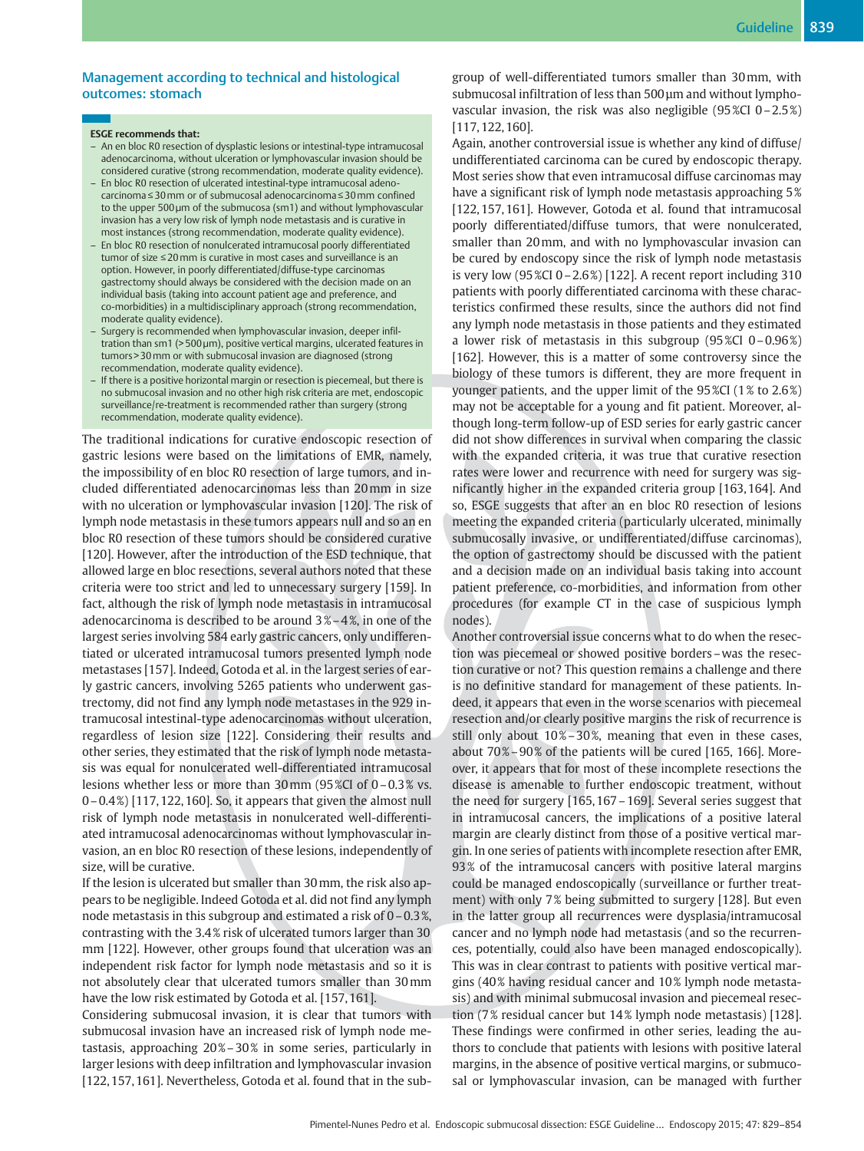## Management according to technical and histological outcomes: stomach

#### ESGE recommends that:

- An en bloc R0 resection of dysplastic lesions or intestinal-type intramucosal adenocarcinoma, without ulceration or lymphovascular invasion should be considered curative (strong recommendation, moderate quality evidence).
- En bloc R0 resection of ulcerated intestinal-type intramucosal adenocarcinoma≤30mm or of submucosal adenocarcinoma≤30mm confined to the upper 500 µm of the submucosa (sm1) and without lymphovascular invasion has a very low risk of lymph node metastasis and is curative in most instances (strong recommendation, moderate quality evidence).
- En bloc R0 resection of nonulcerated intramucosal poorly differentiated tumor of size ≤20mm is curative in most cases and surveillance is an option. However, in poorly differentiated/diffuse-type carcinomas gastrectomy should always be considered with the decision made on an individual basis (taking into account patient age and preference, and co-morbidities) in a multidisciplinary approach (strong recommendation, moderate quality evidence).
- Surgery is recommended when lymphovascular invasion, deeper infiltration than sm1 (> 500 µm), positive vertical margins, ulcerated features in tumors > 30mm or with submucosal invasion are diagnosed (strong recommendation, moderate quality evidence).
- If there is a positive horizontal margin or resection is piecemeal, but there is no submucosal invasion and no other high risk criteria are met, endoscopic surveillance/re-treatment is recommended rather than surgery (strong recommendation, moderate quality evidence).

The traditional indications for curative endoscopic resection of gastric lesions were based on the limitations of EMR, namely, the impossibility of en bloc R0 resection of large tumors, and included differentiated adenocarcinomas less than 20mm in size with no ulceration or lymphovascular invasion [120]. The risk of lymph node metastasis in these tumors appears null and so an en bloc R0 resection of these tumors should be considered curative [120]. However, after the introduction of the ESD technique, that allowed large en bloc resections, several authors noted that these criteria were too strict and led to unnecessary surgery [159]. In fact, although the risk of lymph node metastasis in intramucosal adenocarcinoma is described to be around 3 %–4 %, in one of the largest series involving 584 early gastric cancers, only undifferentiated or ulcerated intramucosal tumors presented lymph node metastases [157]. Indeed, Gotoda et al. in the largest series of early gastric cancers, involving 5265 patients who underwent gastrectomy, did not find any lymph node metastases in the 929 intramucosal intestinal-type adenocarcinomas without ulceration, regardless of lesion size [122]. Considering their results and other series, they estimated that the risk of lymph node metastasis was equal for nonulcerated well-differentiated intramucosal lesions whether less or more than 30mm (95 %CI of 0–0.3 % vs. 0–0.4 %) [117, 122, 160]. So, it appears that given the almost null risk of lymph node metastasis in nonulcerated well-differentiated intramucosal adenocarcinomas without lymphovascular invasion, an en bloc R0 resection of these lesions, independently of size, will be curative.

If the lesion is ulcerated but smaller than 30mm, the risk also appears to be negligible. Indeed Gotoda et al. did not find any lymph node metastasis in this subgroup and estimated a risk of 0–0.3 %, contrasting with the 3.4 % risk of ulcerated tumors larger than 30 mm [122]. However, other groups found that ulceration was an independent risk factor for lymph node metastasis and so it is not absolutely clear that ulcerated tumors smaller than 30mm have the low risk estimated by Gotoda et al. [157, 161].

Considering submucosal invasion, it is clear that tumors with submucosal invasion have an increased risk of lymph node metastasis, approaching 20%–30% in some series, particularly in larger lesions with deep infiltration and lymphovascular invasion [122, 157, 161]. Nevertheless, Gotoda et al. found that in the subgroup of well-differentiated tumors smaller than 30mm, with submucosal infiltration of less than 500 µm and without lymphovascular invasion, the risk was also negligible (95 %CI 0–2.5 %) [117, 122, 160].

Again, another controversial issue is whether any kind of diffuse/ undifferentiated carcinoma can be cured by endoscopic therapy. Most series show that even intramucosal diffuse carcinomas may have a significant risk of lymph node metastasis approaching 5 % [122, 157, 161]. However, Gotoda et al. found that intramucosal poorly differentiated/diffuse tumors, that were nonulcerated, smaller than 20mm, and with no lymphovascular invasion can be cured by endoscopy since the risk of lymph node metastasis is very low (95 %CI 0 - 2.6%) [122]. A recent report including 310 patients with poorly differentiated carcinoma with these characteristics confirmed these results, since the authors did not find any lymph node metastasis in those patients and they estimated a lower risk of metastasis in this subgroup (95 %CI 0–0.96 %) [162]. However, this is a matter of some controversy since the biology of these tumors is different, they are more frequent in younger patients, and the upper limit of the 95 %CI (1 % to 2.6 %) may not be acceptable for a young and fit patient. Moreover, although long-term follow-up of ESD series for early gastric cancer did not show differences in survival when comparing the classic with the expanded criteria, it was true that curative resection rates were lower and recurrence with need for surgery was significantly higher in the expanded criteria group [163, 164]. And so, ESGE suggests that after an en bloc R0 resection of lesions meeting the expanded criteria (particularly ulcerated, minimally submucosally invasive, or undifferentiated/diffuse carcinomas), the option of gastrectomy should be discussed with the patient and a decision made on an individual basis taking into account patient preference, co-morbidities, and information from other procedures (for example CT in the case of suspicious lymph nodes).

Another controversial issue concerns what to do when the resection was piecemeal or showed positive borders–was the resection curative or not? This question remains a challenge and there is no definitive standard for management of these patients. Indeed, it appears that even in the worse scenarios with piecemeal resection and/or clearly positive margins the risk of recurrence is still only about 10%-30%, meaning that even in these cases, about 70 %–90 % of the patients will be cured [165, 166]. Moreover, it appears that for most of these incomplete resections the disease is amenable to further endoscopic treatment, without the need for surgery [165, 167–169]. Several series suggest that in intramucosal cancers, the implications of a positive lateral margin are clearly distinct from those of a positive vertical margin. In one series of patients with incomplete resection after EMR, 93 % of the intramucosal cancers with positive lateral margins could be managed endoscopically (surveillance or further treatment) with only 7% being submitted to surgery [128]. But even in the latter group all recurrences were dysplasia/intramucosal cancer and no lymph node had metastasis (and so the recurrences, potentially, could also have been managed endoscopically). This was in clear contrast to patients with positive vertical margins (40 % having residual cancer and 10 % lymph node metastasis) and with minimal submucosal invasion and piecemeal resection (7 % residual cancer but 14 % lymph node metastasis) [128]. These findings were confirmed in other series, leading the authors to conclude that patients with lesions with positive lateral margins, in the absence of positive vertical margins, or submucosal or lymphovascular invasion, can be managed with further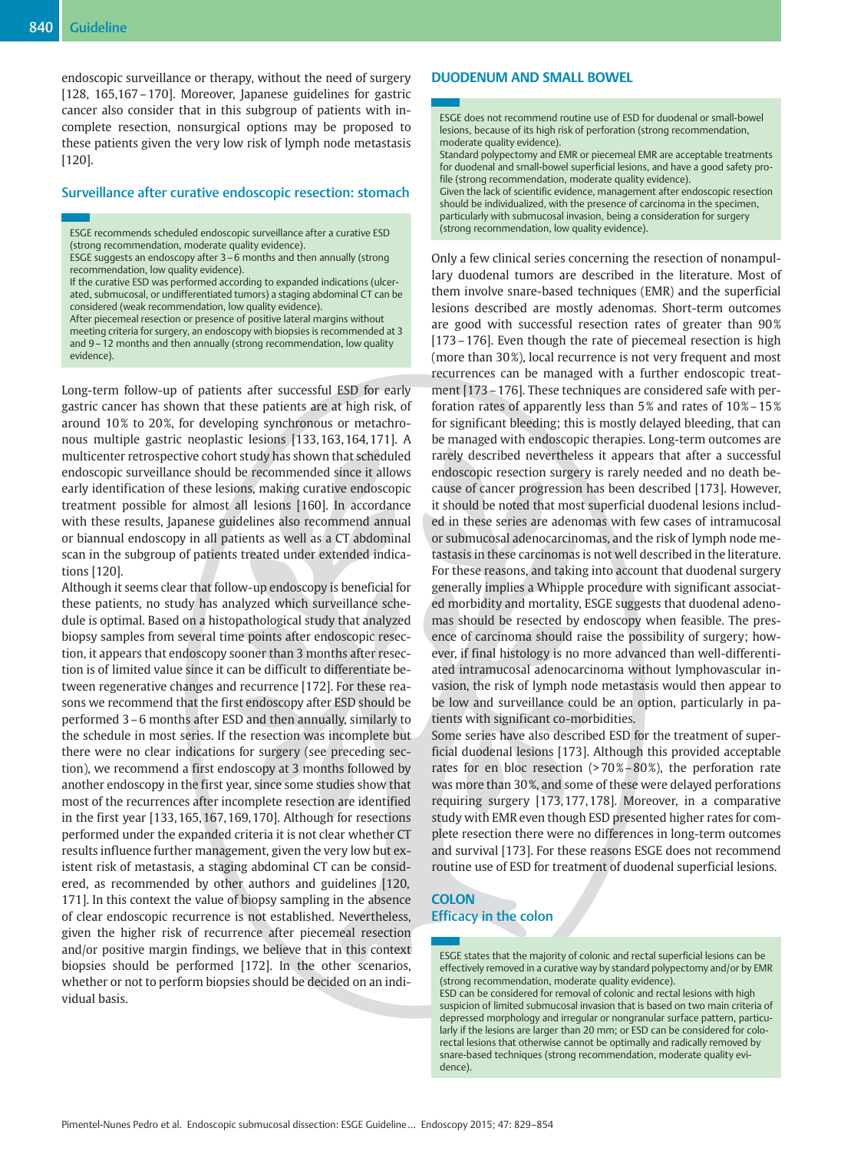endoscopic surveillance or therapy, without the need of surgery [128, 165,167–170]. Moreover, Japanese guidelines for gastric cancer also consider that in this subgroup of patients with incomplete resection, nonsurgical options may be proposed to these patients given the very low risk of lymph node metastasis [120].

## Surveillance after curative endoscopic resection: stomach

ESGE recommends scheduled endoscopic surveillance after a curative ESD (strong recommendation, moderate quality evidence).

After piecemeal resection or presence of positive lateral margins without meeting criteria for surgery, an endoscopy with biopsies is recommended at 3 and 9–12 months and then annually (strong recommendation, low quality evidence).

Long-term follow-up of patients after successful ESD for early gastric cancer has shown that these patients are at high risk, of around 10% to 20%, for developing synchronous or metachronous multiple gastric neoplastic lesions [133, 163, 164, 171]. A multicenter retrospective cohort study has shown that scheduled endoscopic surveillance should be recommended since it allows early identification of these lesions, making curative endoscopic treatment possible for almost all lesions [160]. In accordance with these results, Japanese guidelines also recommend annual or biannual endoscopy in all patients as well as a CT abdominal scan in the subgroup of patients treated under extended indications [120].

Although it seems clear that follow-up endoscopy is beneficial for these patients, no study has analyzed which surveillance schedule is optimal. Based on a histopathological study that analyzed biopsy samples from several time points after endoscopic resection, it appears that endoscopy sooner than 3 months after resection is of limited value since it can be difficult to differentiate between regenerative changes and recurrence [172]. For these reasons we recommend that the first endoscopy after ESD should be performed 3–6 months after ESD and then annually, similarly to the schedule in most series. If the resection was incomplete but there were no clear indications for surgery (see preceding section), we recommend a first endoscopy at 3 months followed by another endoscopy in the first year, since some studies show that most of the recurrences after incomplete resection are identified in the first year [133, 165, 167, 169, 170]. Although for resections performed under the expanded criteria it is not clear whether CT results influence further management, given the very low but existent risk of metastasis, a staging abdominal CT can be considered, as recommended by other authors and guidelines [120, 171]. In this context the value of biopsy sampling in the absence of clear endoscopic recurrence is not established. Nevertheless, given the higher risk of recurrence after piecemeal resection and/or positive margin findings, we believe that in this context biopsies should be performed [172]. In the other scenarios, whether or not to perform biopsies should be decided on an individual basis.

## DUODENUM AND SMALL BOWEL

ESGE does not recommend routine use of ESD for duodenal or small-bowel lesions, because of its high risk of perforation (strong recommendation, moderate quality evidence).

Standard polypectomy and EMR or piecemeal EMR are acceptable treatments for duodenal and small-bowel superficial lesions, and have a good safety profile (strong recommendation, moderate quality evidence).

Given the lack of scientific evidence, management after endoscopic resection should be individualized, with the presence of carcinoma in the specimen, particularly with submucosal invasion, being a consideration for surgery (strong recommendation, low quality evidence).

Only a few clinical series concerning the resection of nonampullary duodenal tumors are described in the literature. Most of them involve snare-based techniques (EMR) and the superficial lesions described are mostly adenomas. Short-term outcomes are good with successful resection rates of greater than 90% [173–176]. Even though the rate of piecemeal resection is high (more than 30%), local recurrence is not very frequent and most recurrences can be managed with a further endoscopic treatment [173–176]. These techniques are considered safe with perforation rates of apparently less than  $5\%$  and rates of  $10\% - 15\%$ for significant bleeding; this is mostly delayed bleeding, that can be managed with endoscopic therapies. Long-term outcomes are rarely described nevertheless it appears that after a successful endoscopic resection surgery is rarely needed and no death because of cancer progression has been described [173]. However, it should be noted that most superficial duodenal lesions included in these series are adenomas with few cases of intramucosal or submucosal adenocarcinomas, and the risk of lymph node metastasis in these carcinomas is not well described in the literature. For these reasons, and taking into account that duodenal surgery generally implies a Whipple procedure with significant associated morbidity and mortality, ESGE suggests that duodenal adenomas should be resected by endoscopy when feasible. The presence of carcinoma should raise the possibility of surgery; however, if final histology is no more advanced than well-differentiated intramucosal adenocarcinoma without lymphovascular invasion, the risk of lymph node metastasis would then appear to be low and surveillance could be an option, particularly in patients with significant co-morbidities.

Some series have also described ESD for the treatment of superficial duodenal lesions [173]. Although this provided acceptable rates for en bloc resection (>70%–80%), the perforation rate was more than 30 %, and some of these were delayed perforations requiring surgery [173, 177, 178]. Moreover, in a comparative study with EMR even though ESD presented higher rates for complete resection there were no differences in long-term outcomes and survival [173]. For these reasons ESGE does not recommend routine use of ESD for treatment of duodenal superficial lesions.

## **COLON** Efficacy in the colon

ESGE states that the majority of colonic and rectal superficial lesions can be effectively removed in a curative way by standard polypectomy and/or by EMR (strong recommendation, moderate quality evidence). ESD can be considered for removal of colonic and rectal lesions with high suspicion of limited submucosal invasion that is based on two main criteria of depressed morphology and irregular or nongranular surface pattern, particularly if the lesions are larger than 20 mm; or ESD can be considered for colorectal lesions that otherwise cannot be optimally and radically removed by snare-based techniques (strong recommendation, moderate quality evidence).

ESGE suggests an endoscopy after 3–6 months and then annually (strong recommendation, low quality evidence).

If the curative ESD was performed according to expanded indications (ulcerated, submucosal, or undifferentiated tumors) a staging abdominal CT can be considered (weak recommendation, low quality evidence).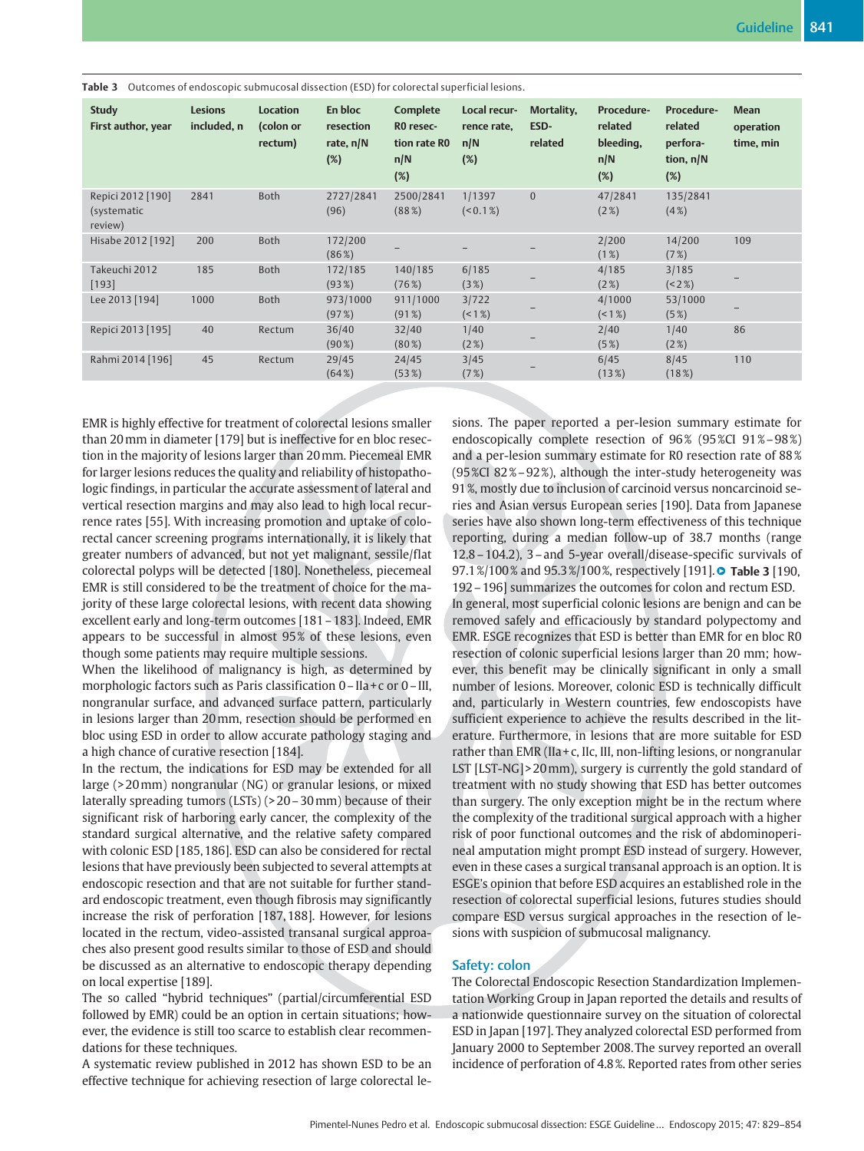| <b>Study</b><br>First author, year          | <b>Lesions</b><br>included, n | <b>Location</b><br>(colon or<br>rectum) | En bloc<br>resection<br>rate, $n/N$<br>(%) | Complete<br>RO resec-<br>tion rate RO<br>n/N<br>(%) | Local recur-<br>rence rate,<br>n/N<br>(%) | Mortality,<br>ESD-<br>related | Procedure-<br>related<br>bleeding,<br>n/N<br>(%) | <b>Procedure-</b><br>related<br>perfora-<br>tion, $n/N$<br>(%) | <b>Mean</b><br>operation<br>time, min |
|---------------------------------------------|-------------------------------|-----------------------------------------|--------------------------------------------|-----------------------------------------------------|-------------------------------------------|-------------------------------|--------------------------------------------------|----------------------------------------------------------------|---------------------------------------|
| Repici 2012 [190]<br>(systematic<br>review) | 2841                          | Both                                    | 2727/2841<br>(96)                          | 2500/2841<br>(88%)                                  | 1/1397<br>(< 0.1 %)                       | $\overline{0}$                | 47/2841<br>(2%)                                  | 135/2841<br>(4%)                                               |                                       |
| Hisabe 2012 [192]                           | 200                           | Both                                    | 172/200<br>$(86\%)$                        |                                                     |                                           |                               | 2/200<br>(1%)                                    | 14/200<br>(7%)                                                 | 109                                   |
| Takeuchi 2012<br>[193]                      | 185                           | <b>Both</b>                             | 172/185<br>(93%)                           | 140/185<br>(76%)                                    | 6/185<br>(3%)                             |                               | 4/185<br>(2%)                                    | 3/185<br>(22%)                                                 |                                       |
| Lee 2013 [194]                              | 1000                          | Both                                    | 973/1000<br>(97%)                          | 911/1000<br>(91%)                                   | 3/722<br>$($ < 1 %)                       |                               | 4/1000<br>(18)                                   | 53/1000<br>(5%)                                                |                                       |
| Repici 2013 [195]                           | 40                            | Rectum                                  | 36/40<br>$(90\%)$                          | 32/40<br>$(80\%)$                                   | 1/40<br>(2%)                              |                               | 2/40<br>(5%)                                     | 1/40<br>(2%)                                                   | 86                                    |
| Rahmi 2014 [196]                            | 45                            | Rectum                                  | 29/45<br>(64%)                             | 24/45<br>(53%)                                      | 3/45<br>(7%)                              |                               | 6/45<br>$(13\%)$                                 | 8/45<br>(18%)                                                  | 110                                   |

Table 3 Outcomes of endoscopic submucosal dissection (ESD) for colorectal superficial lesions.

EMR is highly effective for treatment of colorectal lesions smaller than 20mm in diameter [179] but is ineffective for en bloc resection in the majority of lesions larger than 20mm. Piecemeal EMR for larger lesions reduces the quality and reliability of histopathologic findings, in particular the accurate assessment of lateral and vertical resection margins and may also lead to high local recurrence rates [55]. With increasing promotion and uptake of colorectal cancer screening programs internationally, it is likely that greater numbers of advanced, but not yet malignant, sessile/flat colorectal polyps will be detected [180]. Nonetheless, piecemeal EMR is still considered to be the treatment of choice for the majority of these large colorectal lesions, with recent data showing excellent early and long-term outcomes [181–183]. Indeed, EMR appears to be successful in almost 95 % of these lesions, even though some patients may require multiple sessions.

When the likelihood of malignancy is high, as determined by morphologic factors such as Paris classification 0 - IIa + c or 0 - III, nongranular surface, and advanced surface pattern, particularly in lesions larger than 20mm, resection should be performed en bloc using ESD in order to allow accurate pathology staging and a high chance of curative resection [184].

In the rectum, the indications for ESD may be extended for all large (> 20mm) nongranular (NG) or granular lesions, or mixed laterally spreading tumors (LSTs) (> 20–30mm) because of their significant risk of harboring early cancer, the complexity of the standard surgical alternative, and the relative safety compared with colonic ESD [185, 186]. ESD can also be considered for rectal lesions that have previously been subjected to several attempts at endoscopic resection and that are not suitable for further standard endoscopic treatment, even though fibrosis may significantly increase the risk of perforation [187, 188]. However, for lesions located in the rectum, video-assisted transanal surgical approaches also present good results similar to those of ESD and should be discussed as an alternative to endoscopic therapy depending on local expertise [189].

The so called "hybrid techniques" (partial/circumferential ESD followed by EMR) could be an option in certain situations; however, the evidence is still too scarce to establish clear recommendations for these techniques.

A systematic review published in 2012 has shown ESD to be an effective technique for achieving resection of large colorectal lesions. The paper reported a per-lesion summary estimate for endoscopically complete resection of 96% (95%CI 91%-98%) and a per-lesion summary estimate for R0 resection rate of 88 % (95 %CI 82 %–92 %), although the inter-study heterogeneity was 91 %, mostly due to inclusion of carcinoid versus noncarcinoid series and Asian versus European series [190]. Data from Japanese series have also shown long-term effectiveness of this technique reporting, during a median follow-up of 38.7 months (range 12.8–104.2), 3–and 5-year overall/disease-specific survivals of 97.1%/100% and 95.3%/100%, respectively [191]. **• Table 3** [190, 192–196] summarizes the outcomes for colon and rectum ESD. In general, most superficial colonic lesions are benign and can be removed safely and efficaciously by standard polypectomy and EMR. ESGE recognizes that ESD is better than EMR for en bloc R0 resection of colonic superficial lesions larger than 20 mm; however, this benefit may be clinically significant in only a small number of lesions. Moreover, colonic ESD is technically difficult and, particularly in Western countries, few endoscopists have sufficient experience to achieve the results described in the literature. Furthermore, in lesions that are more suitable for ESD rather than EMR (IIa +  $c$ , II $c$ , III, non-lifting lesions, or nongranular LST [LST-NG] > 20 mm), surgery is currently the gold standard of treatment with no study showing that ESD has better outcomes than surgery. The only exception might be in the rectum where the complexity of the traditional surgical approach with a higher risk of poor functional outcomes and the risk of abdominoperineal amputation might prompt ESD instead of surgery. However, even in these cases a surgical transanal approach is an option. It is ESGE's opinion that before ESD acquires an established role in the resection of colorectal superficial lesions, futures studies should compare ESD versus surgical approaches in the resection of lesions with suspicion of submucosal malignancy.

## Safety: colon

The Colorectal Endoscopic Resection Standardization Implementation Working Group in Japan reported the details and results of a nationwide questionnaire survey on the situation of colorectal ESD in Japan [197]. They analyzed colorectal ESD performed from January 2000 to September 2008. The survey reported an overall incidence of perforation of 4.8 %. Reported rates from other series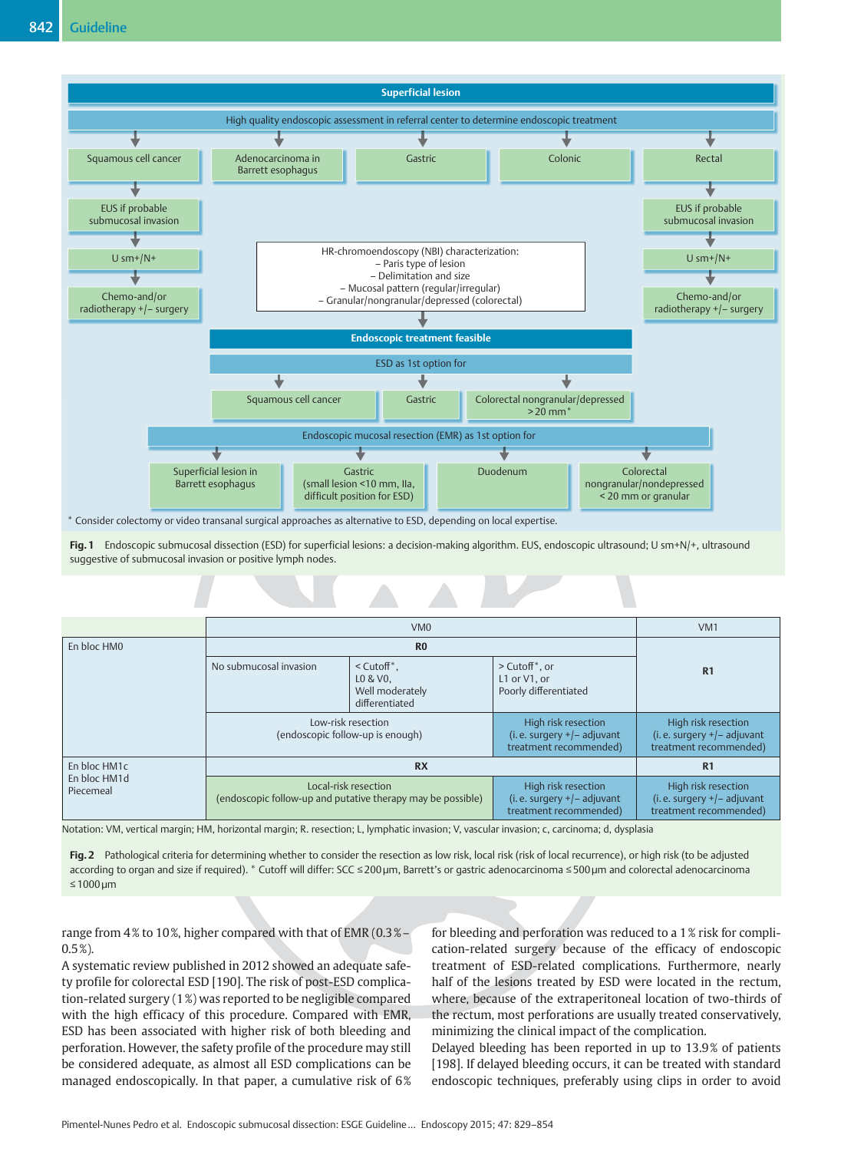

Fig. 1 Endoscopic submucosal dissection (ESD) for superficial lesions: a decision-making algorithm. EUS, endoscopic ultrasound; U sm+N/+, ultrasound suggestive of submucosal invasion or positive lymph nodes.

|                           |                                                        | VM <sub>0</sub>                                                                     |                                                                               | VM <sub>1</sub>                                                               |  |  |
|---------------------------|--------------------------------------------------------|-------------------------------------------------------------------------------------|-------------------------------------------------------------------------------|-------------------------------------------------------------------------------|--|--|
| En bloc HM0               |                                                        | R <sub>0</sub>                                                                      |                                                                               |                                                                               |  |  |
|                           | No submucosal invasion                                 | $<$ Cutoff $*$ .<br>L0 & V0.<br>Well moderately<br>differentiated                   | $>$ Cutoff $*$ , or<br>L1 or V1, or<br>Poorly differentiated                  | R <sub>1</sub>                                                                |  |  |
|                           | Low-risk resection<br>(endoscopic follow-up is enough) | High risk resection<br>(i.e. surgery $+/-$ adjuvant<br>treatment recommended)       |                                                                               |                                                                               |  |  |
| En bloc HM1c              |                                                        | R1                                                                                  |                                                                               |                                                                               |  |  |
| En bloc HM1d<br>Piecemeal |                                                        | Local-risk resection<br>(endoscopic follow-up and putative therapy may be possible) | High risk resection<br>(i.e. surgery $+/-$ adjuvant<br>treatment recommended) | High risk resection<br>(i.e. surgery $+/-$ adjuvant<br>treatment recommended) |  |  |

Notation: VM, vertical margin; HM, horizontal margin; R. resection; L, lymphatic invasion; V, vascular invasion; c, carcinoma; d, dysplasia

Fig. 2 Pathological criteria for determining whether to consider the resection as low risk, local risk (risk of local recurrence), or high risk (to be adjusted according to organ and size if required). \* Cutoff will differ: SCC ≤200 µm, Barrett's or gastric adenocarcinoma ≤500 µm and colorectal adenocarcinoma ≤1000 µm

range from 4% to 10%, higher compared with that of EMR (0.3% – 0.5 %).

A systematic review published in 2012 showed an adequate safety profile for colorectal ESD [190]. The risk of post-ESD complication-related surgery (1 %) was reported to be negligible compared with the high efficacy of this procedure. Compared with EMR, ESD has been associated with higher risk of both bleeding and perforation. However, the safety profile of the procedure may still be considered adequate, as almost all ESD complications can be managed endoscopically. In that paper, a cumulative risk of 6% for bleeding and perforation was reduced to a 1 % risk for complication-related surgery because of the efficacy of endoscopic treatment of ESD-related complications. Furthermore, nearly half of the lesions treated by ESD were located in the rectum, where, because of the extraperitoneal location of two-thirds of the rectum, most perforations are usually treated conservatively, minimizing the clinical impact of the complication.

Delayed bleeding has been reported in up to 13.9 % of patients [198]. If delayed bleeding occurs, it can be treated with standard endoscopic techniques, preferably using clips in order to avoid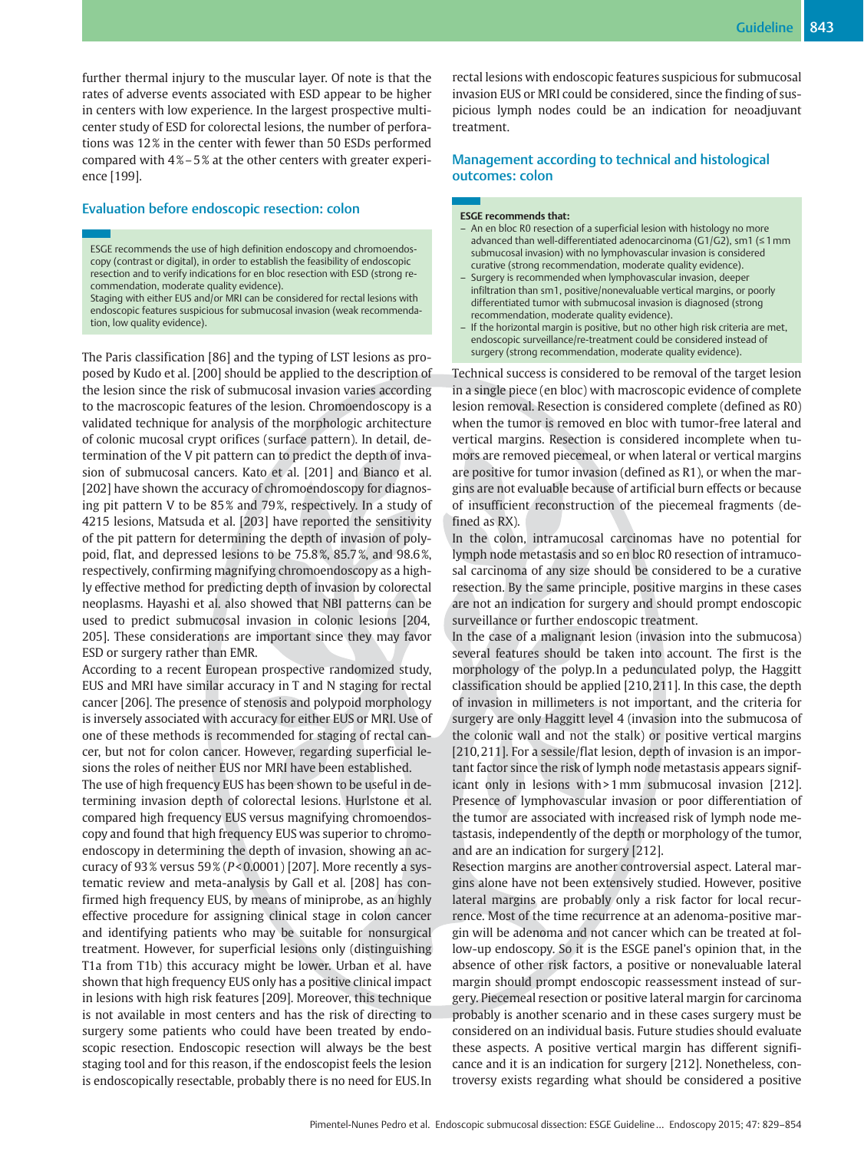further thermal injury to the muscular layer. Of note is that the rates of adverse events associated with ESD appear to be higher in centers with low experience. In the largest prospective multicenter study of ESD for colorectal lesions, the number of perforations was 12 % in the center with fewer than 50 ESDs performed compared with 4% – 5% at the other centers with greater experience [199].

## Evaluation before endoscopic resection: colon

ESGE recommends the use of high definition endoscopy and chromoendoscopy (contrast or digital), in order to establish the feasibility of endoscopic resection and to verify indications for en bloc resection with ESD (strong recommendation, moderate quality evidence).

Staging with either EUS and/or MRI can be considered for rectal lesions with endoscopic features suspicious for submucosal invasion (weak recommendation, low quality evidence).

The Paris classification [86] and the typing of LST lesions as proposed by Kudo et al. [200] should be applied to the description of the lesion since the risk of submucosal invasion varies according to the macroscopic features of the lesion. Chromoendoscopy is a validated technique for analysis of the morphologic architecture of colonic mucosal crypt orifices (surface pattern). In detail, determination of the V pit pattern can to predict the depth of invasion of submucosal cancers. Kato et al. [201] and Bianco et al. [202] have shown the accuracy of chromoendoscopy for diagnosing pit pattern V to be 85% and 79%, respectively. In a study of 4215 lesions, Matsuda et al. [203] have reported the sensitivity of the pit pattern for determining the depth of invasion of polypoid, flat, and depressed lesions to be 75.8 %, 85.7 %, and 98.6 %, respectively, confirming magnifying chromoendoscopy as a highly effective method for predicting depth of invasion by colorectal neoplasms. Hayashi et al. also showed that NBI patterns can be used to predict submucosal invasion in colonic lesions [204, 205]. These considerations are important since they may favor ESD or surgery rather than EMR.

According to a recent European prospective randomized study, EUS and MRI have similar accuracy in T and N staging for rectal cancer [206]. The presence of stenosis and polypoid morphology is inversely associated with accuracy for either EUS or MRI. Use of one of these methods is recommended for staging of rectal cancer, but not for colon cancer. However, regarding superficial lesions the roles of neither EUS nor MRI have been established.

The use of high frequency EUS has been shown to be useful in determining invasion depth of colorectal lesions. Hurlstone et al. compared high frequency EUS versus magnifying chromoendoscopy and found that high frequency EUS was superior to chromoendoscopy in determining the depth of invasion, showing an accuracy of  $93\%$  versus  $59\%$  ( $P < 0.0001$ ) [207]. More recently a systematic review and meta-analysis by Gall et al. [208] has confirmed high frequency EUS, by means of miniprobe, as an highly effective procedure for assigning clinical stage in colon cancer and identifying patients who may be suitable for nonsurgical treatment. However, for superficial lesions only (distinguishing T1a from T1b) this accuracy might be lower. Urban et al. have shown that high frequency EUS only has a positive clinical impact in lesions with high risk features [209]. Moreover, this technique is not available in most centers and has the risk of directing to surgery some patients who could have been treated by endoscopic resection. Endoscopic resection will always be the best staging tool and for this reason, if the endoscopist feels the lesion is endoscopically resectable, probably there is no need for EUS. In

rectal lesions with endoscopic features suspicious for submucosal invasion EUS or MRI could be considered, since the finding of suspicious lymph nodes could be an indication for neoadjuvant treatment.

## Management according to technical and histological outcomes: colon

#### ESGE recommends that:

- An en bloc R0 resection of a superficial lesion with histology no more advanced than well-differentiated adenocarcinoma (G1/G2), sm1 (≤1mm submucosal invasion) with no lymphovascular invasion is considered curative (strong recommendation, moderate quality evidence).
- Surgery is recommended when lymphovascular invasion, deeper infiltration than sm1, positive/nonevaluable vertical margins, or poorly differentiated tumor with submucosal invasion is diagnosed (strong recommendation, moderate quality evidence).
- If the horizontal margin is positive, but no other high risk criteria are met, endoscopic surveillance/re-treatment could be considered instead of surgery (strong recommendation, moderate quality evidence).

Technical success is considered to be removal of the target lesion in a single piece (en bloc) with macroscopic evidence of complete lesion removal. Resection is considered complete (defined as R0) when the tumor is removed en bloc with tumor-free lateral and vertical margins. Resection is considered incomplete when tumors are removed piecemeal, or when lateral or vertical margins are positive for tumor invasion (defined as R1), or when the margins are not evaluable because of artificial burn effects or because of insufficient reconstruction of the piecemeal fragments (defined as RX).

In the colon, intramucosal carcinomas have no potential for lymph node metastasis and so en bloc R0 resection of intramucosal carcinoma of any size should be considered to be a curative resection. By the same principle, positive margins in these cases are not an indication for surgery and should prompt endoscopic surveillance or further endoscopic treatment.

In the case of a malignant lesion (invasion into the submucosa) several features should be taken into account. The first is the morphology of the polyp. In a pedunculated polyp, the Haggitt classification should be applied [210, 211]. In this case, the depth of invasion in millimeters is not important, and the criteria for surgery are only Haggitt level 4 (invasion into the submucosa of the colonic wall and not the stalk) or positive vertical margins [210, 211]. For a sessile/flat lesion, depth of invasion is an important factor since the risk of lymph node metastasis appears significant only in lesions with > 1mm submucosal invasion [212]. Presence of lymphovascular invasion or poor differentiation of the tumor are associated with increased risk of lymph node metastasis, independently of the depth or morphology of the tumor, and are an indication for surgery [212].

Resection margins are another controversial aspect. Lateral margins alone have not been extensively studied. However, positive lateral margins are probably only a risk factor for local recurrence. Most of the time recurrence at an adenoma-positive margin will be adenoma and not cancer which can be treated at follow-up endoscopy. So it is the ESGE panel's opinion that, in the absence of other risk factors, a positive or nonevaluable lateral margin should prompt endoscopic reassessment instead of surgery. Piecemeal resection or positive lateral margin for carcinoma probably is another scenario and in these cases surgery must be considered on an individual basis. Future studies should evaluate these aspects. A positive vertical margin has different significance and it is an indication for surgery [212]. Nonetheless, controversy exists regarding what should be considered a positive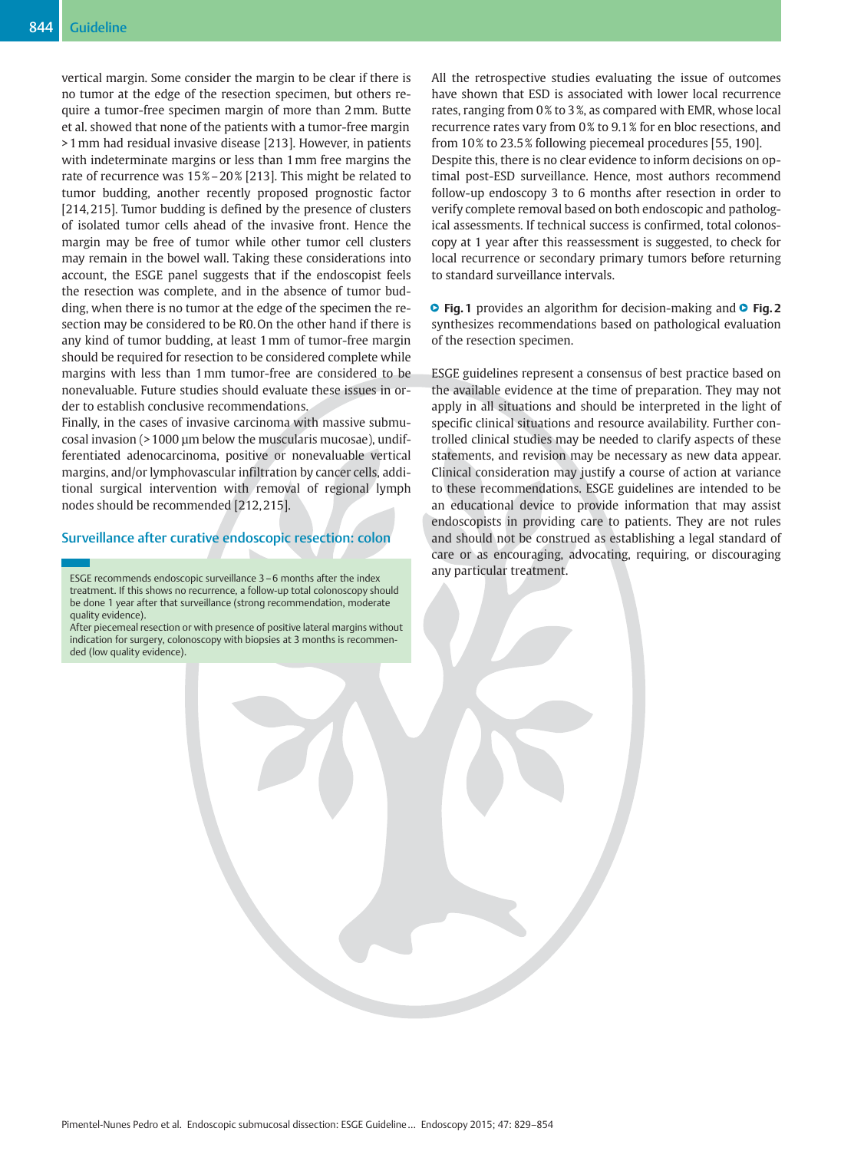vertical margin. Some consider the margin to be clear if there is no tumor at the edge of the resection specimen, but others require a tumor-free specimen margin of more than 2mm. Butte et al. showed that none of the patients with a tumor-free margin > 1mm had residual invasive disease [213]. However, in patients with indeterminate margins or less than 1mm free margins the rate of recurrence was 15 %–20 % [213]. This might be related to tumor budding, another recently proposed prognostic factor [214, 215]. Tumor budding is defined by the presence of clusters of isolated tumor cells ahead of the invasive front. Hence the margin may be free of tumor while other tumor cell clusters may remain in the bowel wall. Taking these considerations into account, the ESGE panel suggests that if the endoscopist feels the resection was complete, and in the absence of tumor budding, when there is no tumor at the edge of the specimen the resection may be considered to be R0. On the other hand if there is any kind of tumor budding, at least 1mm of tumor-free margin should be required for resection to be considered complete while margins with less than 1mm tumor-free are considered to be nonevaluable. Future studies should evaluate these issues in order to establish conclusive recommendations.

Finally, in the cases of invasive carcinoma with massive submucosal invasion (> 1000 μm below the muscularis mucosae), undifferentiated adenocarcinoma, positive or nonevaluable vertical margins, and/or lymphovascular infiltration by cancer cells, additional surgical intervention with removal of regional lymph nodes should be recommended [212, 215].

## Surveillance after curative endoscopic resection: colon

ESGE recommends endoscopic surveillance 3–6 months after the index treatment. If this shows no recurrence, a follow-up total colonoscopy should be done 1 year after that surveillance (strong recommendation, moderate quality evidence).

After piecemeal resection or with presence of positive lateral margins without indication for surgery, colonoscopy with biopsies at 3 months is recommended (low quality evidence).

All the retrospective studies evaluating the issue of outcomes have shown that ESD is associated with lower local recurrence rates, ranging from 0 % to 3 %, as compared with EMR, whose local recurrence rates vary from 0% to 9.1% for en bloc resections, and from 10 % to 23.5 % following piecemeal procedures [55, 190]. Despite this, there is no clear evidence to inform decisions on optimal post-ESD surveillance. Hence, most authors recommend follow-up endoscopy 3 to 6 months after resection in order to verify complete removal based on both endoscopic and pathological assessments. If technical success is confirmed, total colonoscopy at 1 year after this reassessment is suggested, to check for local recurrence or secondary primary tumors before returning to standard surveillance intervals.

● Fig. 1 provides an algorithm for decision-making and ● Fig. 2 synthesizes recommendations based on pathological evaluation of the resection specimen.

ESGE guidelines represent a consensus of best practice based on the available evidence at the time of preparation. They may not apply in all situations and should be interpreted in the light of specific clinical situations and resource availability. Further controlled clinical studies may be needed to clarify aspects of these statements, and revision may be necessary as new data appear. Clinical consideration may justify a course of action at variance to these recommendations. ESGE guidelines are intended to be an educational device to provide information that may assist endoscopists in providing care to patients. They are not rules and should not be construed as establishing a legal standard of care or as encouraging, advocating, requiring, or discouraging any particular treatment.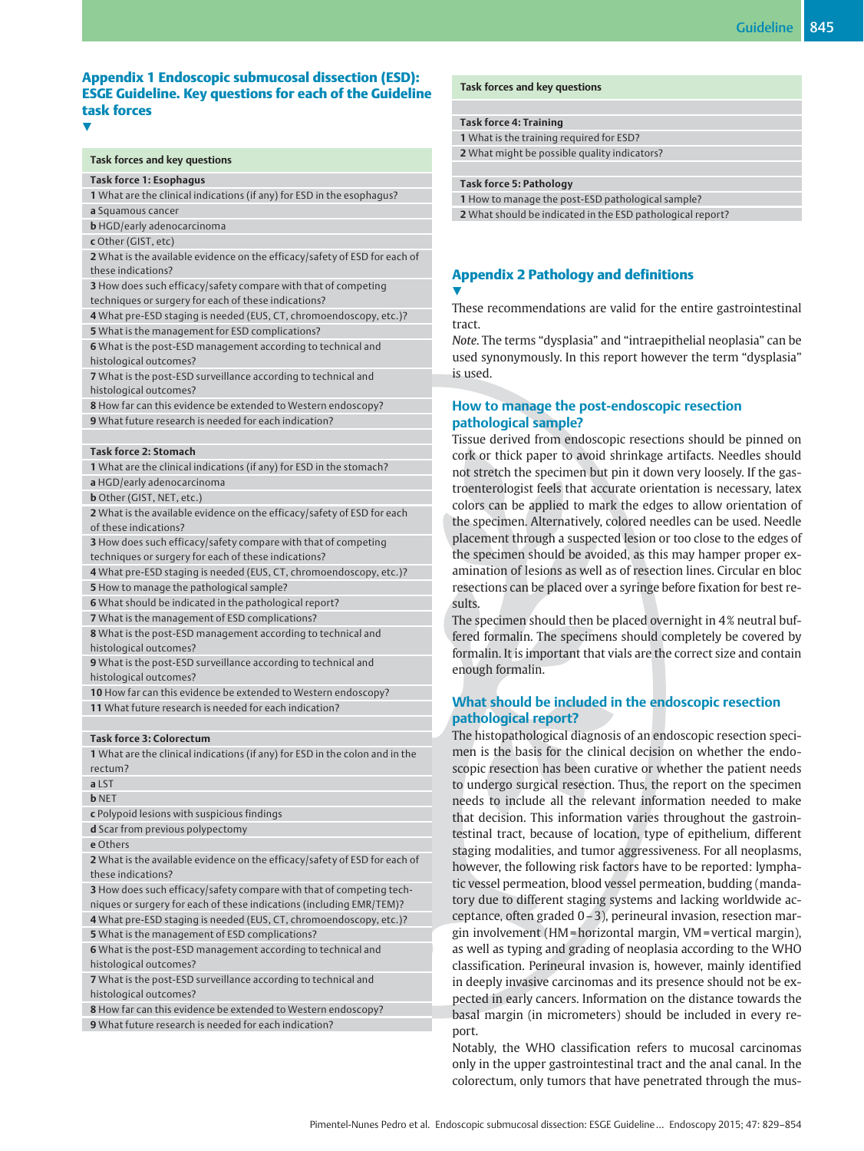## Appendix 1 Endoscopic submucosal dissection (ESD): ESGE Guideline. Key questions for each of the Guideline task forces

#### Task forces and key questions

#### Task force 1: Esophagus

1 What are the clinical indications (if any) for ESD in the esophagus? a Squamous cancer

b HGD/early adenocarcinoma

c Other (GIST, etc)

V,

2 What is the available evidence on the efficacy/safety of ESD for each of these indications?

3 How does such efficacy/safety compare with that of competing techniques or surgery for each of these indications?

4 What pre-ESD staging is needed (EUS, CT, chromoendoscopy, etc.)? 5 What is the management for ESD complications?

6 What is the post-ESD management according to technical and histological outcomes?

7 What is the post-ESD surveillance according to technical and histological outcomes?

8 How far can this evidence be extended to Western endoscopy? 9 What future research is needed for each indication?

#### Task force 2: Stomach

1 What are the clinical indications (if any) for ESD in the stomach? a HGD/early adenocarcinoma

**b** Other (GIST, NET, etc.)

2 What is the available evidence on the efficacy/safety of ESD for each of these indications?

3 How does such efficacy/safety compare with that of competing techniques or surgery for each of these indications?

4 What pre-ESD staging is needed (EUS, CT, chromoendoscopy, etc.)? 5 How to manage the pathological sample?

6 What should be indicated in the pathological report?

7 What is the management of ESD complications?

8 What is the post-ESD management according to technical and histological outcomes?

9 What is the post-ESD surveillance according to technical and histological outcomes?

10 How far can this evidence be extended to Western endoscopy? 11 What future research is needed for each indication?

### Task force 3: Colorectum

1 What are the clinical indications (if any) for ESD in the colon and in the rectum?

#### a LST **b** NET

c Polypoid lesions with suspicious findings

d Scar from previous polypectomy

e Others

2 What is the available evidence on the efficacy/safety of ESD for each of these indications?

3 How does such efficacy/safety compare with that of competing techniques or surgery for each of these indications (including EMR/TEM)?

4 What pre-ESD staging is needed (EUS, CT, chromoendoscopy, etc.)? 5 What is the management of ESD complications?

6 What is the post-ESD management according to technical and histological outcomes?

7 What is the post-ESD surveillance according to technical and histological outcomes?

8 How far can this evidence be extended to Western endoscopy? 9 What future research is needed for each indication?

#### Task forces and key questions

#### Task force 4: Training

1 What is the training required for ESD? 2 What might be possible quality indicators?

#### Task force 5: Pathology

<u>V</u>

1 How to manage the post-ESD pathological sample? 2 What should be indicated in the ESD pathological report?

## Appendix 2 Pathology and definitions

These recommendations are valid for the entire gastrointestinal tract.

Note. The terms "dysplasia" and "intraepithelial neoplasia" can be used synonymously. In this report however the term "dysplasia" is used.

## How to manage the post-endoscopic resection pathological sample?

Tissue derived from endoscopic resections should be pinned on cork or thick paper to avoid shrinkage artifacts. Needles should not stretch the specimen but pin it down very loosely. If the gastroenterologist feels that accurate orientation is necessary, latex colors can be applied to mark the edges to allow orientation of the specimen. Alternatively, colored needles can be used. Needle placement through a suspected lesion or too close to the edges of the specimen should be avoided, as this may hamper proper examination of lesions as well as of resection lines. Circular en bloc resections can be placed over a syringe before fixation for best results.

The specimen should then be placed overnight in 4% neutral buffered formalin. The specimens should completely be covered by formalin. It is important that vials are the correct size and contain enough formalin.

## What should be included in the endoscopic resection pathological report?

The histopathological diagnosis of an endoscopic resection specimen is the basis for the clinical decision on whether the endoscopic resection has been curative or whether the patient needs to undergo surgical resection. Thus, the report on the specimen needs to include all the relevant information needed to make that decision. This information varies throughout the gastrointestinal tract, because of location, type of epithelium, different staging modalities, and tumor aggressiveness. For all neoplasms, however, the following risk factors have to be reported: lymphatic vessel permeation, blood vessel permeation, budding (mandatory due to different staging systems and lacking worldwide acceptance, often graded 0–3), perineural invasion, resection margin involvement (HM = horizontal margin, VM = vertical margin), as well as typing and grading of neoplasia according to the WHO classification. Perineural invasion is, however, mainly identified in deeply invasive carcinomas and its presence should not be expected in early cancers. Information on the distance towards the basal margin (in micrometers) should be included in every report.

Notably, the WHO classification refers to mucosal carcinomas only in the upper gastrointestinal tract and the anal canal. In the colorectum, only tumors that have penetrated through the mus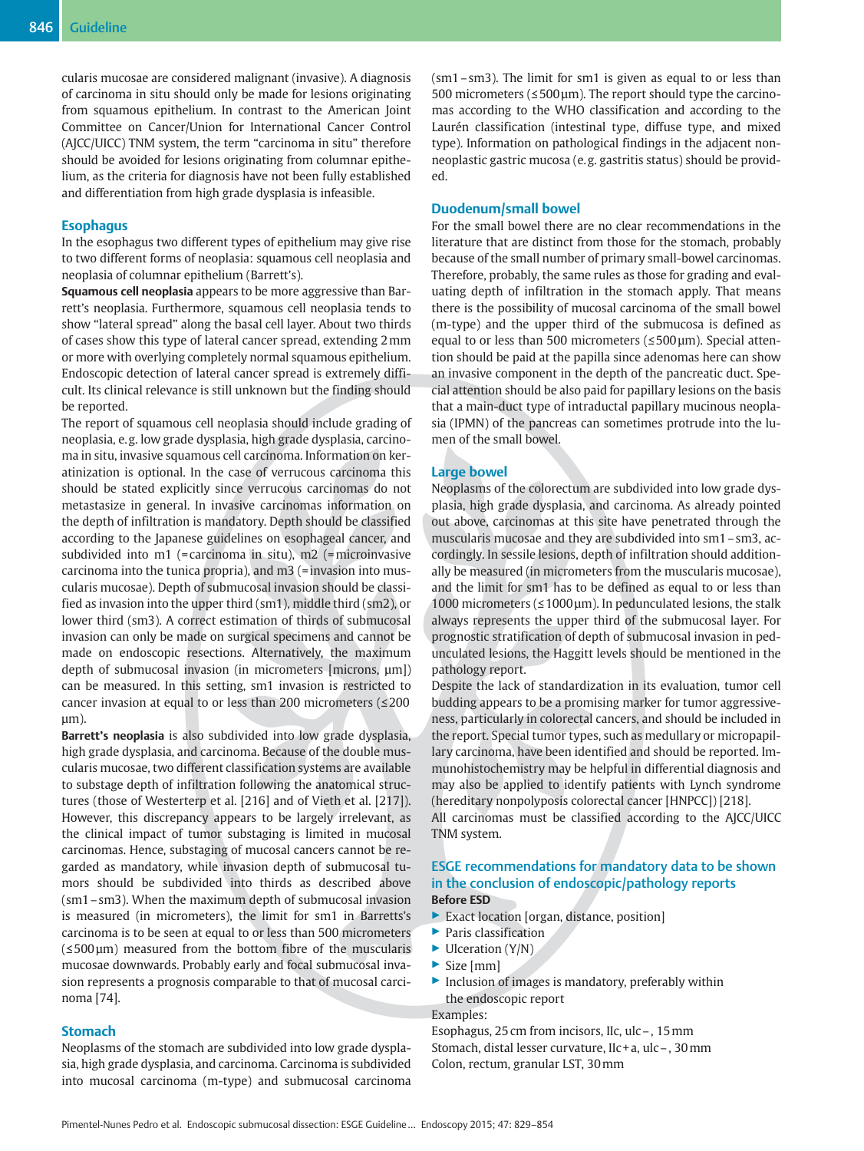cularis mucosae are considered malignant (invasive). A diagnosis of carcinoma in situ should only be made for lesions originating from squamous epithelium. In contrast to the American Joint Committee on Cancer/Union for International Cancer Control (AJCC/UICC) TNM system, the term "carcinoma in situ" therefore should be avoided for lesions originating from columnar epithelium, as the criteria for diagnosis have not been fully established and differentiation from high grade dysplasia is infeasible.

## **Esophagus**

In the esophagus two different types of epithelium may give rise to two different forms of neoplasia: squamous cell neoplasia and neoplasia of columnar epithelium (Barrett's).

Squamous cell neoplasia appears to be more aggressive than Barrett's neoplasia. Furthermore, squamous cell neoplasia tends to show "lateral spread" along the basal cell layer. About two thirds of cases show this type of lateral cancer spread, extending 2mm or more with overlying completely normal squamous epithelium. Endoscopic detection of lateral cancer spread is extremely difficult. Its clinical relevance is still unknown but the finding should be reported.

The report of squamous cell neoplasia should include grading of neoplasia, e. g. low grade dysplasia, high grade dysplasia, carcinoma in situ, invasive squamous cell carcinoma. Information on keratinization is optional. In the case of verrucous carcinoma this should be stated explicitly since verrucous carcinomas do not metastasize in general. In invasive carcinomas information on the depth of infiltration is mandatory. Depth should be classified according to the Japanese guidelines on esophageal cancer, and subdivided into m1 (= carcinoma in situ), m2 (= microinvasive carcinoma into the tunica propria), and m3 (=invasion into muscularis mucosae). Depth of submucosal invasion should be classified as invasion into the upper third (sm1), middle third (sm2), or lower third (sm3). A correct estimation of thirds of submucosal invasion can only be made on surgical specimens and cannot be made on endoscopic resections. Alternatively, the maximum depth of submucosal invasion (in micrometers [microns,  $\mu$ m]) can be measured. In this setting, sm1 invasion is restricted to cancer invasion at equal to or less than 200 micrometers (≤200 µm).

Barrett's neoplasia is also subdivided into low grade dysplasia, high grade dysplasia, and carcinoma. Because of the double muscularis mucosae, two different classification systems are available to substage depth of infiltration following the anatomical structures (those of Westerterp et al. [216] and of Vieth et al. [217]). However, this discrepancy appears to be largely irrelevant, as the clinical impact of tumor substaging is limited in mucosal carcinomas. Hence, substaging of mucosal cancers cannot be regarded as mandatory, while invasion depth of submucosal tumors should be subdivided into thirds as described above (sm1–sm3). When the maximum depth of submucosal invasion is measured (in micrometers), the limit for sm1 in Barretts's carcinoma is to be seen at equal to or less than 500 micrometers (≤500 µm) measured from the bottom fibre of the muscularis mucosae downwards. Probably early and focal submucosal invasion represents a prognosis comparable to that of mucosal carcinoma [74].

### **Stomach**

Neoplasms of the stomach are subdivided into low grade dysplasia, high grade dysplasia, and carcinoma. Carcinoma is subdivided into mucosal carcinoma (m-type) and submucosal carcinoma (sm1–sm3). The limit for sm1 is given as equal to or less than 500 micrometers ( $\leq$ 500  $\mu$ m). The report should type the carcinomas according to the WHO classification and according to the Laurén classification (intestinal type, diffuse type, and mixed type). Information on pathological findings in the adjacent nonneoplastic gastric mucosa (e. g. gastritis status) should be provided.

## Duodenum/small bowel

For the small bowel there are no clear recommendations in the literature that are distinct from those for the stomach, probably because of the small number of primary small-bowel carcinomas. Therefore, probably, the same rules as those for grading and evaluating depth of infiltration in the stomach apply. That means there is the possibility of mucosal carcinoma of the small bowel (m-type) and the upper third of the submucosa is defined as equal to or less than 500 micrometers (≤500 µm). Special attention should be paid at the papilla since adenomas here can show an invasive component in the depth of the pancreatic duct. Special attention should be also paid for papillary lesions on the basis that a main-duct type of intraductal papillary mucinous neoplasia (IPMN) of the pancreas can sometimes protrude into the lumen of the small bowel.

## Large bowel

Neoplasms of the colorectum are subdivided into low grade dysplasia, high grade dysplasia, and carcinoma. As already pointed out above, carcinomas at this site have penetrated through the muscularis mucosae and they are subdivided into sm1–sm3, accordingly. In sessile lesions, depth of infiltration should additionally be measured (in micrometers from the muscularis mucosae), and the limit for sm1 has to be defined as equal to or less than 1000 micrometers ( $\leq 1000 \,\mu$ m). In pedunculated lesions, the stalk always represents the upper third of the submucosal layer. For prognostic stratification of depth of submucosal invasion in pedunculated lesions, the Haggitt levels should be mentioned in the pathology report.

Despite the lack of standardization in its evaluation, tumor cell budding appears to be a promising marker for tumor aggressiveness, particularly in colorectal cancers, and should be included in the report. Special tumor types, such as medullary or micropapillary carcinoma, have been identified and should be reported. Immunohistochemistry may be helpful in differential diagnosis and may also be applied to identify patients with Lynch syndrome (hereditary nonpolyposis colorectal cancer [HNPCC]) [218]. All carcinomas must be classified according to the AJCC/UICC TNM system.

## ESGE recommendations for mandatory data to be shown in the conclusion of endoscopic/pathology reports Before ESD

- ▶ Exact location [organ, distance, position]
- ▶ Paris classification
- $\blacktriangleright$  Ulceration (Y/N)
- $\triangleright$  Size [mm]
- $\blacktriangleright$  Inclusion of images is mandatory, preferably within the endoscopic report

Examples:

Esophagus, 25 cm from incisors, IIc, ulc–, 15mm Stomach, distal lesser curvature, IIc + a, ulc–, 30mm Colon, rectum, granular LST, 30mm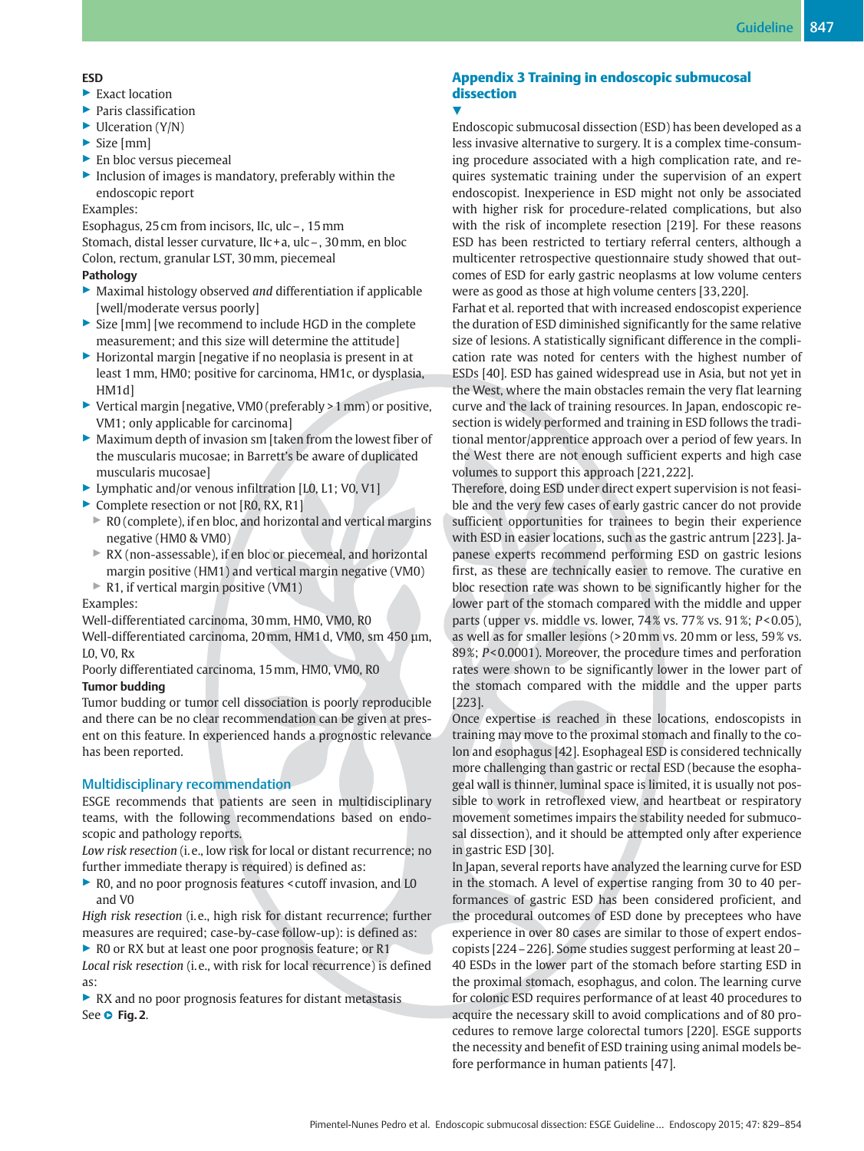## ESD

- $\blacktriangleright$  Exact location
- ▶ Paris classification
- $\blacktriangleright$  Ulceration (Y/N)
- $\triangleright$  Size [mm]
- ▶ En bloc versus piecemeal
- $\blacktriangleright$  Inclusion of images is mandatory, preferably within the endoscopic report

## Examples:

Esophagus, 25 cm from incisors, IIc, ulc–, 15mm Stomach, distal lesser curvature, IIc + a, ulc–, 30mm, en bloc Colon, rectum, granular LST, 30mm, piecemeal

## Pathology

- $\blacktriangleright$  Maximal histology observed and differentiation if applicable [well/moderate versus poorly]
- ▶ Size [mm] [we recommend to include HGD in the complete measurement; and this size will determine the attitude]
- ▶ Horizontal margin [negative if no neoplasia is present in at least 1mm, HM0; positive for carcinoma, HM1c, or dysplasia, HM1d]
- ▶ Vertical margin [negative, VM0 (preferably > 1mm) or positive, VM1; only applicable for carcinoma]
- ▶ Maximum depth of invasion sm [taken from the lowest fiber of the muscularis mucosae; in Barrett's be aware of duplicated muscularis mucosae]
- ▶ Lymphatic and/or venous infiltration [L0, L1; V0, V1]
- ▶ Complete resection or not [R0, RX, R1]
	- $\triangleright$  R0 (complete), if en bloc, and horizontal and vertical margins negative (HM0 & VM0)
	- ▶ RX (non-assessable), if en bloc or piecemeal, and horizontal margin positive (HM1) and vertical margin negative (VM0)
	- ▶ R1, if vertical margin positive (VM1)

Examples:

Well-differentiated carcinoma, 30mm, HM0, VM0, R0

Well-differentiated carcinoma, 20mm, HM1 d, VM0, sm 450 μm, L0, V0, Rx

Poorly differentiated carcinoma, 15mm, HM0, VM0, R0 Tumor budding

Tumor budding or tumor cell dissociation is poorly reproducible and there can be no clear recommendation can be given at present on this feature. In experienced hands a prognostic relevance has been reported.

## Multidisciplinary recommendation

ESGE recommends that patients are seen in multidisciplinary teams, with the following recommendations based on endoscopic and pathology reports.

Low risk resection (i. e., low risk for local or distant recurrence; no further immediate therapy is required) is defined as:

▶ R0, and no poor prognosis features < cutoff invasion, and L0 and V0

High risk resection (i. e., high risk for distant recurrence; further measures are required; case-by-case follow-up): is defined as:

▶ R0 or RX but at least one poor prognosis feature; or R1 Local risk resection (i. e., with risk for local recurrence) is defined as:

▶ RX and no poor prognosis features for distant metastasis See O Fig. 2.

## Appendix 3 Training in endoscopic submucosal dissection

## <u>V</u>

Endoscopic submucosal dissection (ESD) has been developed as a less invasive alternative to surgery. It is a complex time-consuming procedure associated with a high complication rate, and requires systematic training under the supervision of an expert endoscopist. Inexperience in ESD might not only be associated with higher risk for procedure-related complications, but also with the risk of incomplete resection [219]. For these reasons ESD has been restricted to tertiary referral centers, although a multicenter retrospective questionnaire study showed that outcomes of ESD for early gastric neoplasms at low volume centers were as good as those at high volume centers [33, 220].

Farhat et al. reported that with increased endoscopist experience the duration of ESD diminished significantly for the same relative size of lesions. A statistically significant difference in the complication rate was noted for centers with the highest number of ESDs [40]. ESD has gained widespread use in Asia, but not yet in the West, where the main obstacles remain the very flat learning curve and the lack of training resources. In Japan, endoscopic resection is widely performed and training in ESD follows the traditional mentor/apprentice approach over a period of few years. In the West there are not enough sufficient experts and high case volumes to support this approach [221, 222].

Therefore, doing ESD under direct expert supervision is not feasible and the very few cases of early gastric cancer do not provide sufficient opportunities for trainees to begin their experience with ESD in easier locations, such as the gastric antrum [223]. Japanese experts recommend performing ESD on gastric lesions first, as these are technically easier to remove. The curative en bloc resection rate was shown to be significantly higher for the lower part of the stomach compared with the middle and upper parts (upper vs. middle vs. lower, 74 % vs. 77 % vs. 91 %; P< 0.05), as well as for smaller lesions (> 20mm vs. 20mm or less, 59 % vs. 89 %; P< 0.0001). Moreover, the procedure times and perforation rates were shown to be significantly lower in the lower part of the stomach compared with the middle and the upper parts [223].

Once expertise is reached in these locations, endoscopists in training may move to the proximal stomach and finally to the colon and esophagus [42]. Esophageal ESD is considered technically more challenging than gastric or rectal ESD (because the esophageal wall is thinner, luminal space is limited, it is usually not possible to work in retroflexed view, and heartbeat or respiratory movement sometimes impairs the stability needed for submucosal dissection), and it should be attempted only after experience in gastric ESD [30].

In Japan, several reports have analyzed the learning curve for ESD in the stomach. A level of expertise ranging from 30 to 40 performances of gastric ESD has been considered proficient, and the procedural outcomes of ESD done by preceptees who have experience in over 80 cases are similar to those of expert endoscopists [224–226]. Some studies suggest performing at least 20– 40 ESDs in the lower part of the stomach before starting ESD in the proximal stomach, esophagus, and colon. The learning curve for colonic ESD requires performance of at least 40 procedures to acquire the necessary skill to avoid complications and of 80 procedures to remove large colorectal tumors [220]. ESGE supports the necessity and benefit of ESD training using animal models before performance in human patients [47].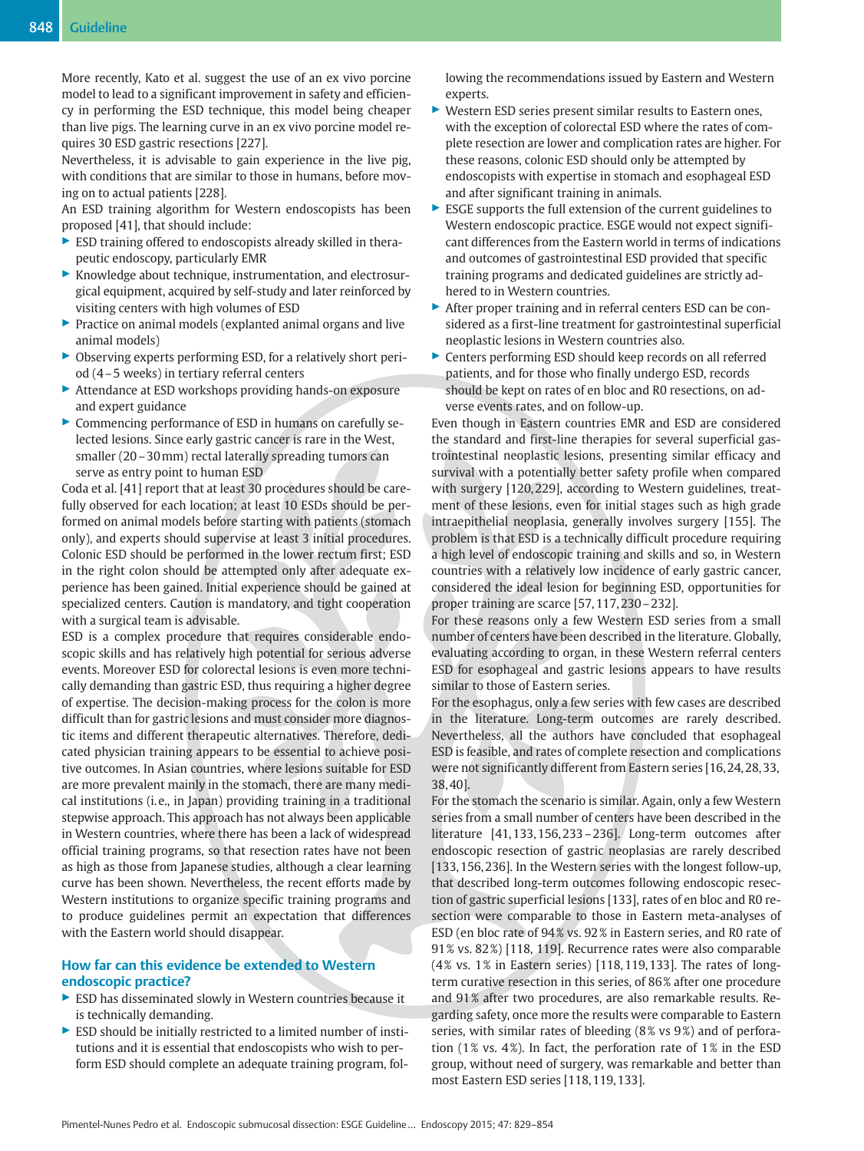More recently, Kato et al. suggest the use of an ex vivo porcine model to lead to a significant improvement in safety and efficiency in performing the ESD technique, this model being cheaper than live pigs. The learning curve in an ex vivo porcine model requires 30 ESD gastric resections [227].

Nevertheless, it is advisable to gain experience in the live pig, with conditions that are similar to those in humans, before moving on to actual patients [228].

An ESD training algorithm for Western endoscopists has been proposed [41], that should include:

- ▶ ESD training offered to endoscopists already skilled in therapeutic endoscopy, particularly EMR
- ▶ Knowledge about technique, instrumentation, and electrosurgical equipment, acquired by self-study and later reinforced by visiting centers with high volumes of ESD
- ▶ Practice on animal models (explanted animal organs and live animal models)
- ▶ Observing experts performing ESD, for a relatively short period (4–5 weeks) in tertiary referral centers
- ▶ Attendance at ESD workshops providing hands-on exposure and expert guidance
- ▶ Commencing performance of ESD in humans on carefully selected lesions. Since early gastric cancer is rare in the West, smaller (20–30mm) rectal laterally spreading tumors can serve as entry point to human ESD

Coda et al. [41] report that at least 30 procedures should be carefully observed for each location; at least 10 ESDs should be performed on animal models before starting with patients (stomach only), and experts should supervise at least 3 initial procedures. Colonic ESD should be performed in the lower rectum first; ESD in the right colon should be attempted only after adequate experience has been gained. Initial experience should be gained at specialized centers. Caution is mandatory, and tight cooperation with a surgical team is advisable.

ESD is a complex procedure that requires considerable endoscopic skills and has relatively high potential for serious adverse events. Moreover ESD for colorectal lesions is even more technically demanding than gastric ESD, thus requiring a higher degree of expertise. The decision-making process for the colon is more difficult than for gastric lesions and must consider more diagnostic items and different therapeutic alternatives. Therefore, dedicated physician training appears to be essential to achieve positive outcomes. In Asian countries, where lesions suitable for ESD are more prevalent mainly in the stomach, there are many medical institutions (i. e., in Japan) providing training in a traditional stepwise approach. This approach has not always been applicable in Western countries, where there has been a lack of widespread official training programs, so that resection rates have not been as high as those from Japanese studies, although a clear learning curve has been shown. Nevertheless, the recent efforts made by Western institutions to organize specific training programs and to produce guidelines permit an expectation that differences with the Eastern world should disappear.

## How far can this evidence be extended to Western endoscopic practice?

- ▶ ESD has disseminated slowly in Western countries because it is technically demanding.
- $\triangleright$  ESD should be initially restricted to a limited number of institutions and it is essential that endoscopists who wish to perform ESD should complete an adequate training program, fol-

lowing the recommendations issued by Eastern and Western experts.

- ▶ Western ESD series present similar results to Eastern ones, with the exception of colorectal ESD where the rates of complete resection are lower and complication rates are higher. For these reasons, colonic ESD should only be attempted by endoscopists with expertise in stomach and esophageal ESD and after significant training in animals.
- $\triangleright$  ESGE supports the full extension of the current guidelines to Western endoscopic practice. ESGE would not expect significant differences from the Eastern world in terms of indications and outcomes of gastrointestinal ESD provided that specific training programs and dedicated guidelines are strictly adhered to in Western countries.
- ▶ After proper training and in referral centers ESD can be considered as a first-line treatment for gastrointestinal superficial neoplastic lesions in Western countries also.
- ▶ Centers performing ESD should keep records on all referred patients, and for those who finally undergo ESD, records should be kept on rates of en bloc and R0 resections, on adverse events rates, and on follow-up.

Even though in Eastern countries EMR and ESD are considered the standard and first-line therapies for several superficial gastrointestinal neoplastic lesions, presenting similar efficacy and survival with a potentially better safety profile when compared with surgery [120, 229], according to Western guidelines, treatment of these lesions, even for initial stages such as high grade intraepithelial neoplasia, generally involves surgery [155]. The problem is that ESD is a technically difficult procedure requiring a high level of endoscopic training and skills and so, in Western countries with a relatively low incidence of early gastric cancer, considered the ideal lesion for beginning ESD, opportunities for proper training are scarce [57, 117, 230–232].

For these reasons only a few Western ESD series from a small number of centers have been described in the literature. Globally, evaluating according to organ, in these Western referral centers ESD for esophageal and gastric lesions appears to have results similar to those of Eastern series.

For the esophagus, only a few series with few cases are described in the literature. Long-term outcomes are rarely described. Nevertheless, all the authors have concluded that esophageal ESD is feasible, and rates of complete resection and complications were not significantly different from Eastern series [16, 24, 28, 33, 38, 40].

For the stomach the scenario is similar. Again, only a few Western series from a small number of centers have been described in the literature [41, 133, 156, 233–236]. Long-term outcomes after endoscopic resection of gastric neoplasias are rarely described [133, 156, 236]. In the Western series with the longest follow-up, that described long-term outcomes following endoscopic resection of gastric superficial lesions [133], rates of en bloc and R0 resection were comparable to those in Eastern meta-analyses of ESD (en bloc rate of 94% vs. 92% in Eastern series, and R0 rate of 91 % vs. 82 %) [118, 119]. Recurrence rates were also comparable (4 % vs. 1 % in Eastern series) [118, 119, 133]. The rates of longterm curative resection in this series, of 86 % after one procedure and 91 % after two procedures, are also remarkable results. Regarding safety, once more the results were comparable to Eastern series, with similar rates of bleeding (8% vs 9%) and of perforation (1% vs. 4%). In fact, the perforation rate of  $1\%$  in the ESD group, without need of surgery, was remarkable and better than most Eastern ESD series [118, 119, 133].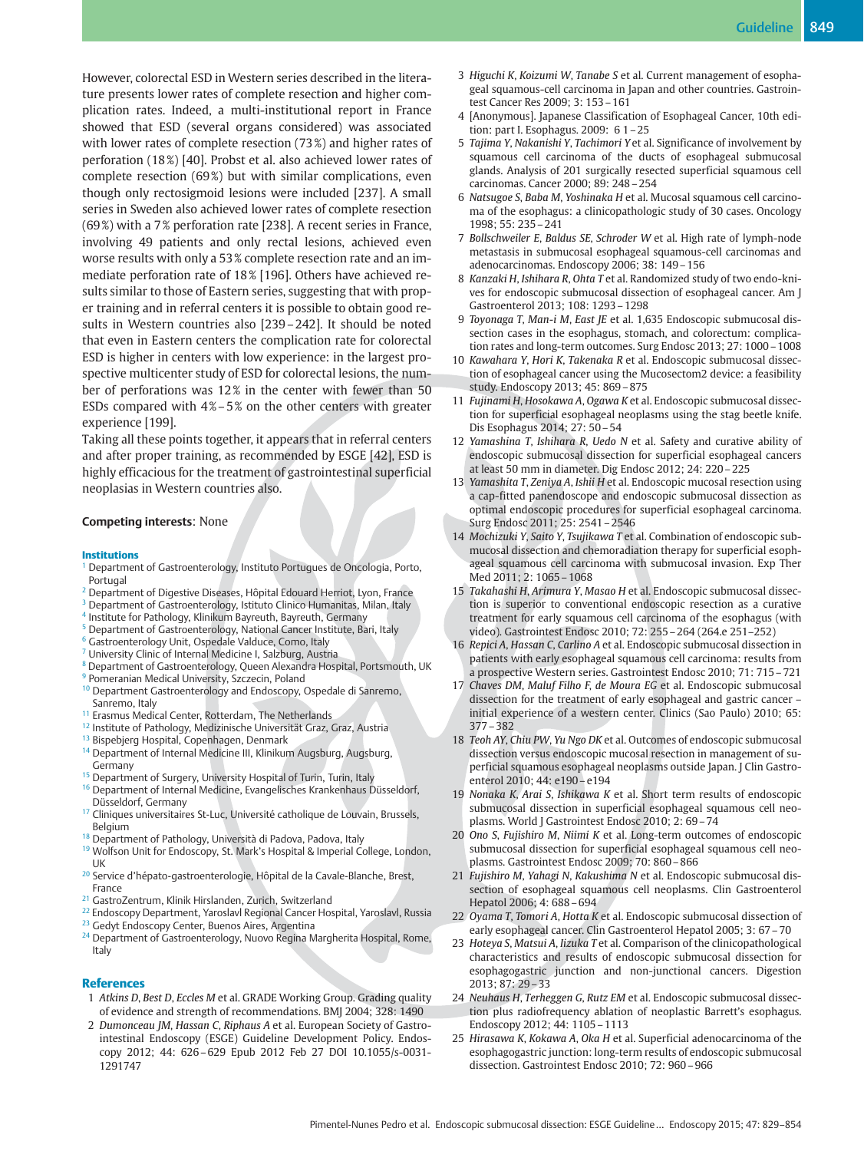However, colorectal ESD in Western series described in the literature presents lower rates of complete resection and higher complication rates. Indeed, a multi-institutional report in France showed that ESD (several organs considered) was associated with lower rates of complete resection (73 %) and higher rates of perforation (18 %) [40]. Probst et al. also achieved lower rates of complete resection (69 %) but with similar complications, even though only rectosigmoid lesions were included [237]. A small series in Sweden also achieved lower rates of complete resection (69%) with a 7% perforation rate [238]. A recent series in France, involving 49 patients and only rectal lesions, achieved even worse results with only a 53 % complete resection rate and an immediate perforation rate of 18 % [196]. Others have achieved results similar to those of Eastern series, suggesting that with proper training and in referral centers it is possible to obtain good results in Western countries also [239–242]. It should be noted that even in Eastern centers the complication rate for colorectal ESD is higher in centers with low experience: in the largest prospective multicenter study of ESD for colorectal lesions, the number of perforations was 12% in the center with fewer than 50 ESDs compared with  $4\% - 5\%$  on the other centers with greater experience [199].

Taking all these points together, it appears that in referral centers and after proper training, as recommended by ESGE [42], ESD is highly efficacious for the treatment of gastrointestinal superficial neoplasias in Western countries also.

#### Competing interests: None

#### Institutions

- <sup>1</sup> Department of Gastroenterology, Instituto Portugues de Oncologia, Porto, Portugal
- <sup>2</sup> Department of Digestive Diseases, Hôpital Edouard Herriot, Lyon, France
- <sup>3</sup> Department of Gastroenterology, Istituto Clinico Humanitas, Milan, Italy
- <sup>4</sup> Institute for Pathology, Klinikum Bayreuth, Bayreuth, Germany
- <sup>5</sup> Department of Gastroenterology, National Cancer Institute, Bari, Italy
- <sup>6</sup> Gastroenterology Unit, Ospedale Valduce, Como, Italy
- <sup>7</sup> University Clinic of Internal Medicine I, Salzburg, Austria
- <sup>8</sup> Department of Gastroenterology, Queen Alexandra Hospital, Portsmouth, UK <sup>9</sup> Pomeranian Medical University, Szczecin, Poland
- <sup>10</sup> Department Gastroenterology and Endoscopy, Ospedale di Sanremo, Sanremo, Italy
- <sup>11</sup> Erasmus Medical Center, Rotterdam, The Netherlands
- <sup>12</sup> Institute of Pathology, Medizinische Universität Graz, Graz, Austria
- <sup>13</sup> Bispebjerg Hospital, Copenhagen, Denmark
- <sup>14</sup> Department of Internal Medicine III, Klinikum Augsburg, Augsburg, Germany
- <sup>15</sup> Department of Surgery, University Hospital of Turin, Turin, Italy
- <sup>16</sup> Department of Internal Medicine, Evangelisches Krankenhaus Düsseldorf, Düsseldorf, Germany
- <sup>17</sup> Cliniques universitaires St-Luc, Université catholique de Louvain, Brussels, Belgium
- <sup>18</sup> Department of Pathology, Università di Padova, Padova, Italy
- <sup>19</sup> Wolfson Unit for Endoscopy, St. Mark's Hospital & Imperial College, London, UK
- <sup>20</sup> Service d'hépato-gastroenterologie, Hôpital de la Cavale-Blanche, Brest, France
- <sup>21</sup> GastroZentrum, Klinik Hirslanden, Zurich, Switzerland
- <sup>22</sup> Endoscopy Department, Yaroslavl Regional Cancer Hospital, Yaroslavl, Russia
- <sup>23</sup> Gedyt Endoscopy Center, Buenos Aires, Argentina
- <sup>24</sup> Department of Gastroenterology, Nuovo Regina Margherita Hospital, Rome, Italy

#### References

- 1 Atkins D, Best D, Eccles M et al. GRADE Working Group. Grading quality of evidence and strength of recommendations. BMJ 2004; 328: 1490
- 2 Dumonceau JM, Hassan C, Riphaus A et al. European Society of Gastrointestinal Endoscopy (ESGE) Guideline Development Policy. Endoscopy 2012; 44: 626–629 Epub 2012 Feb 27 DOI 10.1055/s-0031- 1291747
- 3 Higuchi K, Koizumi W, Tanabe S et al. Current management of esophageal squamous-cell carcinoma in Japan and other countries. Gastrointest Cancer Res 2009; 3: 153–161
- 4 [Anonymous]. Japanese Classification of Esophageal Cancer, 10th edition: part I. Esophagus. 2009: 6 1–25
- 5 Tajima Y, Nakanishi Y, Tachimori Y et al. Significance of involvement by squamous cell carcinoma of the ducts of esophageal submucosal glands. Analysis of 201 surgically resected superficial squamous cell carcinomas. Cancer 2000; 89: 248–254
- 6 Natsugoe S, Baba M, Yoshinaka H et al. Mucosal squamous cell carcinoma of the esophagus: a clinicopathologic study of 30 cases. Oncology 1998; 55: 235–241
- 7 Bollschweiler E, Baldus SE, Schroder W et al. High rate of lymph-node metastasis in submucosal esophageal squamous-cell carcinomas and adenocarcinomas. Endoscopy 2006; 38: 149–156
- 8 Kanzaki H, Ishihara R, Ohta T et al. Randomized study of two endo-knives for endoscopic submucosal dissection of esophageal cancer. Am J Gastroenterol 2013; 108: 1293–1298
- 9 Toyonaga T, Man-i M, East JE et al. 1,635 Endoscopic submucosal dissection cases in the esophagus, stomach, and colorectum: complication rates and long-term outcomes. Surg Endosc 2013; 27: 1000–1008
- 10 Kawahara Y, Hori K, Takenaka R et al. Endoscopic submucosal dissection of esophageal cancer using the Mucosectom2 device: a feasibility study. Endoscopy 2013; 45: 869–875
- 11 Fujinami H, Hosokawa A, Ogawa K et al. Endoscopic submucosal dissection for superficial esophageal neoplasms using the stag beetle knife. Dis Esophagus 2014; 27: 50–54
- 12 Yamashina T, Ishihara R, Uedo N et al. Safety and curative ability of endoscopic submucosal dissection for superficial esophageal cancers at least 50 mm in diameter. Dig Endosc 2012; 24: 220–225
- 13 Yamashita T, Zeniya A, Ishii H et al. Endoscopic mucosal resection using a cap-fitted panendoscope and endoscopic submucosal dissection as optimal endoscopic procedures for superficial esophageal carcinoma. Surg Endosc 2011; 25: 2541–2546
- 14 Mochizuki Y, Saito Y, Tsujikawa T et al. Combination of endoscopic submucosal dissection and chemoradiation therapy for superficial esophageal squamous cell carcinoma with submucosal invasion. Exp Ther Med 2011; 2: 1065–1068
- 15 Takahashi H, Arimura Y, Masao H et al. Endoscopic submucosal dissection is superior to conventional endoscopic resection as a curative treatment for early squamous cell carcinoma of the esophagus (with video). Gastrointest Endosc 2010; 72: 255–264 (264.e 251–252)
- 16 Repici A, Hassan C, Carlino A et al. Endoscopic submucosal dissection in patients with early esophageal squamous cell carcinoma: results from a prospective Western series. Gastrointest Endosc 2010; 71: 715–721
- 17 Chaves DM, Maluf Filho F, de Moura EG et al. Endoscopic submucosal dissection for the treatment of early esophageal and gastric cancer – initial experience of a western center. Clinics (Sao Paulo) 2010; 65: 377–382
- 18 Teoh AY, Chiu PW, Yu Ngo DK et al. Outcomes of endoscopic submucosal dissection versus endoscopic mucosal resection in management of superficial squamous esophageal neoplasms outside Japan. J Clin Gastroenterol 2010; 44: e190–e194
- 19 Nonaka K, Arai S, Ishikawa K et al. Short term results of endoscopic submucosal dissection in superficial esophageal squamous cell neoplasms. World J Gastrointest Endosc 2010; 2: 69–74
- 20 Ono S, Fujishiro M, Niimi K et al. Long-term outcomes of endoscopic submucosal dissection for superficial esophageal squamous cell neoplasms. Gastrointest Endosc 2009; 70: 860–866
- 21 Fujishiro M, Yahagi N, Kakushima N et al. Endoscopic submucosal dissection of esophageal squamous cell neoplasms. Clin Gastroenterol Hepatol 2006; 4: 688–694
- 22 Oyama T, Tomori A, Hotta K et al. Endoscopic submucosal dissection of early esophageal cancer. Clin Gastroenterol Hepatol 2005; 3: 67–70
- 23 Hoteya S, Matsui A, Iizuka T et al. Comparison of the clinicopathological characteristics and results of endoscopic submucosal dissection for esophagogastric junction and non-junctional cancers. Digestion 2013; 87: 29–33
- 24 Neuhaus H, Terheggen G, Rutz EM et al. Endoscopic submucosal dissection plus radiofrequency ablation of neoplastic Barrett's esophagus. Endoscopy 2012; 44: 1105–1113
- 25 Hirasawa K, Kokawa A, Oka H et al. Superficial adenocarcinoma of the esophagogastric junction: long-term results of endoscopic submucosal dissection. Gastrointest Endosc 2010; 72: 960–966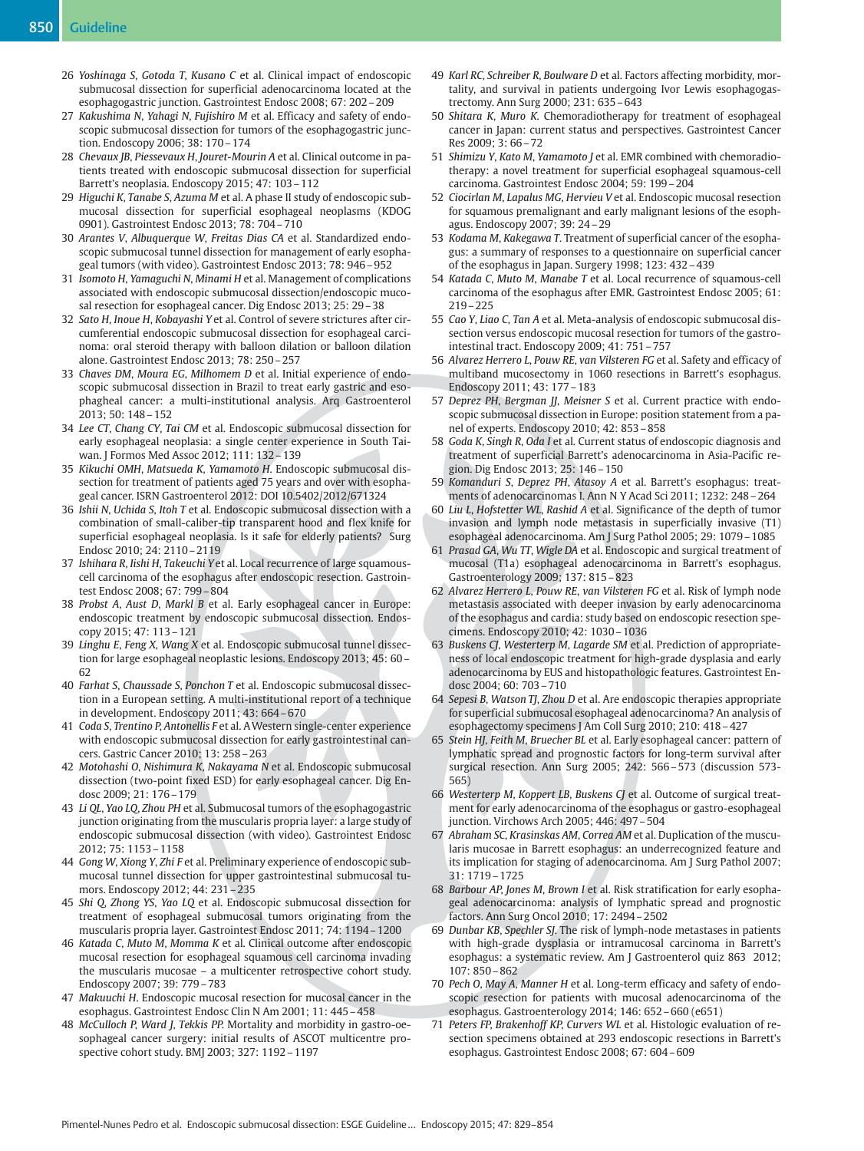- 26 Yoshinaga S, Gotoda T, Kusano C et al. Clinical impact of endoscopic submucosal dissection for superficial adenocarcinoma located at the esophagogastric junction. Gastrointest Endosc 2008; 67: 202–209
- 27 Kakushima N, Yahagi N, Fujishiro M et al. Efficacy and safety of endoscopic submucosal dissection for tumors of the esophagogastric junction. Endoscopy 2006; 38: 170–174
- 28 Chevaux JB, Piessevaux H, Jouret-Mourin A et al. Clinical outcome in patients treated with endoscopic submucosal dissection for superficial Barrett's neoplasia. Endoscopy 2015; 47: 103–112
- 29 Higuchi K, Tanabe S, Azuma M et al. A phase II study of endoscopic submucosal dissection for superficial esophageal neoplasms (KDOG 0901). Gastrointest Endosc 2013; 78: 704–710
- 30 Arantes V, Albuquerque W, Freitas Dias CA et al. Standardized endoscopic submucosal tunnel dissection for management of early esophageal tumors (with video). Gastrointest Endosc 2013; 78: 946–952
- 31 Isomoto H, Yamaguchi N, Minami H et al. Management of complications associated with endoscopic submucosal dissection/endoscopic mucosal resection for esophageal cancer. Dig Endosc 2013; 25: 29–38
- 32 Sato H, Inoue H, Kobayashi Y et al. Control of severe strictures after circumferential endoscopic submucosal dissection for esophageal carcinoma: oral steroid therapy with balloon dilation or balloon dilation alone. Gastrointest Endosc 2013; 78: 250–257
- 33 Chaves DM, Moura EG, Milhomem D et al. Initial experience of endoscopic submucosal dissection in Brazil to treat early gastric and esophagheal cancer: a multi-institutional analysis. Arq Gastroenterol 2013; 50: 148–152
- 34 Lee CT, Chang CY, Tai CM et al. Endoscopic submucosal dissection for early esophageal neoplasia: a single center experience in South Taiwan. J Formos Med Assoc 2012; 111: 132–139
- 35 Kikuchi OMH, Matsueda K, Yamamoto H. Endoscopic submucosal dissection for treatment of patients aged 75 years and over with esophageal cancer. ISRN Gastroenterol 2012: DOI 10.5402/2012/671324
- 36 Ishii N, Uchida S, Itoh T et al. Endoscopic submucosal dissection with a combination of small-caliber-tip transparent hood and flex knife for superficial esophageal neoplasia. Is it safe for elderly patients? Surg Endosc 2010; 24: 2110–2119
- 37 Ishihara R, Iishi H, Takeuchi Y et al. Local recurrence of large squamouscell carcinoma of the esophagus after endoscopic resection. Gastrointest Endosc 2008; 67: 799–804
- 38 Probst A, Aust D, Markl B et al. Early esophageal cancer in Europe: endoscopic treatment by endoscopic submucosal dissection. Endoscopy 2015; 47: 113–121
- 39 Linghu E, Feng X, Wang X et al. Endoscopic submucosal tunnel dissection for large esophageal neoplastic lesions. Endoscopy 2013; 45: 60– 62
- 40 Farhat S, Chaussade S, Ponchon T et al. Endoscopic submucosal dissection in a European setting. A multi-institutional report of a technique in development. Endoscopy 2011; 43: 664–670
- 41 Coda S, Trentino P, Antonellis F et al. AWestern single-center experience with endoscopic submucosal dissection for early gastrointestinal cancers. Gastric Cancer 2010; 13: 258–263
- 42 Motohashi O, Nishimura K, Nakayama N et al. Endoscopic submucosal dissection (two-point fixed ESD) for early esophageal cancer. Dig Endosc 2009; 21: 176–179
- 43 Li QL, Yao LQ, Zhou PH et al. Submucosal tumors of the esophagogastric junction originating from the muscularis propria layer: a large study of endoscopic submucosal dissection (with video). Gastrointest Endosc 2012; 75: 1153–1158
- 44 Gong W, Xiong Y, Zhi F et al. Preliminary experience of endoscopic submucosal tunnel dissection for upper gastrointestinal submucosal tumors. Endoscopy 2012; 44: 231–235
- 45 Shi Q, Zhong YS, Yao LQ et al. Endoscopic submucosal dissection for treatment of esophageal submucosal tumors originating from the muscularis propria layer. Gastrointest Endosc 2011; 74: 1194–1200
- 46 Katada C, Muto M, Momma K et al. Clinical outcome after endoscopic mucosal resection for esophageal squamous cell carcinoma invading the muscularis mucosae – a multicenter retrospective cohort study. Endoscopy 2007; 39: 779–783
- 47 Makuuchi H. Endoscopic mucosal resection for mucosal cancer in the esophagus. Gastrointest Endosc Clin N Am 2001; 11: 445–458
- 48 McCulloch P, Ward J, Tekkis PP. Mortality and morbidity in gastro-oesophageal cancer surgery: initial results of ASCOT multicentre prospective cohort study. BMJ 2003; 327: 1192–1197
- 49 Karl RC, Schreiber R, Boulware D et al. Factors affecting morbidity, mortality, and survival in patients undergoing Ivor Lewis esophagogastrectomy. Ann Surg 2000; 231: 635–643
- 50 Shitara K, Muro K. Chemoradiotherapy for treatment of esophageal cancer in Japan: current status and perspectives. Gastrointest Cancer Res 2009; 3: 66–72
- 51 Shimizu Y, Kato M, Yamamoto J et al. EMR combined with chemoradiotherapy: a novel treatment for superficial esophageal squamous-cell carcinoma. Gastrointest Endosc 2004; 59: 199–204
- 52 Ciocirlan M, Lapalus MG, Hervieu V et al. Endoscopic mucosal resection for squamous premalignant and early malignant lesions of the esophagus. Endoscopy 2007; 39: 24–29
- 53 Kodama M, Kakegawa T. Treatment of superficial cancer of the esophagus: a summary of responses to a questionnaire on superficial cancer of the esophagus in Japan. Surgery 1998; 123: 432–439
- 54 Katada C, Muto M, Manabe T et al. Local recurrence of squamous-cell carcinoma of the esophagus after EMR. Gastrointest Endosc 2005; 61: 219–225
- 55 Cao Y, Liao C, Tan A et al. Meta-analysis of endoscopic submucosal dissection versus endoscopic mucosal resection for tumors of the gastrointestinal tract. Endoscopy 2009; 41: 751–757
- 56 Alvarez Herrero L, Pouw RE, van Vilsteren FG et al. Safety and efficacy of multiband mucosectomy in 1060 resections in Barrett's esophagus. Endoscopy 2011; 43: 177–183
- 57 Deprez PH, Bergman JJ, Meisner S et al. Current practice with endoscopic submucosal dissection in Europe: position statement from a panel of experts. Endoscopy 2010; 42: 853–858
- 58 Goda K, Singh R, Oda I et al. Current status of endoscopic diagnosis and treatment of superficial Barrett's adenocarcinoma in Asia-Pacific region. Dig Endosc 2013; 25: 146–150
- 59 Komanduri S, Deprez PH, Atasoy A et al. Barrett's esophagus: treatments of adenocarcinomas I. Ann N Y Acad Sci 2011; 1232: 248–264
- 60 Liu L, Hofstetter WL, Rashid A et al. Significance of the depth of tumor invasion and lymph node metastasis in superficially invasive (T1) esophageal adenocarcinoma. Am J Surg Pathol 2005; 29: 1079–1085
- 61 Prasad GA, Wu TT, Wigle DA et al. Endoscopic and surgical treatment of mucosal (T1a) esophageal adenocarcinoma in Barrett's esophagus. Gastroenterology 2009; 137: 815–823
- 62 Alvarez Herrero L, Pouw RE, van Vilsteren FG et al. Risk of lymph node metastasis associated with deeper invasion by early adenocarcinoma of the esophagus and cardia: study based on endoscopic resection specimens. Endoscopy 2010; 42: 1030–1036
- 63 Buskens CJ, Westerterp M, Lagarde SM et al. Prediction of appropriateness of local endoscopic treatment for high-grade dysplasia and early adenocarcinoma by EUS and histopathologic features. Gastrointest Endosc 2004; 60: 703–710
- 64 Sepesi B, Watson TJ, Zhou D et al. Are endoscopic therapies appropriate for superficial submucosal esophageal adenocarcinoma? An analysis of esophagectomy specimens J Am Coll Surg 2010; 210: 418–427
- 65 Stein HJ, Feith M, Bruecher BL et al. Early esophageal cancer: pattern of lymphatic spread and prognostic factors for long-term survival after surgical resection. Ann Surg 2005; 242: 566–573 (discussion 573- 565)
- 66 Westerterp M, Koppert LB, Buskens CJ et al. Outcome of surgical treatment for early adenocarcinoma of the esophagus or gastro-esophageal junction. Virchows Arch 2005; 446: 497–504
- 67 Abraham SC, Krasinskas AM, Correa AM et al. Duplication of the muscularis mucosae in Barrett esophagus: an underrecognized feature and its implication for staging of adenocarcinoma. Am J Surg Pathol 2007; 31: 1719–1725
- 68 Barbour AP, Jones M, Brown I et al. Risk stratification for early esophageal adenocarcinoma: analysis of lymphatic spread and prognostic factors. Ann Surg Oncol 2010; 17: 2494–2502
- 69 Dunbar KB, Spechler SJ. The risk of lymph-node metastases in patients with high-grade dysplasia or intramucosal carcinoma in Barrett's esophagus: a systematic review. Am J Gastroenterol quiz 863 2012; 107: 850–862
- 70 Pech O, May A, Manner H et al. Long-term efficacy and safety of endoscopic resection for patients with mucosal adenocarcinoma of the esophagus. Gastroenterology 2014; 146: 652–660 (e651)
- 71 Peters FP, Brakenhoff KP, Curvers WL et al. Histologic evaluation of resection specimens obtained at 293 endoscopic resections in Barrett's esophagus. Gastrointest Endosc 2008; 67: 604–609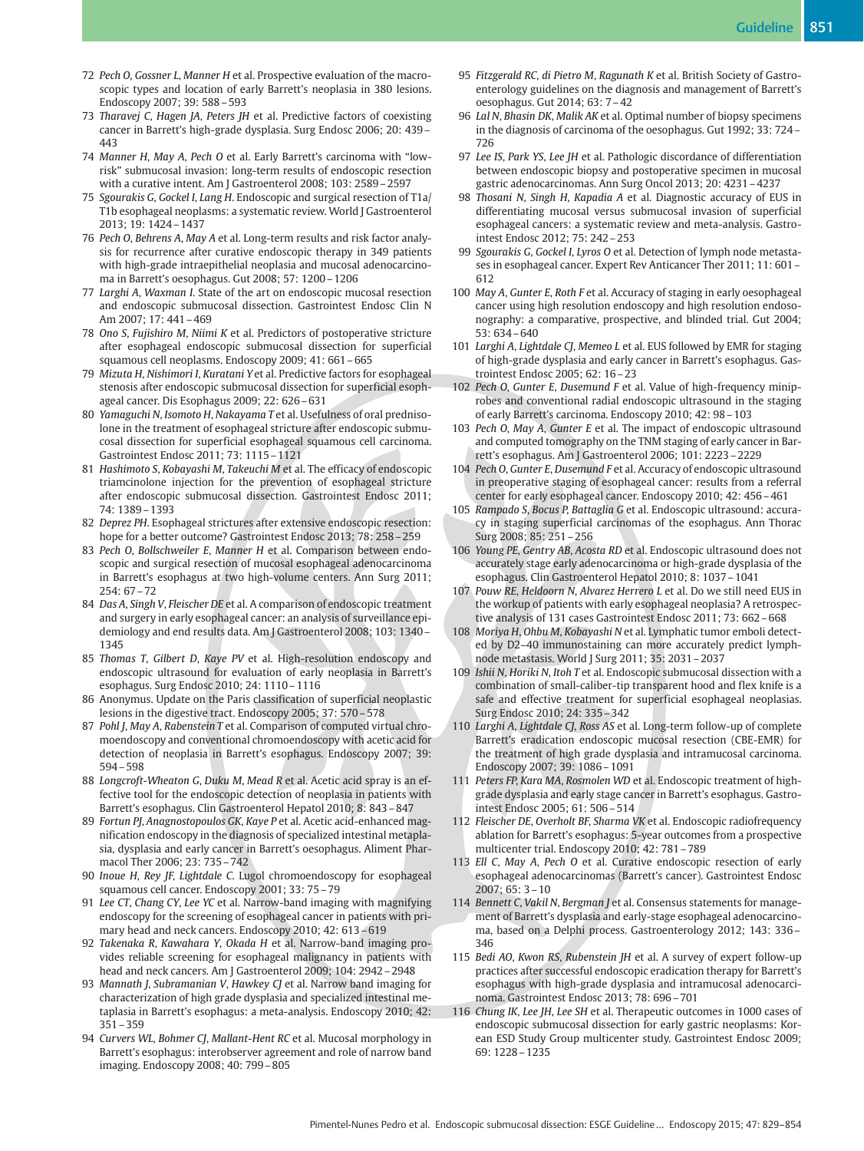- 72 Pech O, Gossner L, Manner H et al. Prospective evaluation of the macroscopic types and location of early Barrett's neoplasia in 380 lesions. Endoscopy 2007; 39: 588–593
- 73 Tharavej C, Hagen JA, Peters JH et al. Predictive factors of coexisting cancer in Barrett's high-grade dysplasia. Surg Endosc 2006; 20: 439– 443
- 74 Manner H, May A, Pech O et al. Early Barrett's carcinoma with "lowrisk" submucosal invasion: long-term results of endoscopic resection with a curative intent. Am J Gastroenterol 2008; 103: 2589–2597
- 75 Sgourakis G, Gockel I, Lang H. Endoscopic and surgical resection of T1a/ T1b esophageal neoplasms: a systematic review. World J Gastroenterol 2013; 19: 1424–1437
- 76 Pech O, Behrens A, May A et al. Long-term results and risk factor analysis for recurrence after curative endoscopic therapy in 349 patients with high-grade intraepithelial neoplasia and mucosal adenocarcinoma in Barrett's oesophagus. Gut 2008; 57: 1200–1206
- 77 Larghi A, Waxman I. State of the art on endoscopic mucosal resection and endoscopic submucosal dissection. Gastrointest Endosc Clin N Am 2007; 17: 441–469
- 78 Ono S, Fujishiro M, Niimi K et al. Predictors of postoperative stricture after esophageal endoscopic submucosal dissection for superficial squamous cell neoplasms. Endoscopy 2009; 41: 661–665
- 79 Mizuta H, Nishimori I, Kuratani Y et al. Predictive factors for esophageal stenosis after endoscopic submucosal dissection for superficial esophageal cancer. Dis Esophagus 2009; 22: 626–631
- 80 Yamaguchi N, Isomoto H, Nakayama T et al. Usefulness of oral prednisolone in the treatment of esophageal stricture after endoscopic submucosal dissection for superficial esophageal squamous cell carcinoma. Gastrointest Endosc 2011; 73: 1115–1121
- 81 Hashimoto S, Kobayashi M, Takeuchi M et al. The efficacy of endoscopic triamcinolone injection for the prevention of esophageal stricture after endoscopic submucosal dissection. Gastrointest Endosc 2011; 74: 1389–1393
- 82 Deprez PH. Esophageal strictures after extensive endoscopic resection: hope for a better outcome? Gastrointest Endosc 2013; 78: 258–259
- 83 Pech O, Bollschweiler E, Manner H et al. Comparison between endoscopic and surgical resection of mucosal esophageal adenocarcinoma in Barrett's esophagus at two high-volume centers. Ann Surg 2011; 254: 67–72
- 84 Das A, Singh V, Fleischer DE et al. A comparison of endoscopic treatment and surgery in early esophageal cancer: an analysis of surveillance epidemiology and end results data. Am J Gastroenterol 2008; 103: 1340– 1345
- 85 Thomas T, Gilbert D, Kaye PV et al. High-resolution endoscopy and endoscopic ultrasound for evaluation of early neoplasia in Barrett's esophagus. Surg Endosc 2010; 24: 1110–1116
- 86 Anonymus. Update on the Paris classification of superficial neoplastic lesions in the digestive tract. Endoscopy 2005; 37: 570–578
- 87 Pohl J, May A, Rabenstein T et al. Comparison of computed virtual chromoendoscopy and conventional chromoendoscopy with acetic acid for detection of neoplasia in Barrett's esophagus. Endoscopy 2007; 39: 594–598
- 88 Longcroft-Wheaton G, Duku M, Mead R et al. Acetic acid spray is an effective tool for the endoscopic detection of neoplasia in patients with Barrett's esophagus. Clin Gastroenterol Hepatol 2010; 8: 843–847
- 89 Fortun PJ, Anagnostopoulos GK, Kaye P et al. Acetic acid-enhanced magnification endoscopy in the diagnosis of specialized intestinal metaplasia, dysplasia and early cancer in Barrett's oesophagus. Aliment Pharmacol Ther 2006; 23: 735–742
- 90 Inoue H, Rey JF, Lightdale C. Lugol chromoendoscopy for esophageal squamous cell cancer. Endoscopy 2001; 33: 75–79
- 91 Lee CT, Chang CY, Lee YC et al. Narrow-band imaging with magnifying endoscopy for the screening of esophageal cancer in patients with primary head and neck cancers. Endoscopy 2010; 42: 613–619
- 92 Takenaka R, Kawahara Y, Okada H et al. Narrow-band imaging provides reliable screening for esophageal malignancy in patients with head and neck cancers. Am J Gastroenterol 2009; 104: 2942–2948
- 93 Mannath J, Subramanian V, Hawkey CJ et al. Narrow band imaging for characterization of high grade dysplasia and specialized intestinal metaplasia in Barrett's esophagus: a meta-analysis. Endoscopy 2010; 42: 351–359
- 94 Curvers WL, Bohmer CJ, Mallant-Hent RC et al. Mucosal morphology in Barrett's esophagus: interobserver agreement and role of narrow band imaging. Endoscopy 2008; 40: 799–805
- 95 Fitzgerald RC, di Pietro M, Ragunath K et al. British Society of Gastroenterology guidelines on the diagnosis and management of Barrett's oesophagus. Gut 2014; 63: 7–42
- 96 Lal N, Bhasin DK, Malik AK et al. Optimal number of biopsy specimens in the diagnosis of carcinoma of the oesophagus. Gut 1992; 33: 724– 726
- 97 Lee IS, Park YS, Lee JH et al. Pathologic discordance of differentiation between endoscopic biopsy and postoperative specimen in mucosal gastric adenocarcinomas. Ann Surg Oncol 2013; 20: 4231–4237
- 98 Thosani N, Singh H, Kapadia A et al. Diagnostic accuracy of EUS in differentiating mucosal versus submucosal invasion of superficial esophageal cancers: a systematic review and meta-analysis. Gastrointest Endosc 2012; 75: 242–253
- 99 Sgourakis G, Gockel I, Lyros O et al. Detection of lymph node metastases in esophageal cancer. Expert Rev Anticancer Ther 2011; 11: 601– 612
- 100 May A, Gunter E, Roth F et al. Accuracy of staging in early oesophageal cancer using high resolution endoscopy and high resolution endosonography: a comparative, prospective, and blinded trial. Gut 2004; 53: 634–640
- 101 Larghi A, Lightdale CJ, Memeo L et al. EUS followed by EMR for staging of high-grade dysplasia and early cancer in Barrett's esophagus. Gastrointest Endosc 2005; 62: 16–23
- 102 Pech O, Gunter E, Dusemund F et al. Value of high-frequency miniprobes and conventional radial endoscopic ultrasound in the staging of early Barrett's carcinoma. Endoscopy 2010; 42: 98–103
- 103 Pech O, May A, Gunter E et al. The impact of endoscopic ultrasound and computed tomography on the TNM staging of early cancer in Barrett's esophagus. Am J Gastroenterol 2006; 101: 2223–2229
- 104 Pech O, Gunter E, Dusemund F et al. Accuracy of endoscopic ultrasound in preoperative staging of esophageal cancer: results from a referral center for early esophageal cancer. Endoscopy 2010; 42: 456–461
- 105 Rampado S, Bocus P, Battaglia G et al. Endoscopic ultrasound: accuracy in staging superficial carcinomas of the esophagus. Ann Thorac Surg 2008; 85: 251–256
- 106 Young PE, Gentry AB, Acosta RD et al. Endoscopic ultrasound does not accurately stage early adenocarcinoma or high-grade dysplasia of the esophagus. Clin Gastroenterol Hepatol 2010; 8: 1037–1041
- 107 Pouw RE, Heldoorn N, Alvarez Herrero L et al. Do we still need EUS in the workup of patients with early esophageal neoplasia? A retrospective analysis of 131 cases Gastrointest Endosc 2011; 73: 662–668
- 108 Moriya H, Ohbu M, Kobayashi N et al. Lymphatic tumor emboli detected by D2–40 immunostaining can more accurately predict lymphnode metastasis. World J Surg 2011; 35: 2031–2037
- 109 Ishii N, Horiki N, Itoh T et al. Endoscopic submucosal dissection with a combination of small-caliber-tip transparent hood and flex knife is a safe and effective treatment for superficial esophageal neoplasias. Surg Endosc 2010; 24: 335–342
- 110 Larghi A, Lightdale CJ, Ross AS et al. Long-term follow-up of complete Barrett's eradication endoscopic mucosal resection (CBE-EMR) for the treatment of high grade dysplasia and intramucosal carcinoma. Endoscopy 2007; 39: 1086–1091
- 111 Peters FP, Kara MA, Rosmolen WD et al. Endoscopic treatment of highgrade dysplasia and early stage cancer in Barrett's esophagus. Gastrointest Endosc 2005; 61: 506–514
- 112 Fleischer DE, Overholt BF, Sharma VK et al. Endoscopic radiofrequency ablation for Barrett's esophagus: 5-year outcomes from a prospective multicenter trial. Endoscopy 2010; 42: 781–789
- 113 Ell C, May A, Pech O et al. Curative endoscopic resection of early esophageal adenocarcinomas (Barrett's cancer). Gastrointest Endosc 2007; 65: 3–10
- 114 Bennett C, Vakil N, Bergman J et al. Consensus statements for management of Barrett's dysplasia and early-stage esophageal adenocarcinoma, based on a Delphi process. Gastroenterology 2012; 143: 336– 346
- 115 Bedi AO, Kwon RS, Rubenstein JH et al. A survey of expert follow-up practices after successful endoscopic eradication therapy for Barrett's esophagus with high-grade dysplasia and intramucosal adenocarcinoma. Gastrointest Endosc 2013; 78: 696–701
- 116 Chung IK, Lee JH, Lee SH et al. Therapeutic outcomes in 1000 cases of endoscopic submucosal dissection for early gastric neoplasms: Korean ESD Study Group multicenter study. Gastrointest Endosc 2009; 69: 1228–1235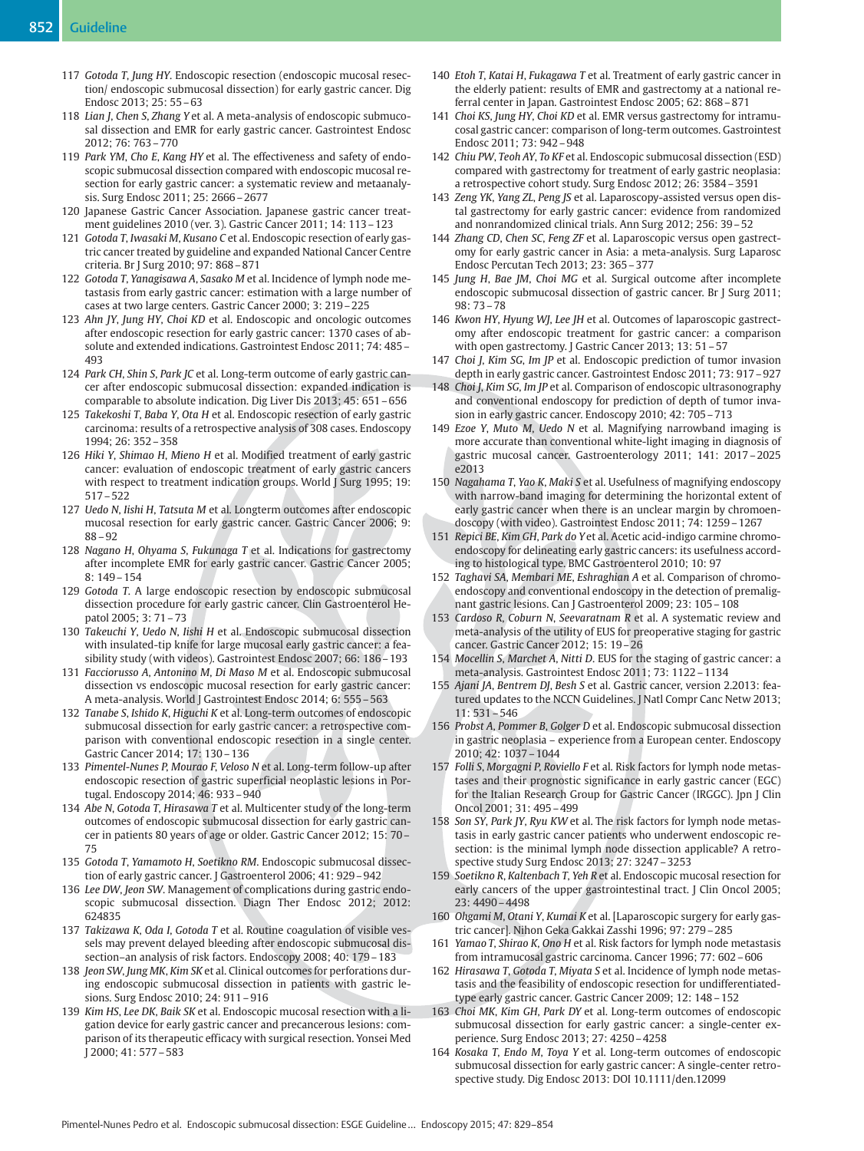- 117 Gotoda T, Jung HY. Endoscopic resection (endoscopic mucosal resection/ endoscopic submucosal dissection) for early gastric cancer. Dig Endosc 2013; 25: 55–63
- 118 Lian J, Chen S, Zhang Y et al. A meta-analysis of endoscopic submucosal dissection and EMR for early gastric cancer. Gastrointest Endosc 2012; 76: 763–770
- 119 Park YM, Cho E, Kang HY et al. The effectiveness and safety of endoscopic submucosal dissection compared with endoscopic mucosal resection for early gastric cancer: a systematic review and metaanalysis. Surg Endosc 2011; 25: 2666–2677
- 120 Japanese Gastric Cancer Association. Japanese gastric cancer treatment guidelines 2010 (ver. 3). Gastric Cancer 2011; 14: 113–123
- 121 Gotoda T, Iwasaki M, Kusano C et al. Endoscopic resection of early gastric cancer treated by guideline and expanded National Cancer Centre criteria. Br J Surg 2010; 97: 868–871
- 122 Gotoda T, Yanagisawa A, Sasako M et al. Incidence of lymph node metastasis from early gastric cancer: estimation with a large number of cases at two large centers. Gastric Cancer 2000; 3: 219–225
- 123 Ahn JY, Jung HY, Choi KD et al. Endoscopic and oncologic outcomes after endoscopic resection for early gastric cancer: 1370 cases of absolute and extended indications. Gastrointest Endosc 2011; 74: 485– 493
- 124 Park CH, Shin S, Park JC et al. Long-term outcome of early gastric cancer after endoscopic submucosal dissection: expanded indication is comparable to absolute indication. Dig Liver Dis 2013; 45: 651–656
- 125 Takekoshi T, Baba Y, Ota H et al. Endoscopic resection of early gastric carcinoma: results of a retrospective analysis of 308 cases. Endoscopy 1994; 26: 352–358
- 126 Hiki Y, Shimao H, Mieno H et al. Modified treatment of early gastric cancer: evaluation of endoscopic treatment of early gastric cancers with respect to treatment indication groups. World J Surg 1995; 19: 517–522
- 127 Uedo N, Iishi H, Tatsuta M et al. Longterm outcomes after endoscopic mucosal resection for early gastric cancer. Gastric Cancer 2006; 9: 88–92
- 128 Nagano H, Ohyama S, Fukunaga T et al. Indications for gastrectomy after incomplete EMR for early gastric cancer. Gastric Cancer 2005; 8: 149–154
- 129 Gotoda T. A large endoscopic resection by endoscopic submucosal dissection procedure for early gastric cancer. Clin Gastroenterol Hepatol 2005; 3: 71–73
- 130 Takeuchi Y, Uedo N, Iishi H et al. Endoscopic submucosal dissection with insulated-tip knife for large mucosal early gastric cancer: a feasibility study (with videos). Gastrointest Endosc 2007; 66: 186–193
- 131 Facciorusso A, Antonino M, Di Maso M et al. Endoscopic submucosal dissection vs endoscopic mucosal resection for early gastric cancer: A meta-analysis. World J Gastrointest Endosc 2014; 6: 555–563
- 132 Tanabe S, Ishido K, Higuchi K et al. Long-term outcomes of endoscopic submucosal dissection for early gastric cancer: a retrospective comparison with conventional endoscopic resection in a single center. Gastric Cancer 2014; 17: 130–136
- 133 Pimentel-Nunes P, Mourao F, Veloso N et al. Long-term follow-up after endoscopic resection of gastric superficial neoplastic lesions in Portugal. Endoscopy 2014; 46: 933–940
- 134 Abe N, Gotoda T, Hirasawa T et al. Multicenter study of the long-term outcomes of endoscopic submucosal dissection for early gastric cancer in patients 80 years of age or older. Gastric Cancer 2012; 15: 70– 75
- 135 Gotoda T, Yamamoto H, Soetikno RM. Endoscopic submucosal dissection of early gastric cancer. J Gastroenterol 2006; 41: 929–942
- 136 Lee DW, Jeon SW. Management of complications during gastric endoscopic submucosal dissection. Diagn Ther Endosc 2012; 2012: 624835
- 137 Takizawa K, Oda I, Gotoda T et al. Routine coagulation of visible vessels may prevent delayed bleeding after endoscopic submucosal dissection–an analysis of risk factors. Endoscopy 2008; 40: 179–183
- 138 Jeon SW, Jung MK, Kim SK et al. Clinical outcomes for perforations during endoscopic submucosal dissection in patients with gastric lesions. Surg Endosc 2010; 24: 911–916
- 139 Kim HS, Lee DK, Baik SK et al. Endoscopic mucosal resection with a ligation device for early gastric cancer and precancerous lesions: comparison of its therapeutic efficacy with surgical resection. Yonsei Med J 2000; 41: 577–583
- 140 Etoh T, Katai H, Fukagawa T et al. Treatment of early gastric cancer in the elderly patient: results of EMR and gastrectomy at a national referral center in Japan. Gastrointest Endosc 2005; 62: 868–871
- 141 Choi KS, Jung HY, Choi KD et al. EMR versus gastrectomy for intramucosal gastric cancer: comparison of long-term outcomes. Gastrointest Endosc 2011; 73: 942–948
- 142 Chiu PW, Teoh AY, To KF et al. Endoscopic submucosal dissection (ESD) compared with gastrectomy for treatment of early gastric neoplasia: a retrospective cohort study. Surg Endosc 2012; 26: 3584–3591
- 143 Zeng YK, Yang ZL, Peng JS et al. Laparoscopy-assisted versus open distal gastrectomy for early gastric cancer: evidence from randomized and nonrandomized clinical trials. Ann Surg 2012; 256: 39–52
- 144 Zhang CD, Chen SC, Feng ZF et al. Laparoscopic versus open gastrectomy for early gastric cancer in Asia: a meta-analysis. Surg Laparosc Endosc Percutan Tech 2013; 23: 365–377
- 145 Jung H, Bae JM, Choi MG et al. Surgical outcome after incomplete endoscopic submucosal dissection of gastric cancer. Br J Surg 2011; 98: 73–78
- 146 Kwon HY, Hyung WJ, Lee JH et al. Outcomes of laparoscopic gastrectomy after endoscopic treatment for gastric cancer: a comparison with open gastrectomy. J Gastric Cancer 2013; 13: 51–57
- 147 Choi J, Kim SG, Im JP et al. Endoscopic prediction of tumor invasion depth in early gastric cancer. Gastrointest Endosc 2011; 73: 917–927
- 148 Choi J, Kim SG, Im JP et al. Comparison of endoscopic ultrasonography and conventional endoscopy for prediction of depth of tumor invasion in early gastric cancer. Endoscopy 2010; 42: 705–713
- 149 Ezoe Y, Muto M, Uedo N et al. Magnifying narrowband imaging is more accurate than conventional white-light imaging in diagnosis of gastric mucosal cancer. Gastroenterology 2011; 141: 2017–2025 e2013
- 150 Nagahama T, Yao K, Maki S et al. Usefulness of magnifying endoscopy with narrow-band imaging for determining the horizontal extent of early gastric cancer when there is an unclear margin by chromoendoscopy (with video). Gastrointest Endosc 2011; 74: 1259–1267
- 151 Repici BE, Kim GH, Park do Y et al. Acetic acid-indigo carmine chromoendoscopy for delineating early gastric cancers: its usefulness according to histological type. BMC Gastroenterol 2010; 10: 97
- 152 Taghavi SA, Membari ME, Eshraghian A et al. Comparison of chromoendoscopy and conventional endoscopy in the detection of premalignant gastric lesions. Can J Gastroenterol 2009; 23: 105–108
- 153 Cardoso R, Coburn N, Seevaratnam R et al. A systematic review and meta-analysis of the utility of EUS for preoperative staging for gastric cancer. Gastric Cancer 2012; 15: 19–26
- 154 Mocellin S, Marchet A, Nitti D. EUS for the staging of gastric cancer: a meta-analysis. Gastrointest Endosc 2011; 73: 1122–1134
- 155 Ajani JA, Bentrem DJ, Besh S et al. Gastric cancer, version 2.2013: featured updates to the NCCN Guidelines. J Natl Compr Canc Netw 2013; 11: 531–546
- 156 Probst A, Pommer B, Golger D et al. Endoscopic submucosal dissection in gastric neoplasia – experience from a European center. Endoscopy 2010; 42: 1037–1044
- 157 Folli S, Morgagni P, Roviello F et al. Risk factors for lymph node metastases and their prognostic significance in early gastric cancer (EGC) for the Italian Research Group for Gastric Cancer (IRGGC). Jpn J Clin Oncol 2001; 31: 495–499
- 158 Son SY, Park JY, Ryu KW et al. The risk factors for lymph node metastasis in early gastric cancer patients who underwent endoscopic resection: is the minimal lymph node dissection applicable? A retrospective study Surg Endosc 2013; 27: 3247–3253
- 159 Soetikno R, Kaltenbach T, Yeh R et al. Endoscopic mucosal resection for early cancers of the upper gastrointestinal tract. J Clin Oncol 2005;  $23 \cdot 4490 - 4498$
- 160 Ohgami M, Otani Y, Kumai K et al. [Laparoscopic surgery for early gastric cancer]. Nihon Geka Gakkai Zasshi 1996; 97: 279–285
- 161 Yamao T, Shirao K, Ono H et al. Risk factors for lymph node metastasis from intramucosal gastric carcinoma. Cancer 1996; 77: 602–606
- 162 Hirasawa T, Gotoda T, Miyata S et al. Incidence of lymph node metastasis and the feasibility of endoscopic resection for undifferentiatedtype early gastric cancer. Gastric Cancer 2009; 12: 148–152
- 163 Choi MK, Kim GH, Park DY et al. Long-term outcomes of endoscopic submucosal dissection for early gastric cancer: a single-center experience. Surg Endosc 2013; 27: 4250–4258
- 164 Kosaka T, Endo M, Toya Y et al. Long-term outcomes of endoscopic submucosal dissection for early gastric cancer: A single-center retrospective study. Dig Endosc 2013: DOI 10.1111/den.12099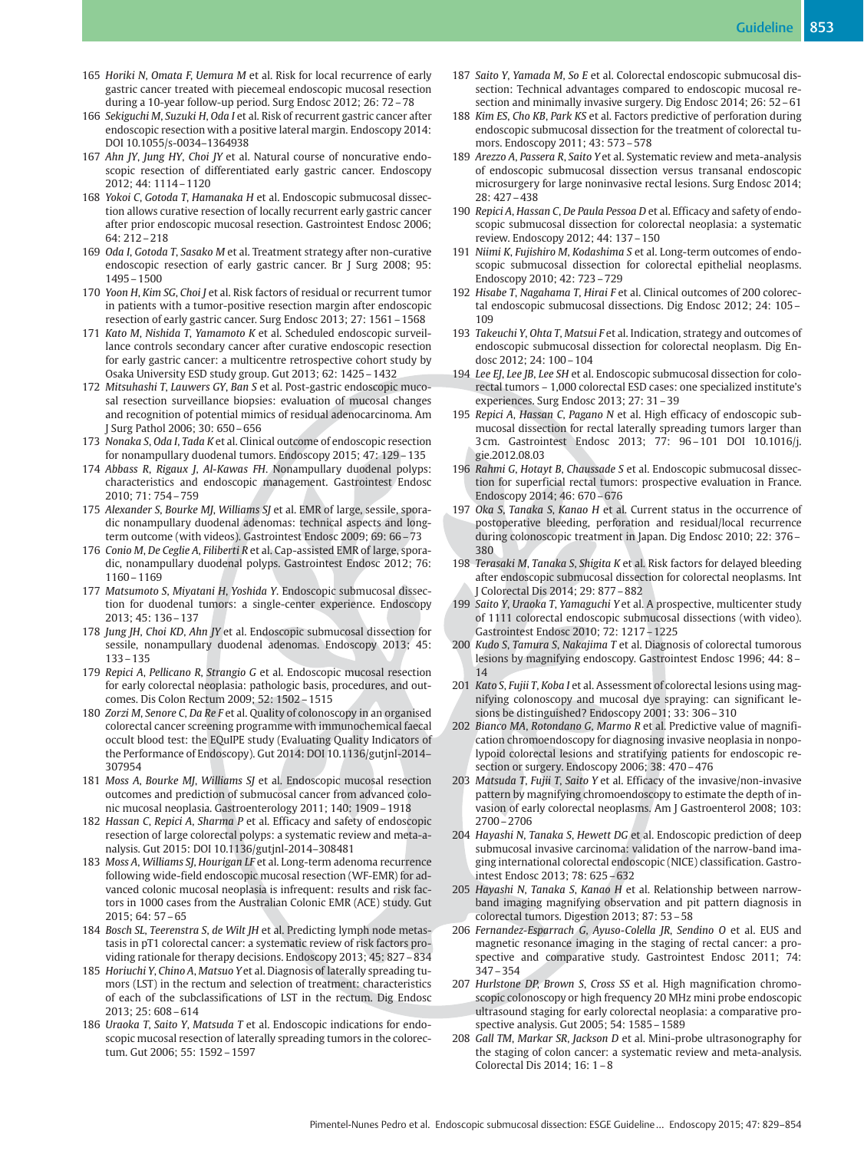- 165 Horiki N, Omata F, Uemura M et al. Risk for local recurrence of early gastric cancer treated with piecemeal endoscopic mucosal resection during a 10-year follow-up period. Surg Endosc 2012; 26: 72–78
- 166 Sekiguchi M, Suzuki H, Oda I et al. Risk of recurrent gastric cancer after endoscopic resection with a positive lateral margin. Endoscopy 2014: DOI 10.1055/s-0034–1364938
- 167 Ahn JY, Jung HY, Choi JY et al. Natural course of noncurative endoscopic resection of differentiated early gastric cancer. Endoscopy 2012; 44: 1114–1120
- 168 Yokoi C, Gotoda T, Hamanaka H et al. Endoscopic submucosal dissection allows curative resection of locally recurrent early gastric cancer after prior endoscopic mucosal resection. Gastrointest Endosc 2006; 64: 212–218
- 169 Oda I, Gotoda T, Sasako M et al. Treatment strategy after non-curative endoscopic resection of early gastric cancer. Br J Surg 2008; 95: 1495–1500
- 170 Yoon H, Kim SG, Choi J et al. Risk factors of residual or recurrent tumor in patients with a tumor-positive resection margin after endoscopic resection of early gastric cancer. Surg Endosc 2013; 27: 1561–1568
- 171 Kato M, Nishida T, Yamamoto K et al. Scheduled endoscopic surveillance controls secondary cancer after curative endoscopic resection for early gastric cancer: a multicentre retrospective cohort study by Osaka University ESD study group. Gut 2013; 62: 1425–1432
- 172 Mitsuhashi T, Lauwers GY, Ban S et al. Post-gastric endoscopic mucosal resection surveillance biopsies: evaluation of mucosal changes and recognition of potential mimics of residual adenocarcinoma. Am J Surg Pathol 2006; 30: 650–656
- 173 Nonaka S, Oda I, Tada K et al. Clinical outcome of endoscopic resection for nonampullary duodenal tumors. Endoscopy 2015; 47: 129–135
- 174 Abbass R, Rigaux J, Al-Kawas FH. Nonampullary duodenal polyps: characteristics and endoscopic management. Gastrointest Endosc 2010; 71: 754–759
- 175 Alexander S, Bourke MJ, Williams SJ et al. EMR of large, sessile, sporadic nonampullary duodenal adenomas: technical aspects and longterm outcome (with videos). Gastrointest Endosc 2009; 69: 66–73
- 176 Conio M, De Ceglie A, Filiberti R et al. Cap-assisted EMR of large, sporadic, nonampullary duodenal polyps. Gastrointest Endosc 2012; 76: 1160–1169
- 177 Matsumoto S, Miyatani H, Yoshida Y. Endoscopic submucosal dissection for duodenal tumors: a single-center experience. Endoscopy 2013; 45: 136–137
- 178 Jung JH, Choi KD, Ahn JY et al. Endoscopic submucosal dissection for sessile, nonampullary duodenal adenomas. Endoscopy 2013; 45: 133–135
- 179 Repici A, Pellicano R, Strangio G et al. Endoscopic mucosal resection for early colorectal neoplasia: pathologic basis, procedures, and outcomes. Dis Colon Rectum 2009; 52: 1502–1515
- 180 Zorzi M, Senore C, Da Re F et al. Quality of colonoscopy in an organised colorectal cancer screening programme with immunochemical faecal occult blood test: the EQuIPE study (Evaluating Quality Indicators of the Performance of Endoscopy). Gut 2014: DOI 10.1136/gutjnl-2014– 307954
- 181 Moss A, Bourke MJ, Williams SJ et al. Endoscopic mucosal resection outcomes and prediction of submucosal cancer from advanced colonic mucosal neoplasia. Gastroenterology 2011; 140: 1909–1918
- 182 Hassan C, Repici A, Sharma P et al. Efficacy and safety of endoscopic resection of large colorectal polyps: a systematic review and meta-analysis. Gut 2015: DOI 10.1136/gutjnl-2014–308481
- 183 Moss A, Williams SJ, Hourigan LF et al. Long-term adenoma recurrence following wide-field endoscopic mucosal resection (WF-EMR) for advanced colonic mucosal neoplasia is infrequent: results and risk factors in 1000 cases from the Australian Colonic EMR (ACE) study. Gut 2015; 64: 57–65
- 184 Bosch SL, Teerenstra S, de Wilt JH et al. Predicting lymph node metastasis in pT1 colorectal cancer: a systematic review of risk factors providing rationale for therapy decisions. Endoscopy 2013; 45: 827–834
- 185 Horiuchi Y, Chino A, Matsuo Yet al. Diagnosis of laterally spreading tumors (LST) in the rectum and selection of treatment: characteristics of each of the subclassifications of LST in the rectum. Dig Endosc 2013; 25: 608–614
- 186 Uraoka T, Saito Y, Matsuda T et al. Endoscopic indications for endoscopic mucosal resection of laterally spreading tumors in the colorectum. Gut 2006; 55: 1592–1597
- 187 Saito Y, Yamada M, So E et al. Colorectal endoscopic submucosal dissection: Technical advantages compared to endoscopic mucosal resection and minimally invasive surgery. Dig Endosc 2014; 26: 52–61
- 188 Kim ES, Cho KB, Park KS et al. Factors predictive of perforation during endoscopic submucosal dissection for the treatment of colorectal tumors. Endoscopy 2011; 43: 573–578
- 189 Arezzo A, Passera R, Saito Y et al. Systematic review and meta-analysis of endoscopic submucosal dissection versus transanal endoscopic microsurgery for large noninvasive rectal lesions. Surg Endosc 2014; 28: 427–438
- 190 Repici A, Hassan C, De Paula Pessoa D et al. Efficacy and safety of endoscopic submucosal dissection for colorectal neoplasia: a systematic review. Endoscopy 2012; 44: 137–150
- 191 Niimi K, Fujishiro M, Kodashima S et al. Long-term outcomes of endoscopic submucosal dissection for colorectal epithelial neoplasms. Endoscopy 2010; 42: 723–729
- 192 Hisabe T, Nagahama T, Hirai F et al. Clinical outcomes of 200 colorectal endoscopic submucosal dissections. Dig Endosc 2012; 24: 105– 109
- 193 Takeuchi Y, Ohta T, Matsui F et al. Indication, strategy and outcomes of endoscopic submucosal dissection for colorectal neoplasm. Dig Endosc 2012; 24: 100–104
- 194 Lee EJ, Lee JB, Lee SH et al. Endoscopic submucosal dissection for colorectal tumors – 1,000 colorectal ESD cases: one specialized institute's experiences. Surg Endosc 2013; 27: 31–39
- 195 Repici A, Hassan C, Pagano N et al. High efficacy of endoscopic submucosal dissection for rectal laterally spreading tumors larger than 3 cm. Gastrointest Endosc 2013; 77: 96–101 DOI 10.1016/j. gie.2012.08.03
- 196 Rahmi G, Hotayt B, Chaussade S et al. Endoscopic submucosal dissection for superficial rectal tumors: prospective evaluation in France. Endoscopy 2014; 46: 670–676
- 197 Oka S, Tanaka S, Kanao H et al. Current status in the occurrence of postoperative bleeding, perforation and residual/local recurrence during colonoscopic treatment in Japan. Dig Endosc 2010; 22: 376– 380
- 198 Terasaki M, Tanaka S, Shigita K et al. Risk factors for delayed bleeding after endoscopic submucosal dissection for colorectal neoplasms. Int J Colorectal Dis 2014; 29: 877–882
- 199 Saito Y, Uraoka T, Yamaguchi Y et al. A prospective, multicenter study of 1111 colorectal endoscopic submucosal dissections (with video). Gastrointest Endosc 2010; 72: 1217–1225
- 200 Kudo S, Tamura S, Nakajima T et al. Diagnosis of colorectal tumorous lesions by magnifying endoscopy. Gastrointest Endosc 1996; 44: 8– 14
- 201 Kato S, Fujii T, Koba I et al. Assessment of colorectal lesions using magnifying colonoscopy and mucosal dye spraying: can significant lesions be distinguished? Endoscopy 2001; 33: 306–310
- 202 Bianco MA, Rotondano G, Marmo R et al. Predictive value of magnification chromoendoscopy for diagnosing invasive neoplasia in nonpolypoid colorectal lesions and stratifying patients for endoscopic resection or surgery. Endoscopy 2006; 38: 470–476
- 203 Matsuda T, Fujii T, Saito Y et al. Efficacy of the invasive/non-invasive pattern by magnifying chromoendoscopy to estimate the depth of invasion of early colorectal neoplasms. Am J Gastroenterol 2008; 103: 2700–2706
- 204 Hayashi N, Tanaka S, Hewett DG et al. Endoscopic prediction of deep submucosal invasive carcinoma: validation of the narrow-band imaging international colorectal endoscopic (NICE) classification. Gastrointest Endosc 2013; 78: 625–632
- 205 Hayashi N, Tanaka S, Kanao H et al. Relationship between narrowband imaging magnifying observation and pit pattern diagnosis in colorectal tumors. Digestion 2013; 87: 53–58
- 206 Fernandez-Esparrach G, Ayuso-Colella JR, Sendino O et al. EUS and magnetic resonance imaging in the staging of rectal cancer: a prospective and comparative study. Gastrointest Endosc 2011; 74: 347–354
- 207 Hurlstone DP, Brown S, Cross SS et al. High magnification chromoscopic colonoscopy or high frequency 20 MHz mini probe endoscopic ultrasound staging for early colorectal neoplasia: a comparative prospective analysis. Gut 2005; 54: 1585–1589
- 208 Gall TM, Markar SR, Jackson D et al. Mini-probe ultrasonography for the staging of colon cancer: a systematic review and meta-analysis. Colorectal Dis 2014; 16: 1–8